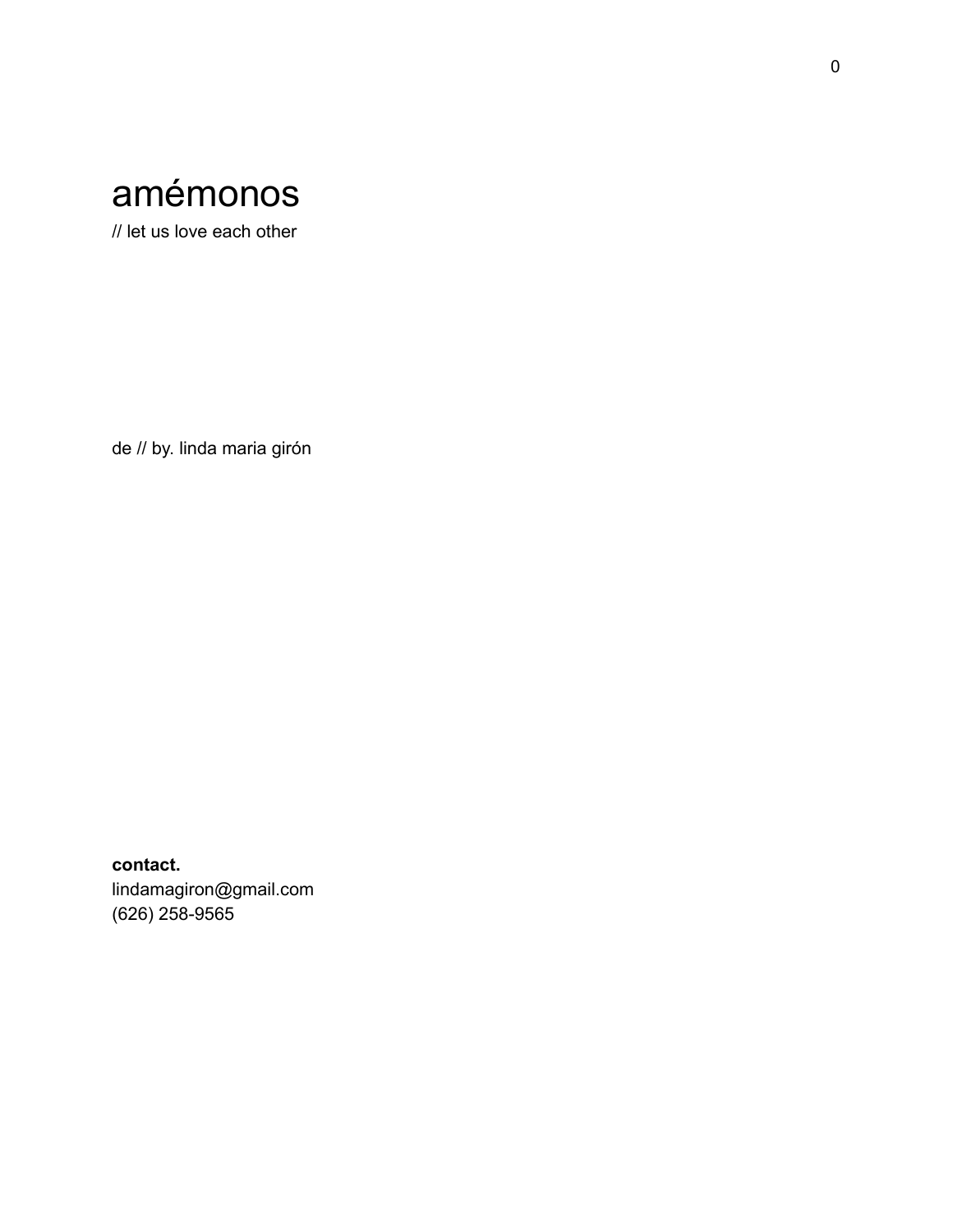

// let us love each other

de // by. linda maria girón

**contact.** lindamagiron@gmail.com (626) 258-9565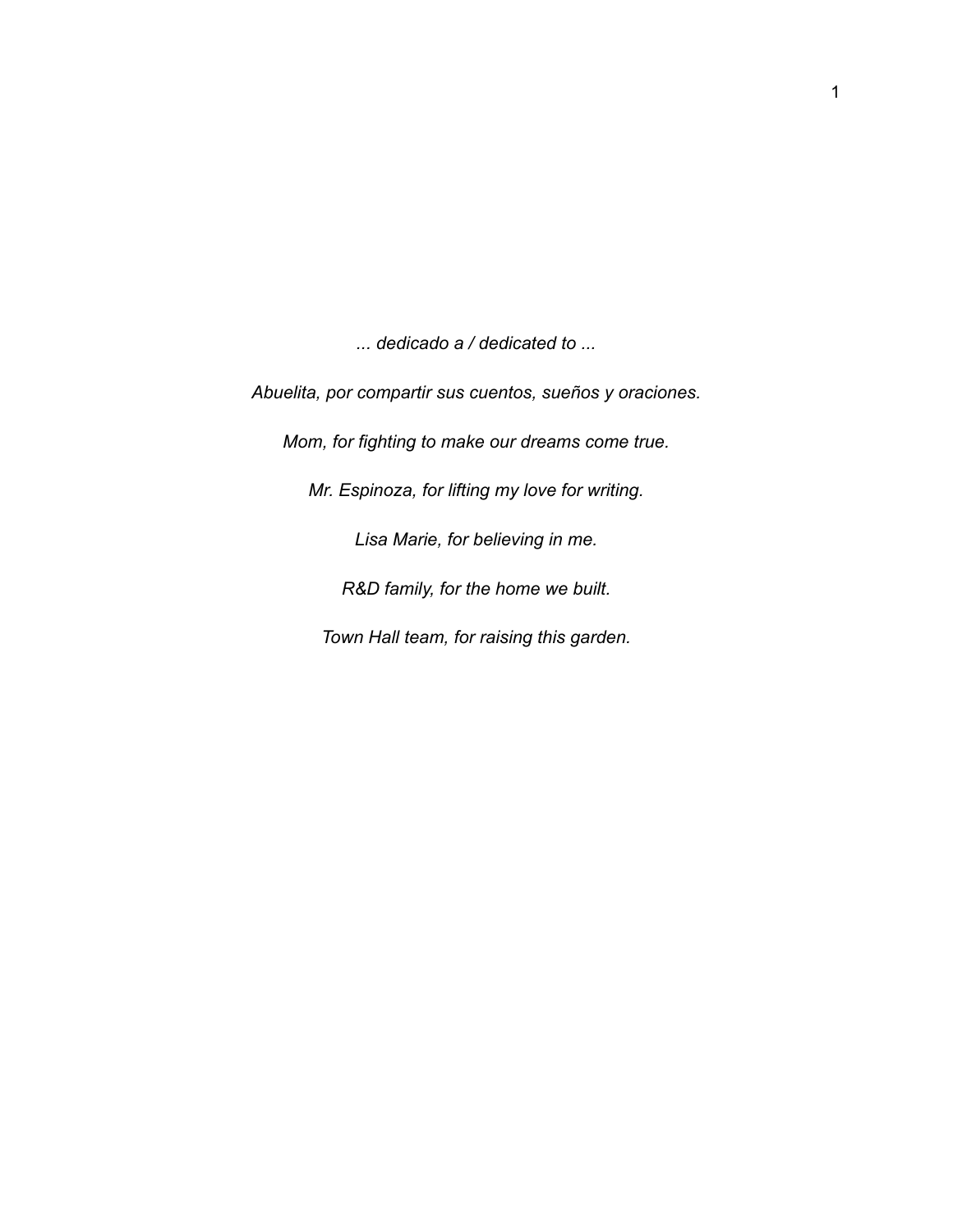*... dedicado a / dedicated to ...*

*Abuelita, por compartir sus cuentos, sueños y oraciones.*

*Mom, for fighting to make our dreams come true.*

*Mr. Espinoza, for lifting my love for writing.*

*Lisa Marie, for believing in me.*

*R&D family, for the home we built.*

*Town Hall team, for raising this garden.*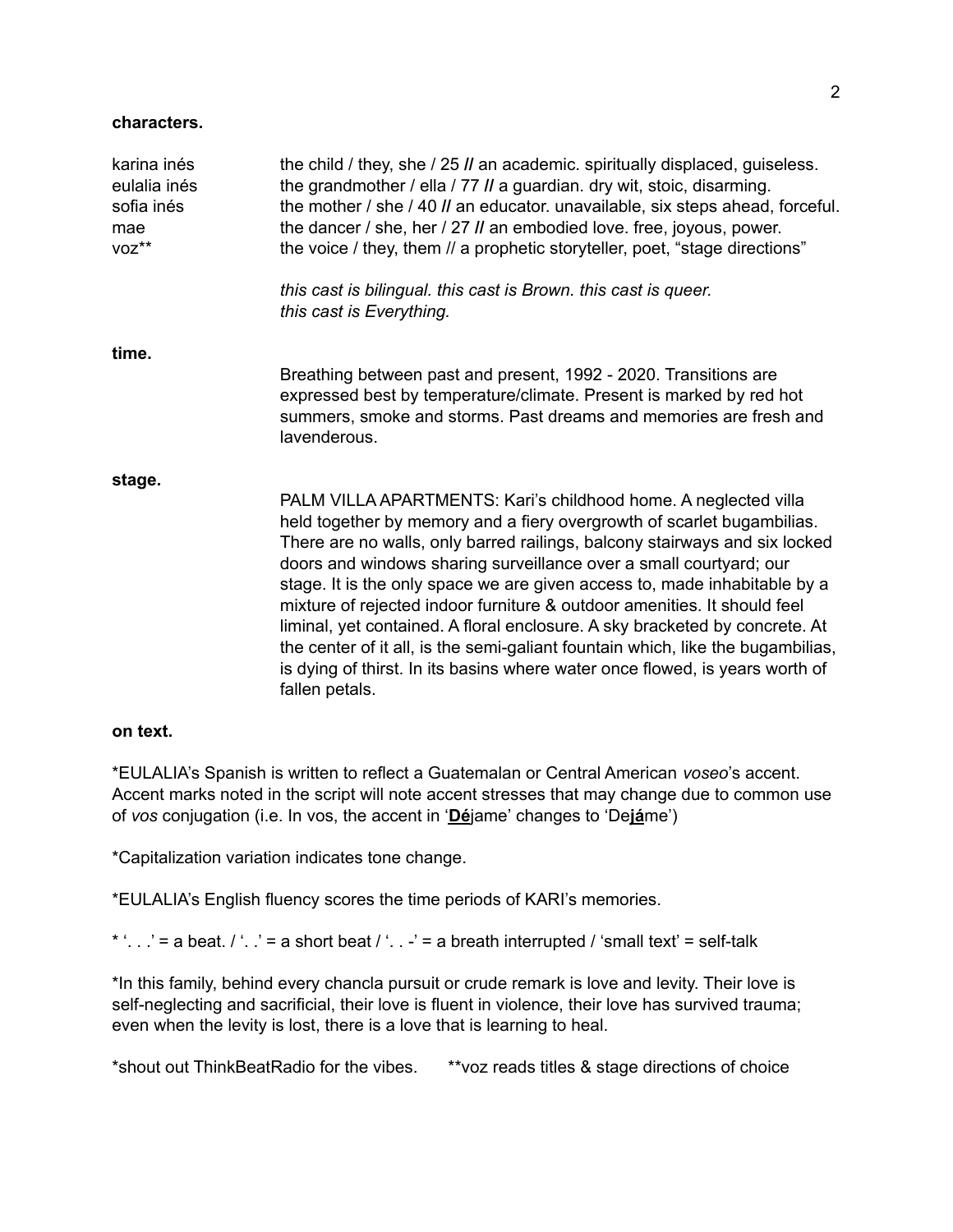#### **characters.**

| karina inés<br>eulalia inés<br>sofia inés<br>mae<br>voz** | the child / they, she / 25 <i>II</i> an academic. spiritually displaced, guiseless.<br>the grandmother / ella / 77 <i>II</i> a guardian. dry wit, stoic, disarming.<br>the mother / she / 40 <i>II</i> an educator. unavailable, six steps ahead, forceful.<br>the dancer / she, her / 27 <i>II</i> an embodied love. free, joyous, power.<br>the voice / they, them // a prophetic storyteller, poet, "stage directions"                                                                                                                                                                                                                                                                                                  |
|-----------------------------------------------------------|----------------------------------------------------------------------------------------------------------------------------------------------------------------------------------------------------------------------------------------------------------------------------------------------------------------------------------------------------------------------------------------------------------------------------------------------------------------------------------------------------------------------------------------------------------------------------------------------------------------------------------------------------------------------------------------------------------------------------|
|                                                           | this cast is bilingual. this cast is Brown. this cast is queer.<br>this cast is Everything.                                                                                                                                                                                                                                                                                                                                                                                                                                                                                                                                                                                                                                |
| time.                                                     |                                                                                                                                                                                                                                                                                                                                                                                                                                                                                                                                                                                                                                                                                                                            |
|                                                           | Breathing between past and present, 1992 - 2020. Transitions are<br>expressed best by temperature/climate. Present is marked by red hot<br>summers, smoke and storms. Past dreams and memories are fresh and<br>lavenderous.                                                                                                                                                                                                                                                                                                                                                                                                                                                                                               |
| stage.                                                    |                                                                                                                                                                                                                                                                                                                                                                                                                                                                                                                                                                                                                                                                                                                            |
|                                                           | PALM VILLA APARTMENTS: Kari's childhood home. A neglected villa<br>held together by memory and a fiery overgrowth of scarlet bugambilias.<br>There are no walls, only barred railings, balcony stairways and six locked<br>doors and windows sharing surveillance over a small courtyard; our<br>stage. It is the only space we are given access to, made inhabitable by a<br>mixture of rejected indoor furniture & outdoor amenities. It should feel<br>liminal, yet contained. A floral enclosure. A sky bracketed by concrete. At<br>the center of it all, is the semi-galiant fountain which, like the bugambilias,<br>is dying of thirst. In its basins where water once flowed, is years worth of<br>fallen petals. |

#### **on text.**

\*EULALIA's Spanish is written to reflect a Guatemalan or Central American *voseo*'s accent. Accent marks noted in the script will note accent stresses that may change due to common use of *vos* conjugation (i.e. In vos, the accent in '**Dé**jame' changes to 'De**já**me')

\*Capitalization variation indicates tone change.

\*EULALIA's English fluency scores the time periods of KARI's memories.

\* '. . .' = a beat.  $/$  '. .' = a short beat  $/$  '. .  $-$ ' = a breath interrupted  $/$  'small text' = self-talk

\*In this family, behind every chancla pursuit or crude remark is love and levity. Their love is self-neglecting and sacrificial, their love is fluent in violence, their love has survived trauma; even when the levity is lost, there is a love that is learning to heal.

\*shout out ThinkBeatRadio for the vibes. \*\*voz reads titles & stage directions of choice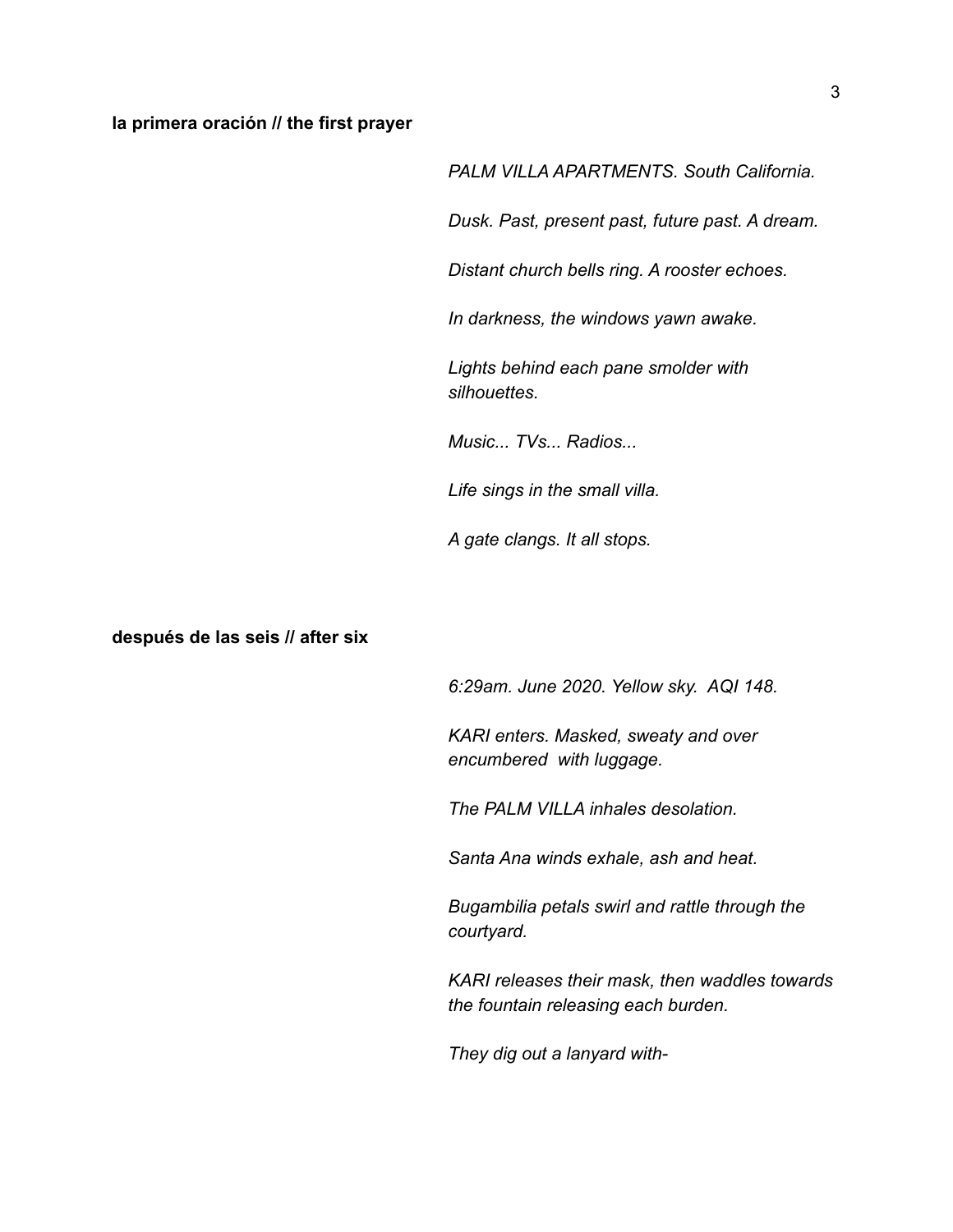#### **la primera oración // the first prayer**

*PALM VILLA APARTMENTS. South California.*

*Dusk. Past, present past, future past. A dream.*

*Distant church bells ring. A rooster echoes.*

*In darkness, the windows yawn awake.*

*Lights behind each pane smolder with silhouettes.*

*Music... TVs... Radios...*

*Life sings in the small villa.*

*A gate clangs. It all stops.*

**después de las seis // after six**

*6:29am. June 2020. Yellow sky. AQI 148.*

*KARI enters. Masked, sweaty and over encumbered with luggage.*

*The PALM VILLA inhales desolation.*

*Santa Ana winds exhale, ash and heat.*

*Bugambilia petals swirl and rattle through the courtyard.*

*KARI releases their mask, then waddles towards the fountain releasing each burden.*

*They dig out a lanyard with-*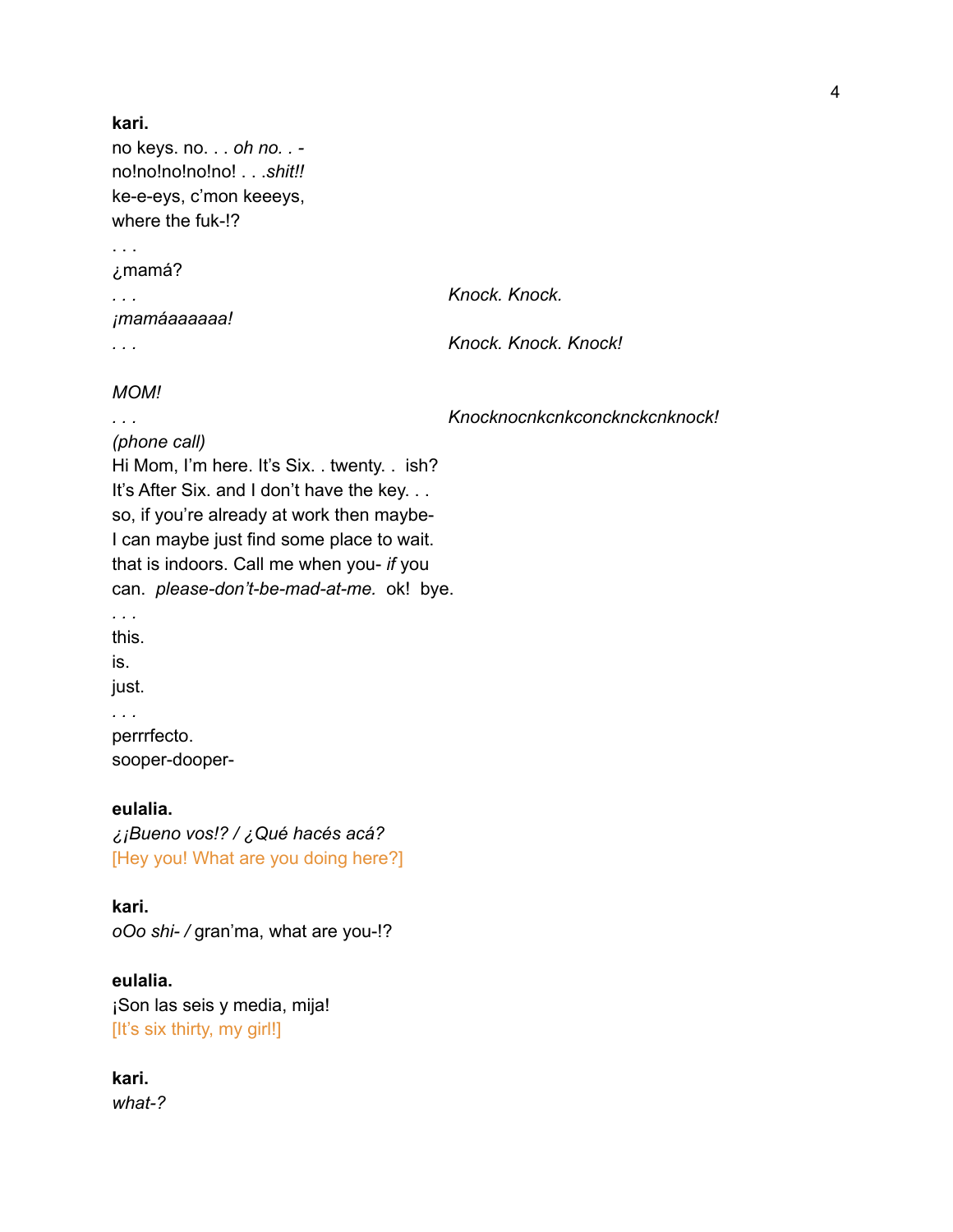```
kari.
no keys. no. . . oh no. . -
no!no!no!no!no! . . .shit!!
ke-e-eys, c'mon keeeys,
where the fuk-!?
. . .
¿mamá?
. . . Knock. Knock.
¡mamáaaaaaa!
. . . Knock. Knock. Knock!
MOM!
. . . Knocknocnkcnkconcknckcnknock!
(phone call)
```
Hi Mom, I'm here. It's Six. . twenty. . ish? It's After Six. and I don't have the key. . . so, if you're already at work then maybe-I can maybe just find some place to wait. that is indoors. Call me when you- *if* you can. *please-don't-be-mad-at-me.* ok! bye. *. . .* this. is. just. *. . .*

perrrfecto. sooper-dooper-

**eulalia.** *¿¡Bueno vos!? / ¿Qué hacés acá?* [Hey you! What are you doing here?]

**kari.** *oOo shi- /* gran'ma, what are you-!?

**eulalia.** ¡Son las seis y media, mija! [It's six thirty, my girl!]

**kari.** *what-?*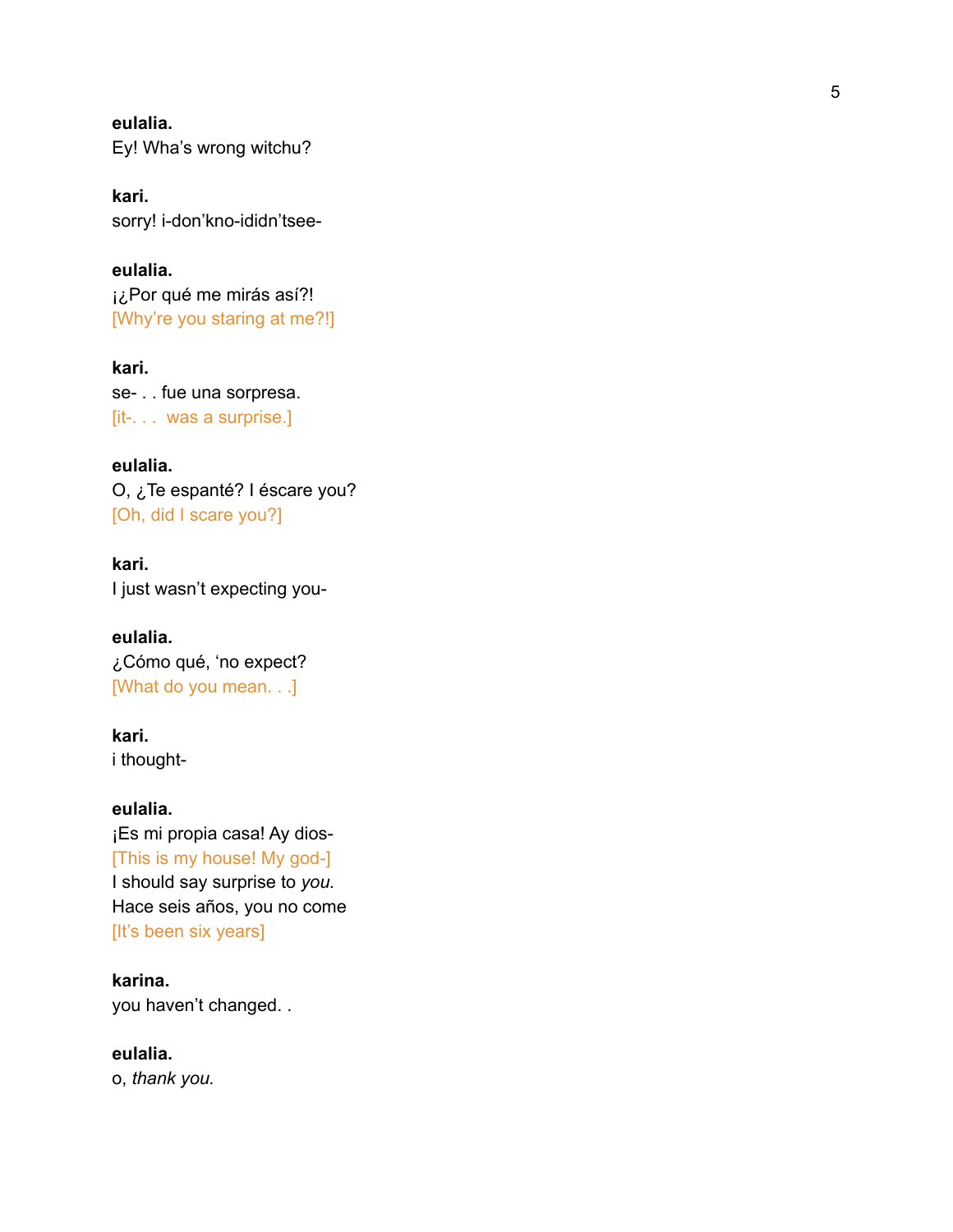**e u l a l i a .** Ey! Wha's wrong witchu?

**k a r i .** sorry! i-don'kno-ididn'tsee-

**e u l a l i a .** i¿Por qué me mirás así?! [Why're you staring at me?!]

**k a r i .** se- . . fue una sorpresa. [it-. . . was a surprise.]

**eulalia.** O, ¿Te espanté? I éscare you? [Oh, did I scare you?]

**k a r i .** I just wasn't expecting you-

**e u l a l i a .** ¿Cómo qué, 'no expect? [What do you mean. . .]

**k a r i .** i thought-

**e u l a l i a .** ¡Es mi propia casa! Ay dios-[This is my house! My god-] I should say surprise to *you.* Hace seis años, you no com e [It's been six years]

**k a r i n a .** you haven't changed..

**eulalia.** o, *thank you.*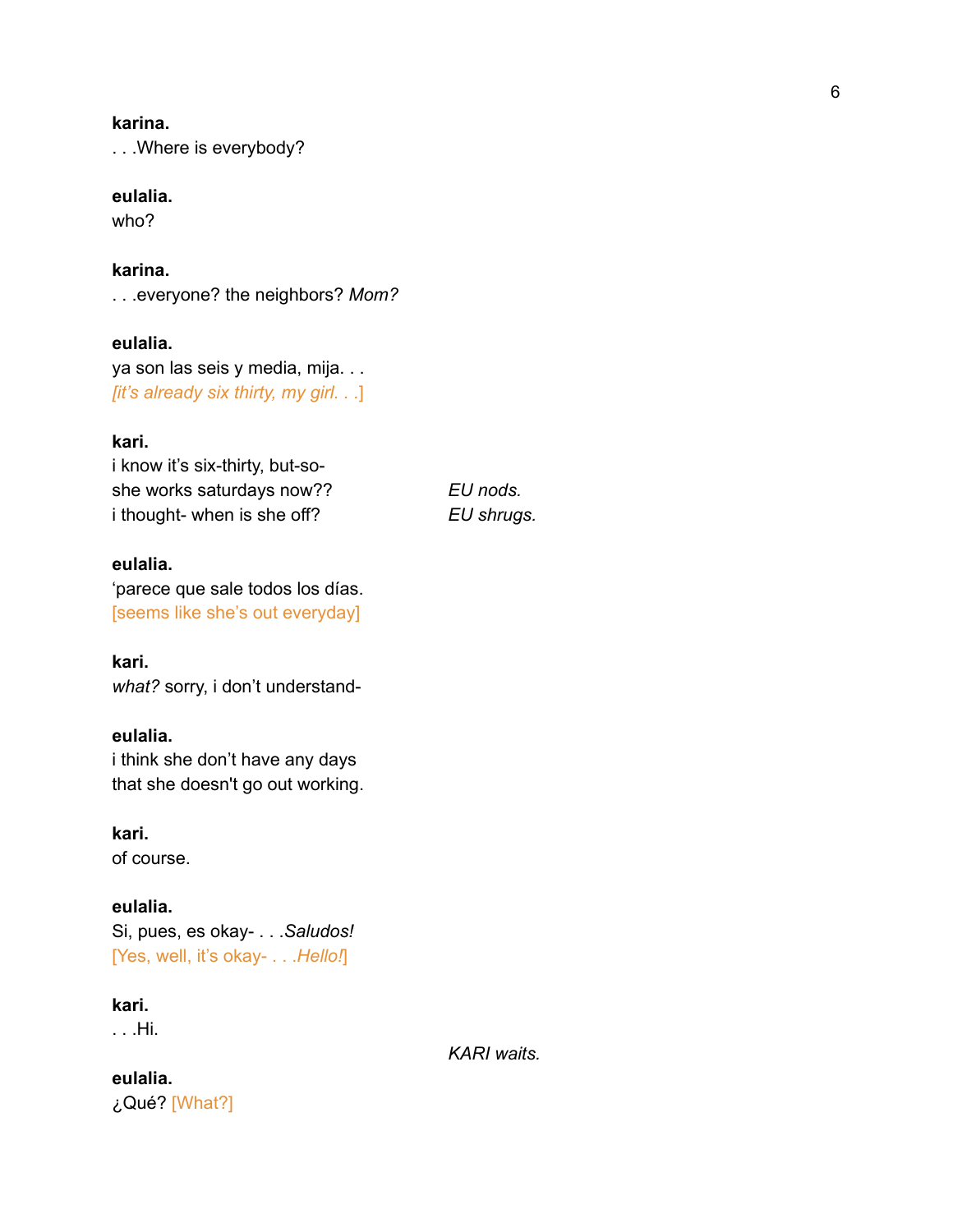## **karina.**

. . .Where is everybody?

## **eulalia.**

who?

**karina.** . . .everyone? the neighbors? *Mom?*

**eulalia.** ya son las seis y media, mija. . . *[it's already six thirty, my girl. . .*]

## **kari.**

i know it's six-thirty, but-soshe works saturdays now?? *EU nods.* i thought- when is she off? *EU shrugs.*

# **eulalia.**

'parece que sale todos los días. [seems like she's out everyday]

**kari.** *what?* sorry, i don't understand-

# **eulalia.**

i think she don't have any days that she doesn't go out working.

**kari.** of course.

**eulalia.** Si, pues, es okay- . . .*Saludos!* [Yes, well, it's okay- . . .*Hello!*]

**kari.**

. . .Hi.

*KARI waits.*

**eulalia.** ¿Qué? [What?]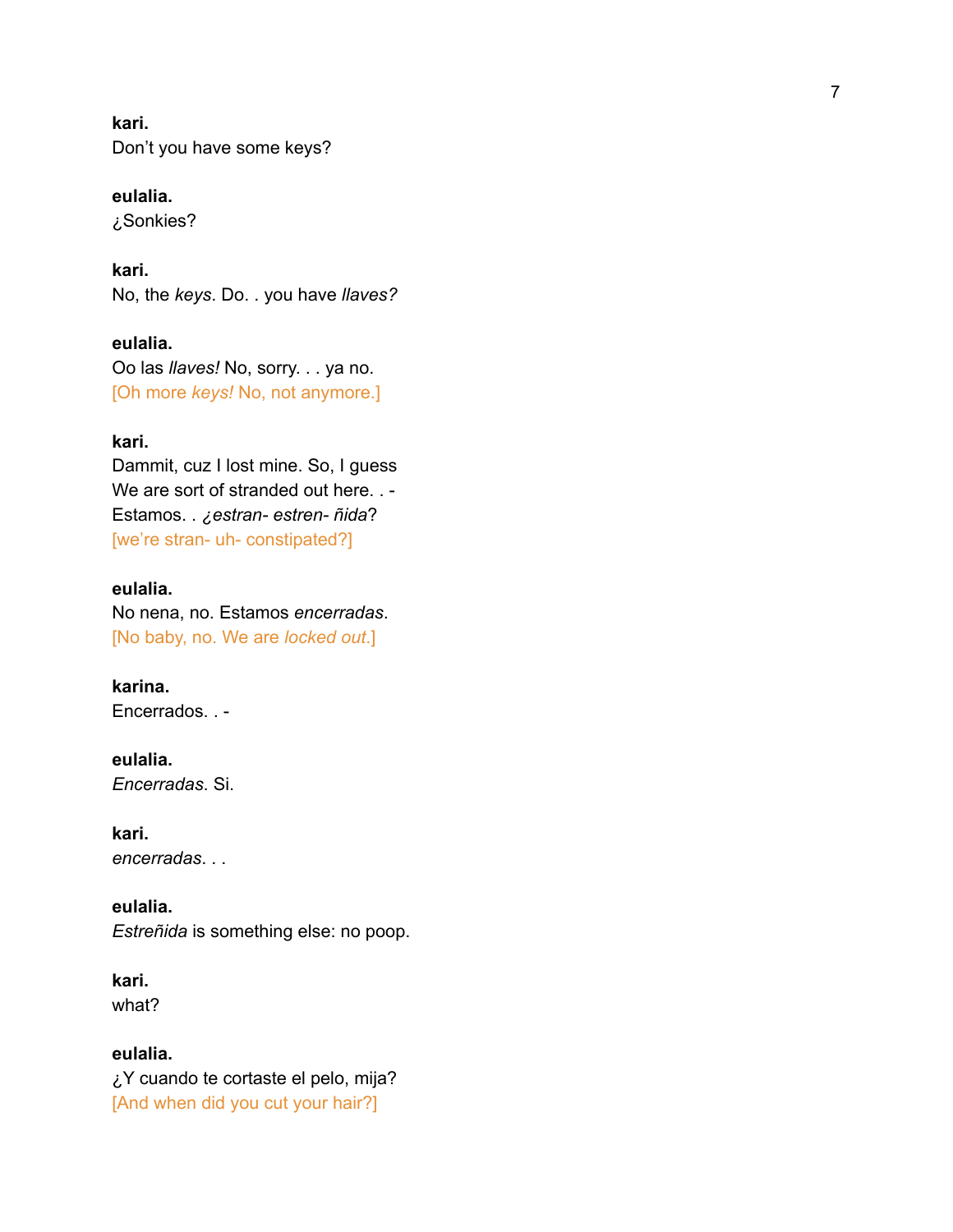**k a r i .** Don't you have some keys?

**e u l a l i a .** ¿ S o n kie s ?

**k a r i .** No, the keys. Do. . you have llaves?

**e u l a l i a .** Oo las *llaves!* No, sorry. . . ya no. [Oh more *keys!* No, not anymore.]

## **kari.**

Dammit, cuz I lost mine. So, I guess We are sort of stranded out here...-Estamos. . ¿estran- estren- ñida? [we're stran- uh- constipated?]

# **e u l a l i a .**

No nena, no. Estamos encerradas. [No baby, no. We are *locked out*.]

**karina.** Encerrados. . -

**eulalia.** *Encerradas*. Si.

**kari.** *encerradas*. . .

**eulalia.** *Estreñida* is something else: no poo p.

**kari.** what?

# **eulalia.**

¿Y cuando te cortaste el pelo, mija? [And when did you cut your hair?]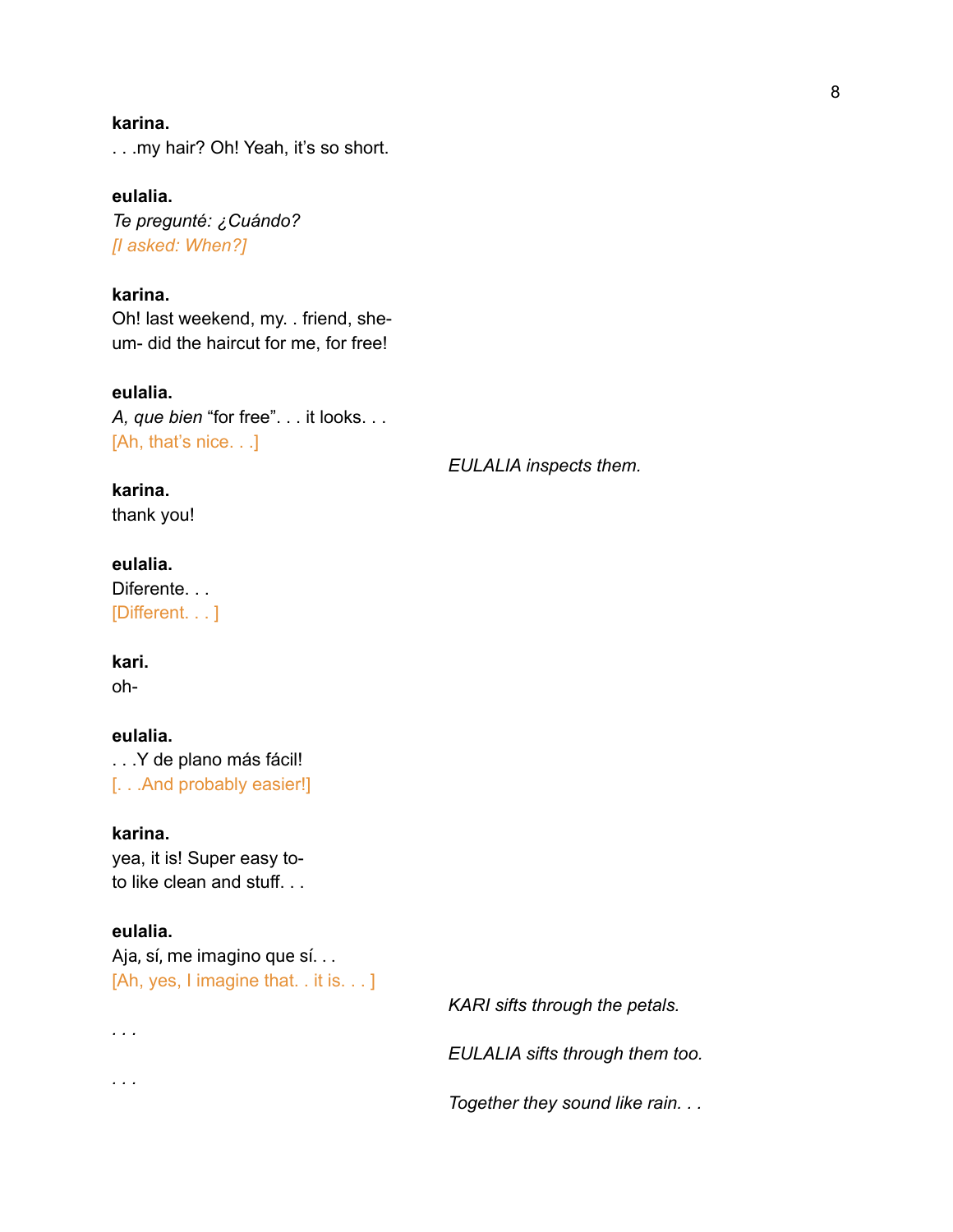## **karina.**

. . .my hair? Oh! Yeah, it's so short.

**eulalia.** *Te pregunté: ¿Cuándo? [I asked: When?]*

**karina.** Oh! last weekend, my. . friend, sheum- did the haircut for me, for free!

**eulalia.** *A, que bien* "for free". . . it looks. . . [Ah, that's nice. . .]

*EULALIA inspects them.*

# **karina.**

thank you!

# **eulalia.**

Diferente. . . [Different. . . ]

#### **kari.**

oh-

# **eulalia.**

. . .Y de plano más fácil! [. . .And probably easier!]

# **karina.**

yea, it is! Super easy toto like clean and stuff. . .

#### **eulalia.**

*. . .*

*. . .*

Aja, sí, me imagino que sí. . . [Ah, yes, I imagine that. . it is. . . ]

*KARI sifts through the petals.*

*EULALIA sifts through them too.*

*Together they sound like rain. . .*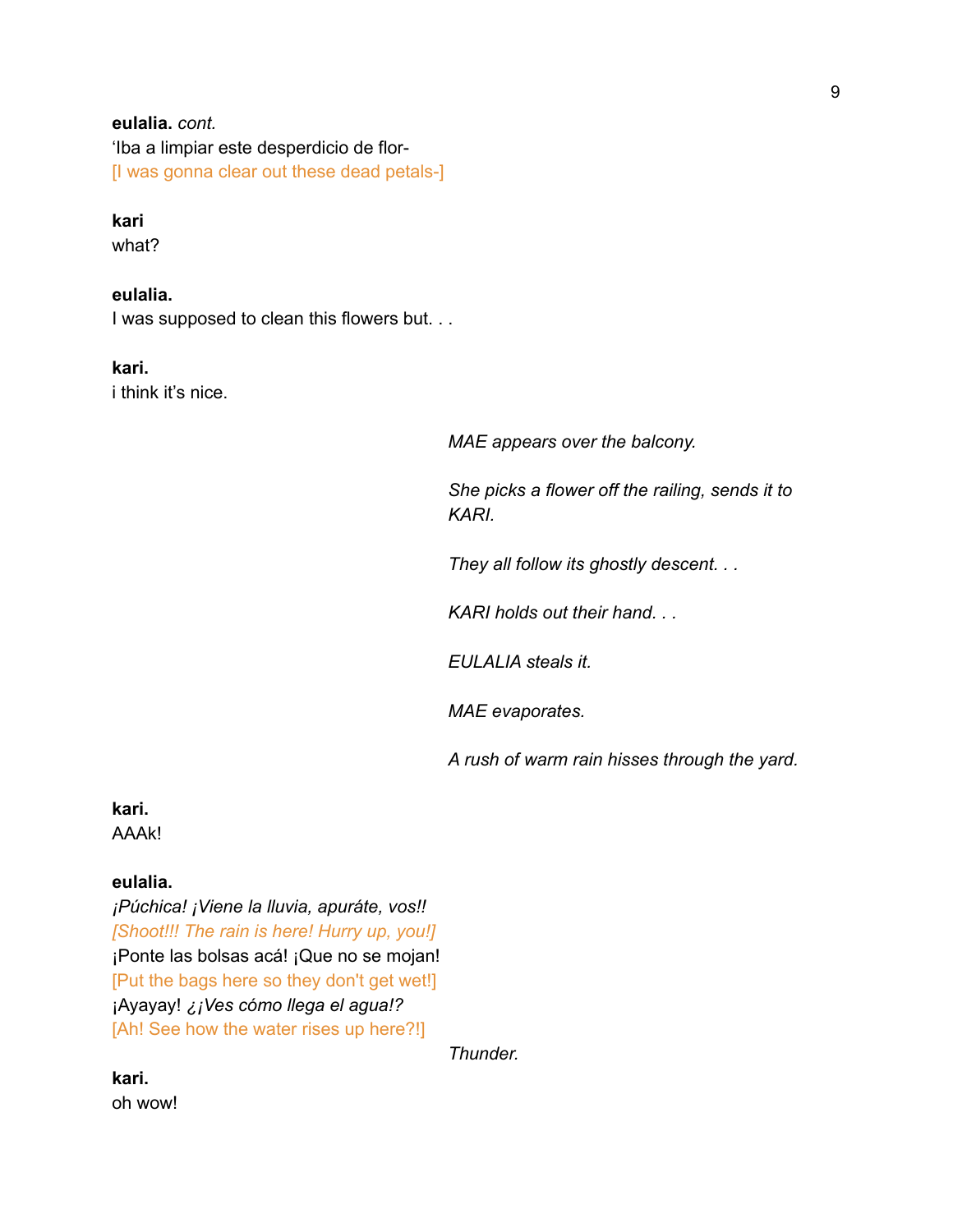# **eulalia.** *cont.*

'Iba a limpiar este desperdicio de flor- [I was gonna clear out these dead petals-]

#### **kari**

what?

# **eulalia.**

I was supposed to clean this flowers but. . .

## **kari.**

i think it's nice.

*MAE appears over the balcony.*

*She picks a flower off the railing, sends it to KARI.*

*They all follow its ghostly descent. . .*

*KARI holds out their hand. . .*

*EULALIA steals it.*

*MAE evaporates.*

*A rush of warm rain hisses through the yard.*

**kari.** AAAk!

#### **eulalia.**

*¡Púchica! ¡Viene la lluvia, apuráte, vos!! [Shoot!!! The rain is here! Hurry up, you!]* ¡Ponte las bolsas acá! ¡Que no se mojan! [Put the bags here so they don't get wet!] ¡Ayayay! *¿¡Ves cómo llega el agua!?* [Ah! See how the water rises up here?!]

*Thunder.*

**kari.** oh wow!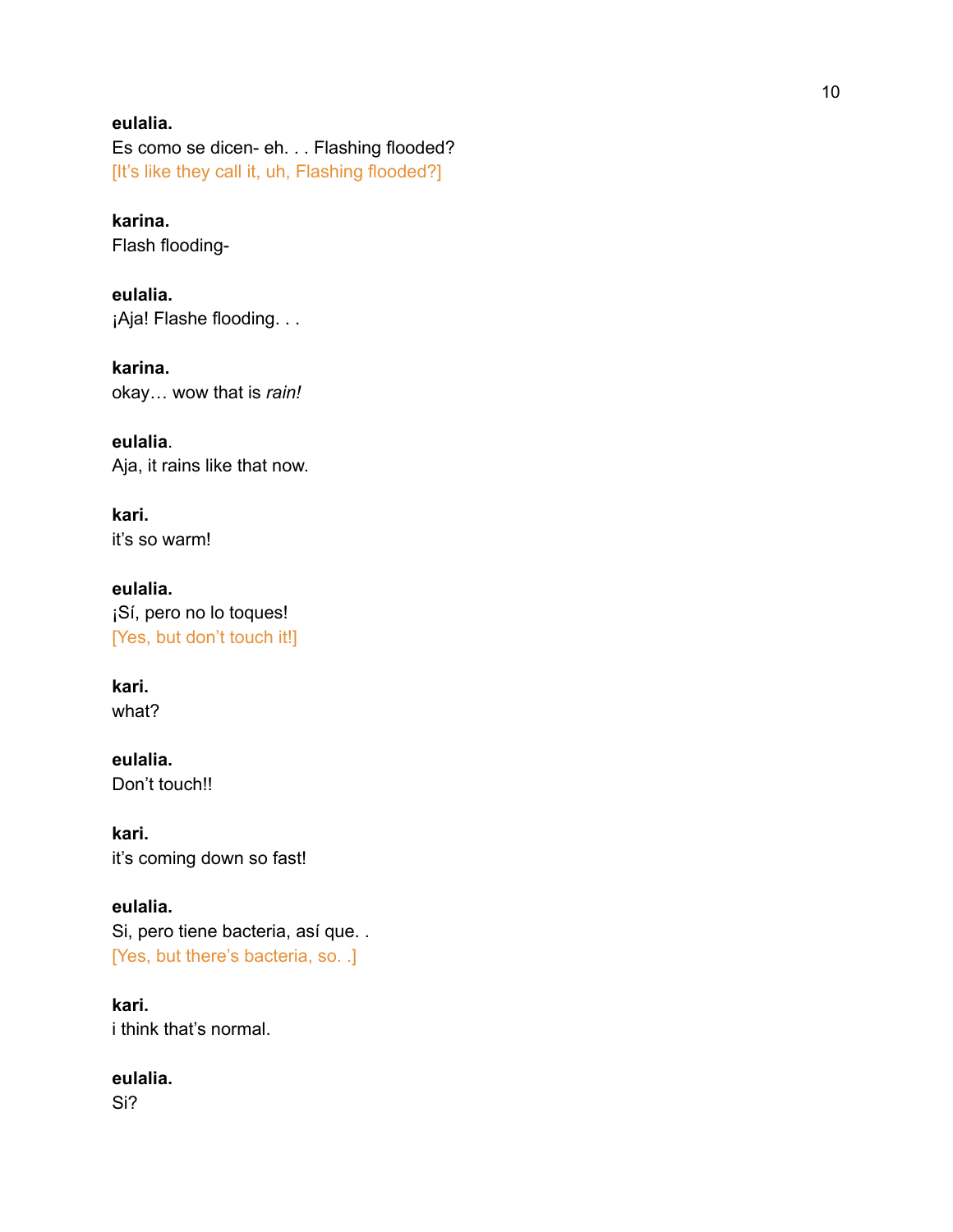# **eulalia.**

Es como se dicen- eh. . . Flashing flooded? [It's like they call it, uh, Flashing flooded?]

**karina.** Flash flooding-

**eulalia.** ¡Aja! Flashe flooding. . .

**karina.** okay… wow that is *rain!*

**eulalia**. Aja, it rains like that now.

**kari.** it's so warm!

**eulalia.** ¡Sí, pero no lo toques! [Yes, but don't touch it!]

**kari.** what?

**eulalia.** Don't touch!!

**kari.** it's coming down so fast!

**eulalia.** Si, pero tiene bacteria, así que. . [Yes, but there's bacteria, so. .]

**kari.** i think that's normal.

**eulalia.**

Si?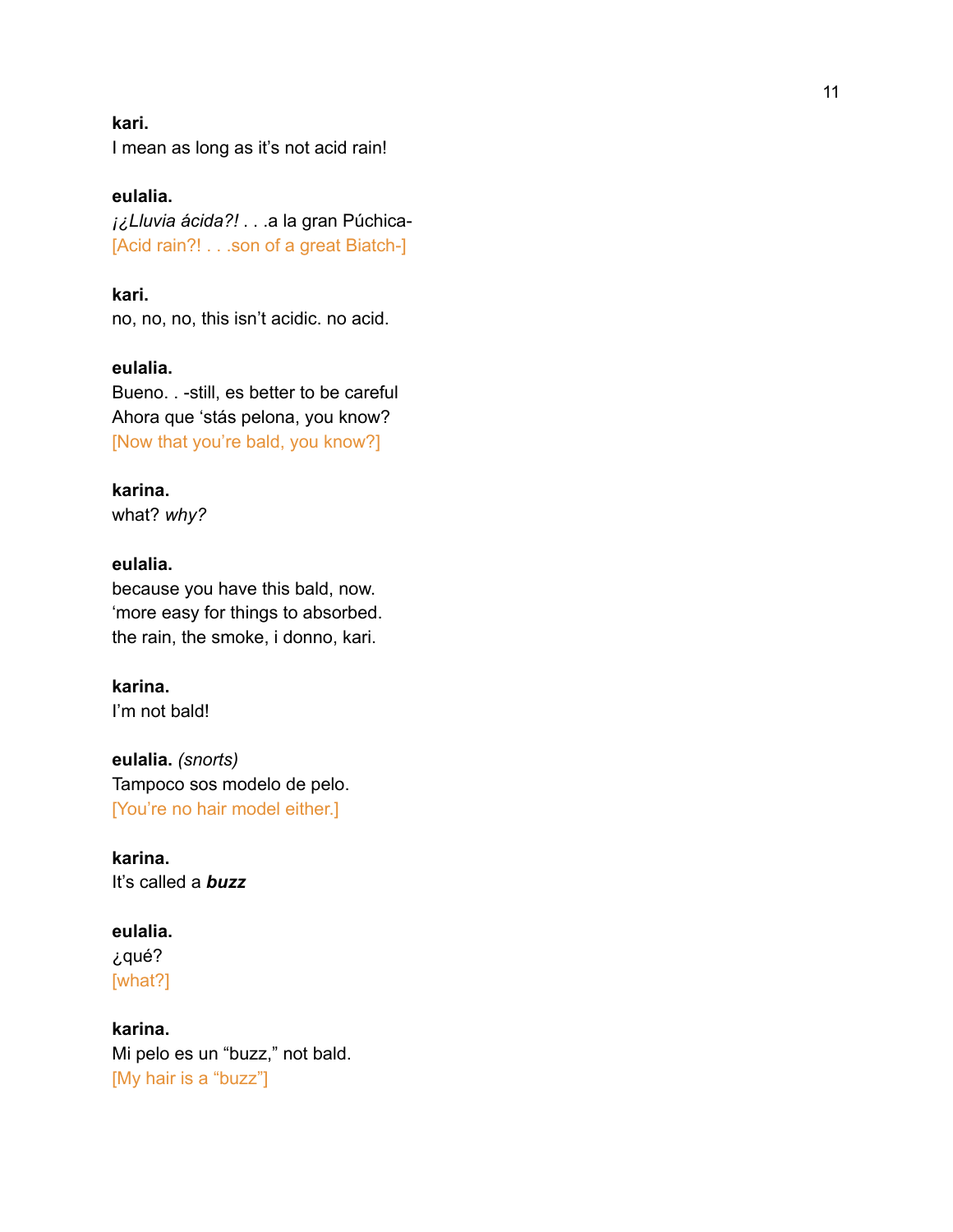#### **k a r i .**

I mean as long as it's not acid rain!

**eulalia.** *¡¿Lluvia ácida?!* . . .a la gran Púchic a - [Acid rain?! . . . son of a great Biatch-]

**k a r i .** no, no, no, this isn't acidic. no acid.

**eulalia.** Bueno. . -still, es better to be careful Ahora que 'stás pelona, you know? [Now that you're bald, you know?]

**karina.**

what? *why?*

# **eulalia.**

because you have this bald, now. 'more easy for things to absorbed. the rain, the smoke, i donno, kari.

**karina.**

I'm not bald!

**eulalia.** *(snorts)* Tampoco sos modelo de pelo. [You're no hair model either.]

**karina.** It's called a *buzz*

**eulalia.** ¿qué? [what?]

**karina.** Mi pelo es un "buzz," not bald. [My hair is a "buzz"]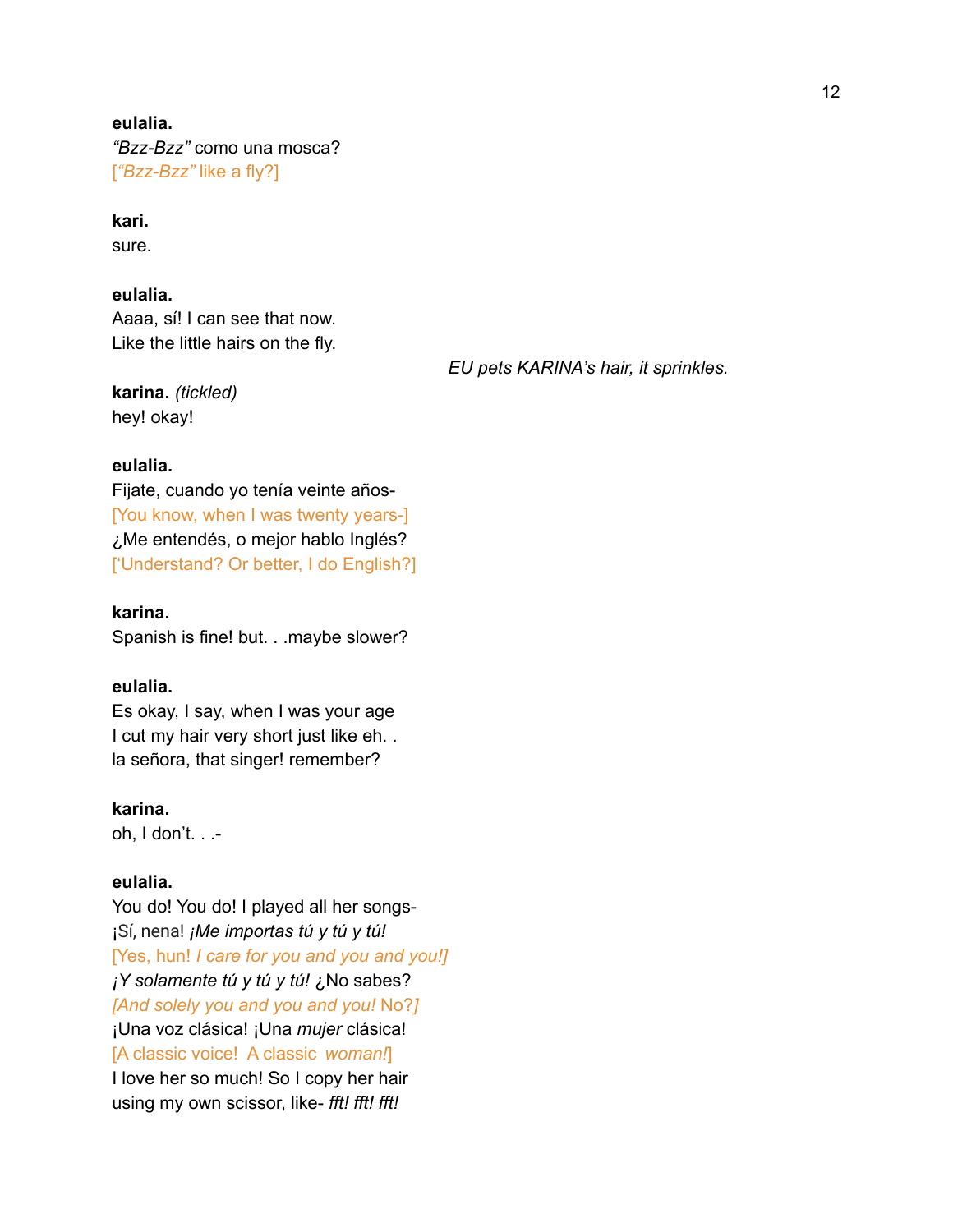# **eulalia.** *"Bzz-Bzz"* como una mosca? [*"Bzz-Bzz"* like a fly?]

# **kari.**

sure.

# **eulalia.**

Aaaa, sí! I can see that now. Like the little hairs on the fly.

**karina.** *(tickled)* hey! okay!

*EU pets KARINA's hair, it sprinkles.*

# **eulalia.**

Fijate, cuando yo tenía veinte años- [You know, when I was twenty years-] ¿Me entendés, o mejor hablo Inglés? ['Understand? Or better, I do English?]

**karina.**

Spanish is fine! but. . .maybe slower?

## **eulalia.**

Es okay, I say, when I was your age I cut my hair very short just like eh... la señora, that singer! remember?

**karina.** oh, I don't. . .-

# **eulalia.**

You do! You do! I played all her songs- ¡Sí, nena! *¡Me importas tú y tú y tú!* [Yes, hun! *I care for you and you and you!] ¡Y solamente tú y tú y tú!* ¿No sabes? *[And solely you and you and you!* No?*]* ¡Una voz clásica! ¡Una *mujer* clásica! [A classic voice! A classic *woman!*] I love her so much! So I copy her hair using my own scissor, like- *fft! fft! fft!*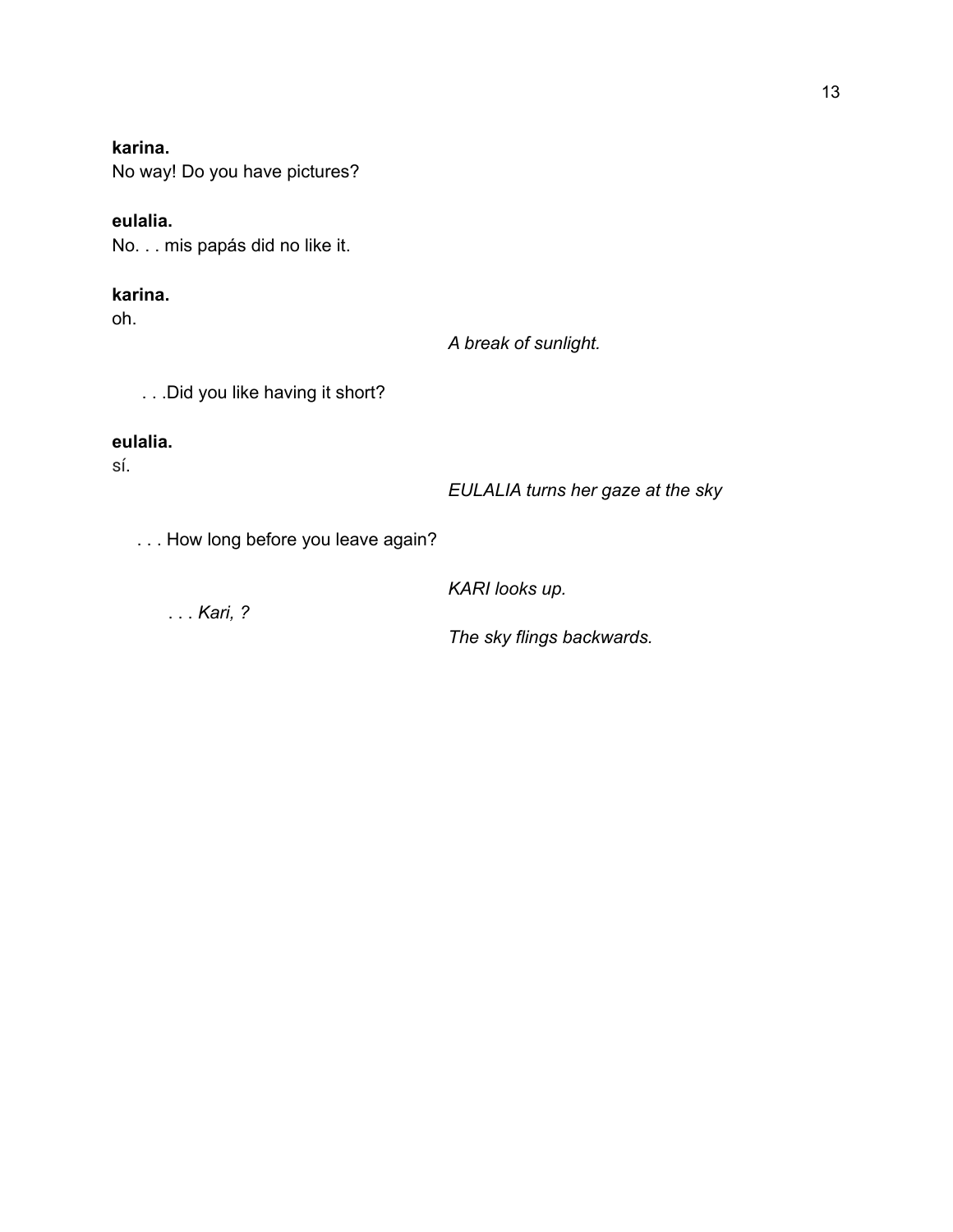# **karina.**

No way! Do you have pictures?

# **eulalia.**

No. . . mis papás did no like it.

# **karina.**

oh.

*A break of sunlight.*

. . .Did you like having it short?

# **eulalia.**

sí.

*EULALIA turns her gaze at the sky*

. . . How long before you leave again?

*KARI looks up.*

. . . *Kari, ?*

*The sky flings backwards.*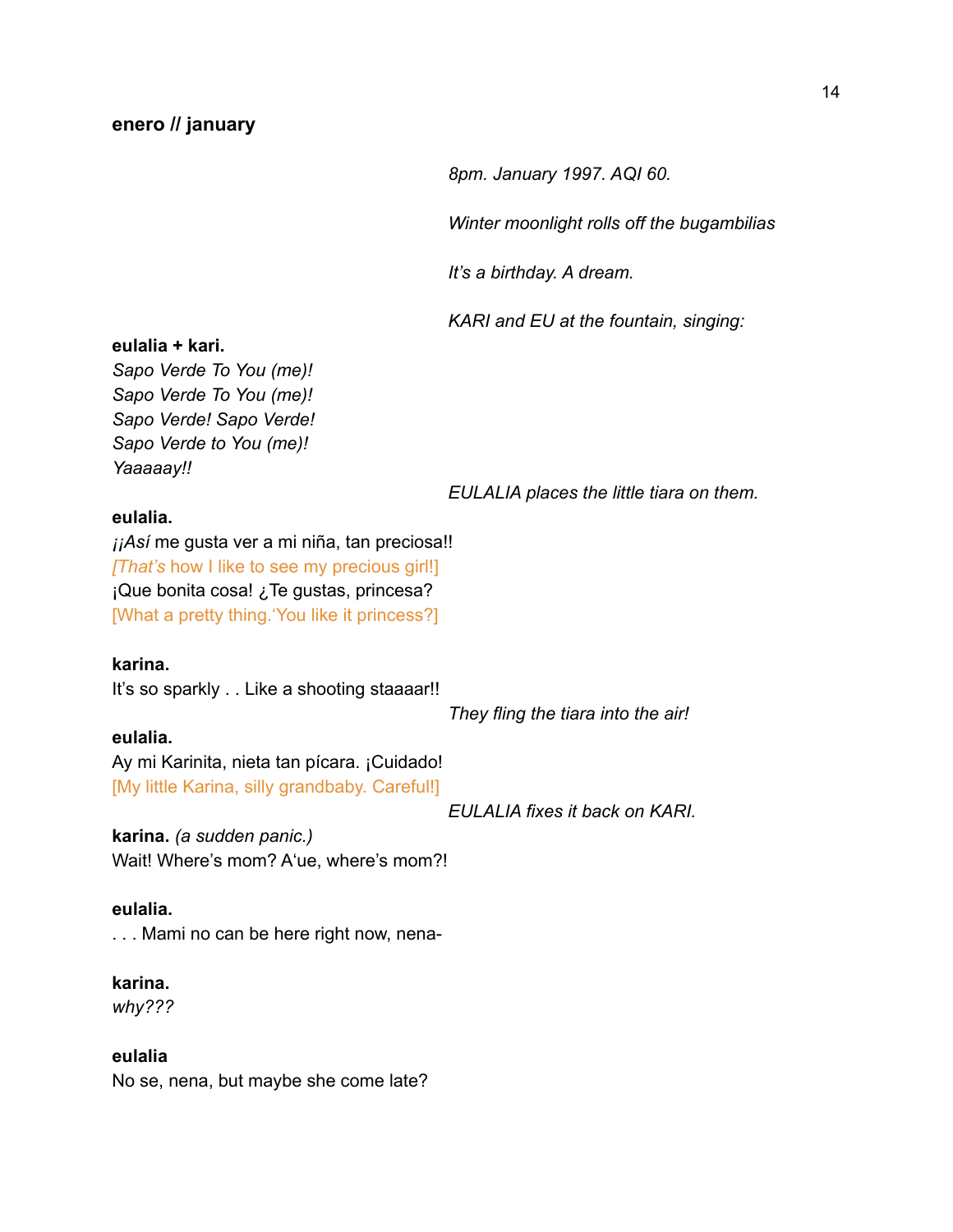*8pm. January 1997. AQI 60.*

*Winter moonlight rolls off the bugambilias*

*It's a birthday. A dream.*

*KARI and EU at the fountain, singing:*

#### **eulalia + kari.**

*Sapo Verde To You (me)! Sapo Verde To You (me)! Sapo Verde! Sapo Verde! Sapo Verde to You (me)! Yaaaaay!!*

*EULALIA places the little tiara on them.*

## **eulalia.**

*¡¡Así* me gusta ver a mi niña, tan preciosa!! *[That's* how I like to see my precious girl!] ¡Que bonita cosa! ¿Te gustas, princesa? [What a pretty thing.'You like it princess?]

#### **karina.**

It's so sparkly . . Like a shooting staaaar!!

**eulalia.**

*They fling the tiara into the air!*

Ay mi Karinita, nieta tan pícara. ¡Cuidado! [My little Karina, silly grandbaby. Careful!]

*EULALIA fixes it back on KARI.*

**karina.** *(a sudden panic.)* Wait! Where's mom? A'ue, where's mom?!

#### **eulalia.**

. . . Mami no can be here right now, nena-

## **karina.**

*why???*

# **eulalia**

No se, nena, but maybe she come late?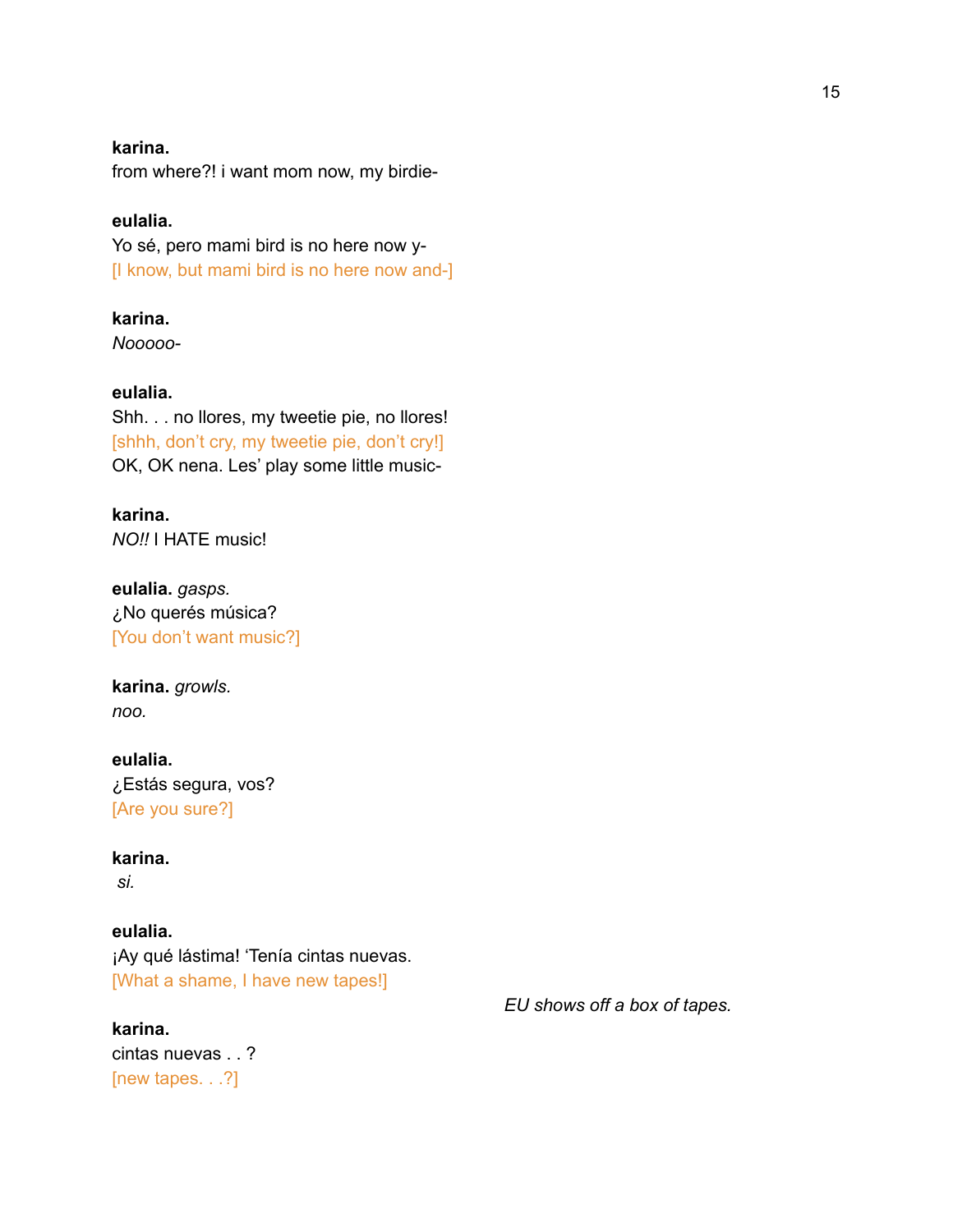# **karina.**

from where?! i want mom now, my birdie-

# **eulalia.**

Yo sé, pero mami bird is no here now y- [I know, but mami bird is no here now and-]

## **karina.**

*Nooooo-*

## **eulalia.**

Shh. . . no llores, my tweetie pie, no llores! [shhh, don't cry, my tweetie pie, don't cry!] OK, OK nena. Les' play some little music-

# **karina.**

*NO!!* I HATE music!

**eulalia.** *gasps.* ¿No querés música? [You don't want music?]

# **karina.** *growls. noo.*

# **eulalia.** ¿Estás segura, vos? [Are you sure?]

# **karina.**

*si.*

# **eulalia.**

¡Ay qué lástima! 'Tenía cintas nuevas. [What a shame, I have new tapes!]

# **karina.**

cintas nuevas . . ? [new tapes. . .?]

*EU shows off a box of tapes.*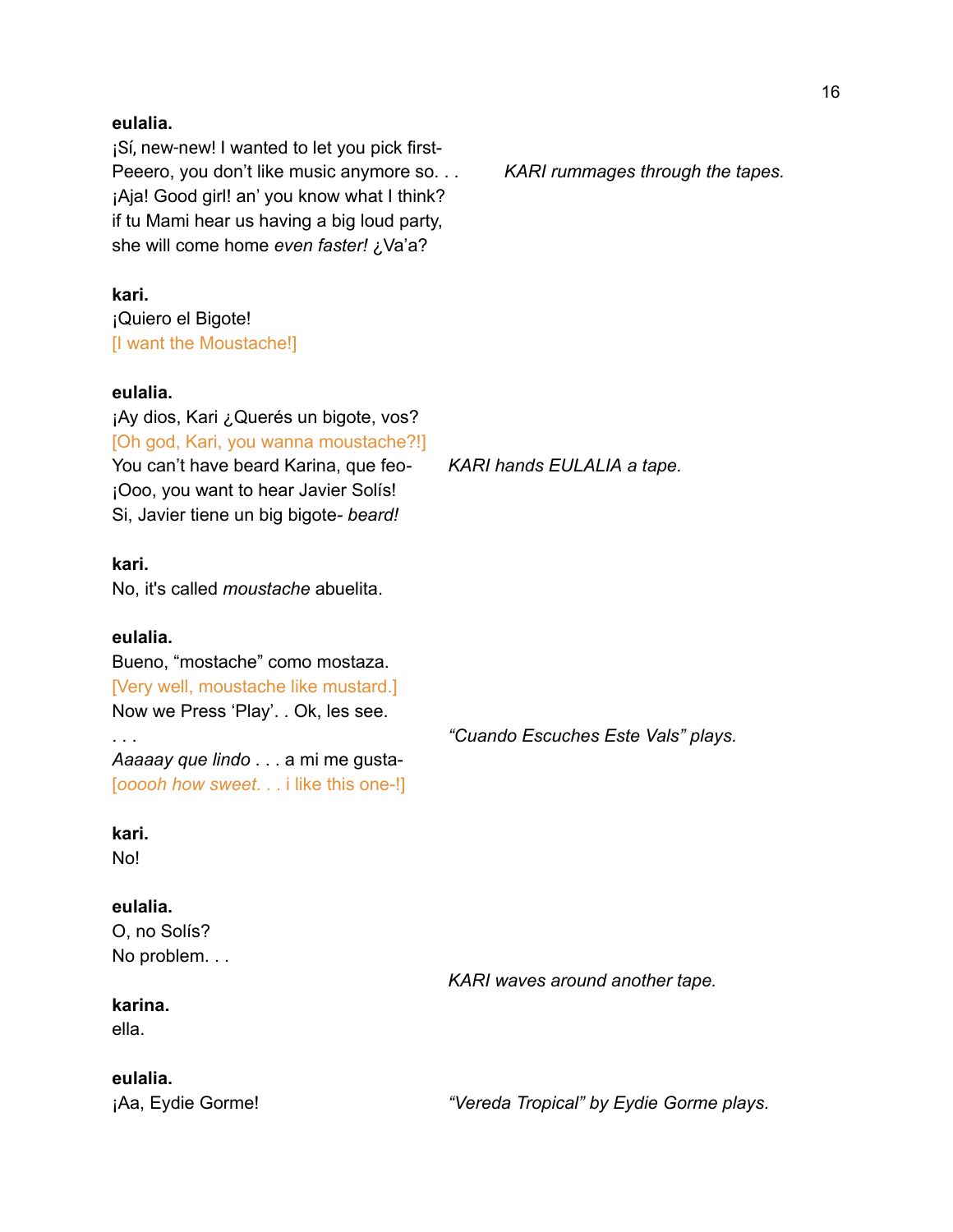#### **eulalia.**

¡Sí, new-new! I wanted to let you pick first-Peeero, you don't like music anymore so. . . *KARI rummages through the tapes.* ¡Aja! Good girl! an' you know what I think? if tu Mami hear us having a big loud party, she will come home *even faster!* ¿Va'a?

**kari.** ¡Quiero el Bigote! [I want the Moustache!]

#### **eulalia.**

¡Ay dios, Kari ¿Querés un bigote, vos? [Oh god, Kari, you wanna moustache?!] You can't have beard Karina, que feo*- KARI hands EULALIA a tape.* ¡Ooo, you want to hear Javier Solís! Si, Javier tiene un big bigote*- beard!*

## **kari.**

No, it's called *moustache* abuelita.

#### **eulalia.**

Bueno, "mostache" como mostaza. [Very well, moustache like mustard.] Now we Press 'Play'. . Ok, les see.

*Aaaaay que lindo* . . . a mi me gusta- [*ooooh how sweet*. . . i like this one-!]

## **kari.**

No!

# **eulalia.**

O, no Solís? No problem. . .

# **karina.**

ella.

# **eulalia.**

. . . *"Cuando Escuches Este Vals" plays.*

*KARI waves around another tape.*

¡Aa, Eydie Gorme! *"Vereda Tropical" by Eydie Gorme plays.*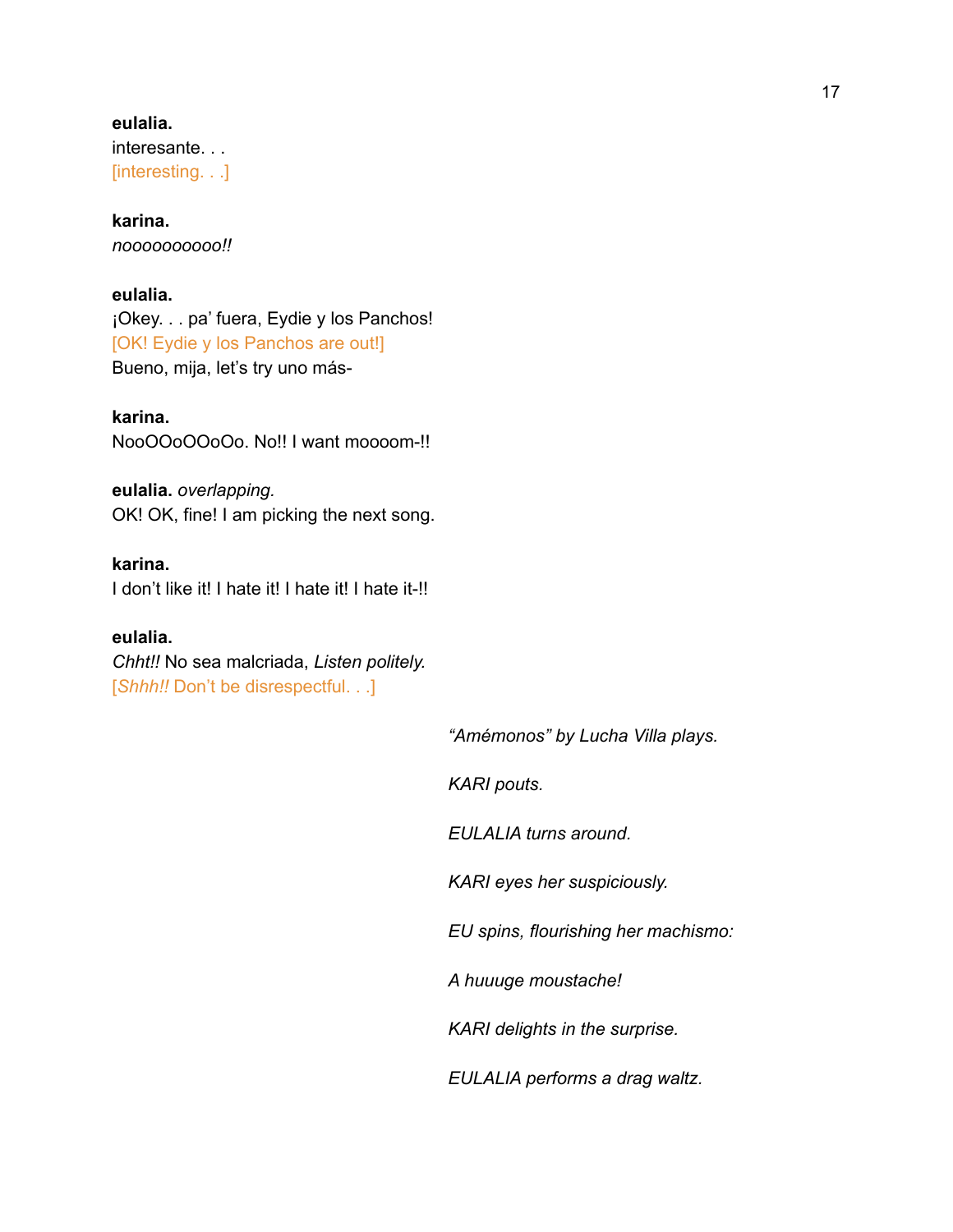# **eulalia.** interesante. . . [interesting. . .]

## **karina.** *noooooooooo!!*

# **eulalia.**

¡Okey. . . pa' fuera, Eydie y los Panchos! [OK! Eydie y los Panchos are out!] Bueno, mija, let's try uno más-

**karina.** NooOOoOOoOo. No!! I want moooom-!!

**eulalia.** *overlapping.* OK! OK, fine! I am picking the next song.

# **karina.**

I don't like it! I hate it! I hate it! I hate it-!!

# **eulalia.**

*Chht!!* No sea malcriada, *Listen politely.* [*Shhh!!* Don't be disrespectful. . .]

*"Amémonos" by Lucha Villa plays.*

*KARI pouts.*

*EULALIA turns around.*

*KARI eyes her suspiciously.*

*EU spins, flourishing her machismo:*

*A huuuge moustache!*

*KARI delights in the surprise.*

*EULALIA performs a drag waltz.*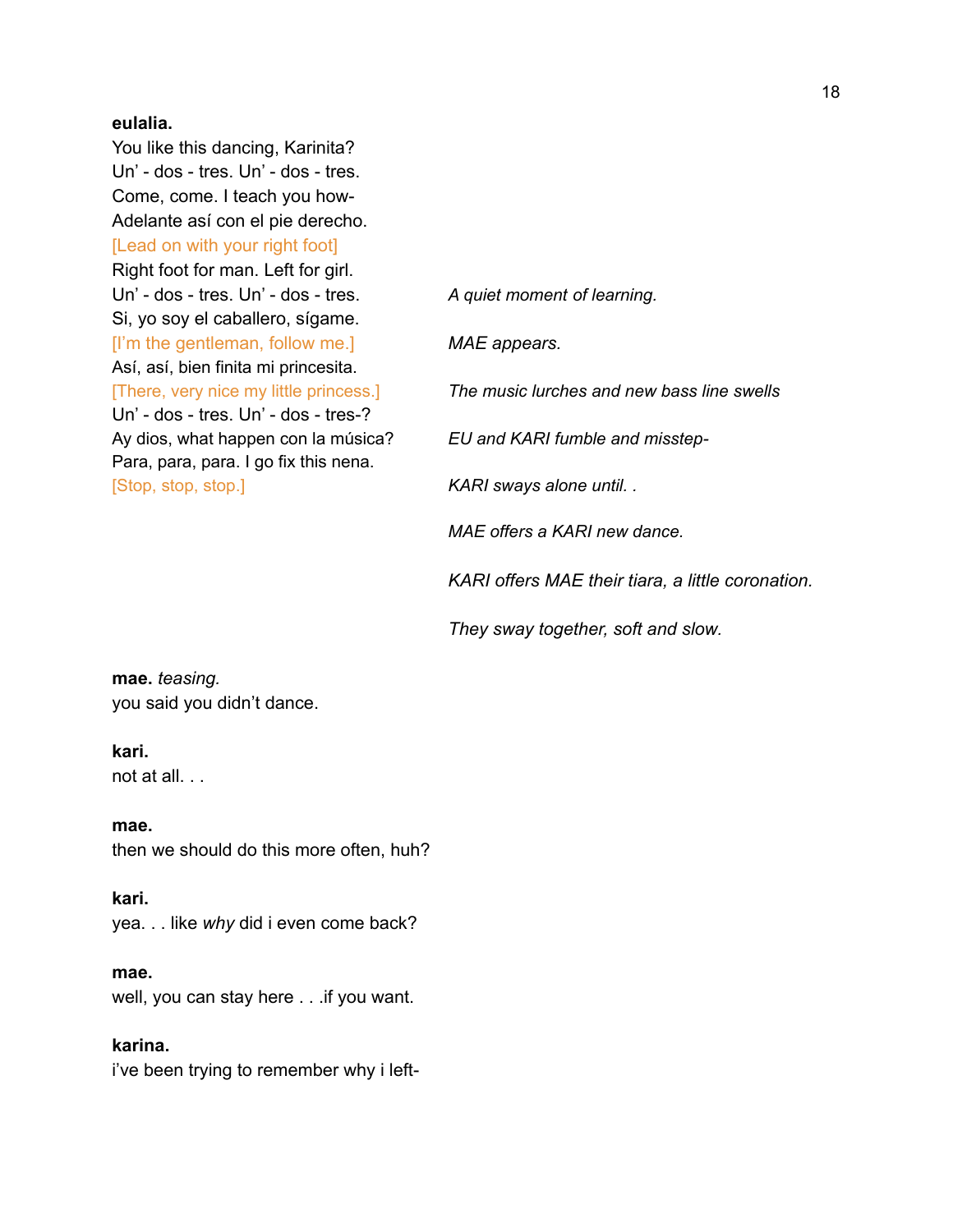#### **eulalia.**

You like this dancing, Karinita? Un' - dos - tres. Un' - dos - tres. Come, come. I teach you how-Adelante así con el pie derecho. [Lead on with your right foot] Right foot for man. Left for girl. Un' - dos - tres. Un' - dos - tres. *A quiet moment of learning.* Si, yo soy el caballero, sígame. [I'm the gentleman, follow me.] *MAE appears.* Así, así, bien finita mi princesita. Un' - dos - tres. Un' - dos - tres-? Para, para, para. I go fix this nena. [Stop, stop, stop.] *KARI sways alone until. .*

[There, very nice my little princess.] *The music lurches and new bass line swells* Ay dios, what happen con la música? *EU and KARI fumble and misstep-MAE offers a KARI new dance. KARI offers MAE their tiara, a little coronation.*

*They sway together, soft and slow.*

**mae.** *teasing.* you said you didn't dance.

## **kari.**

not at all. . .

**mae.** then we should do this more often, huh?

#### **kari.**

yea. . . like *why* did i even come back?

#### **mae.**

well, you can stay here . . .if you want.

# **karina.**

i've been trying to remember why i left-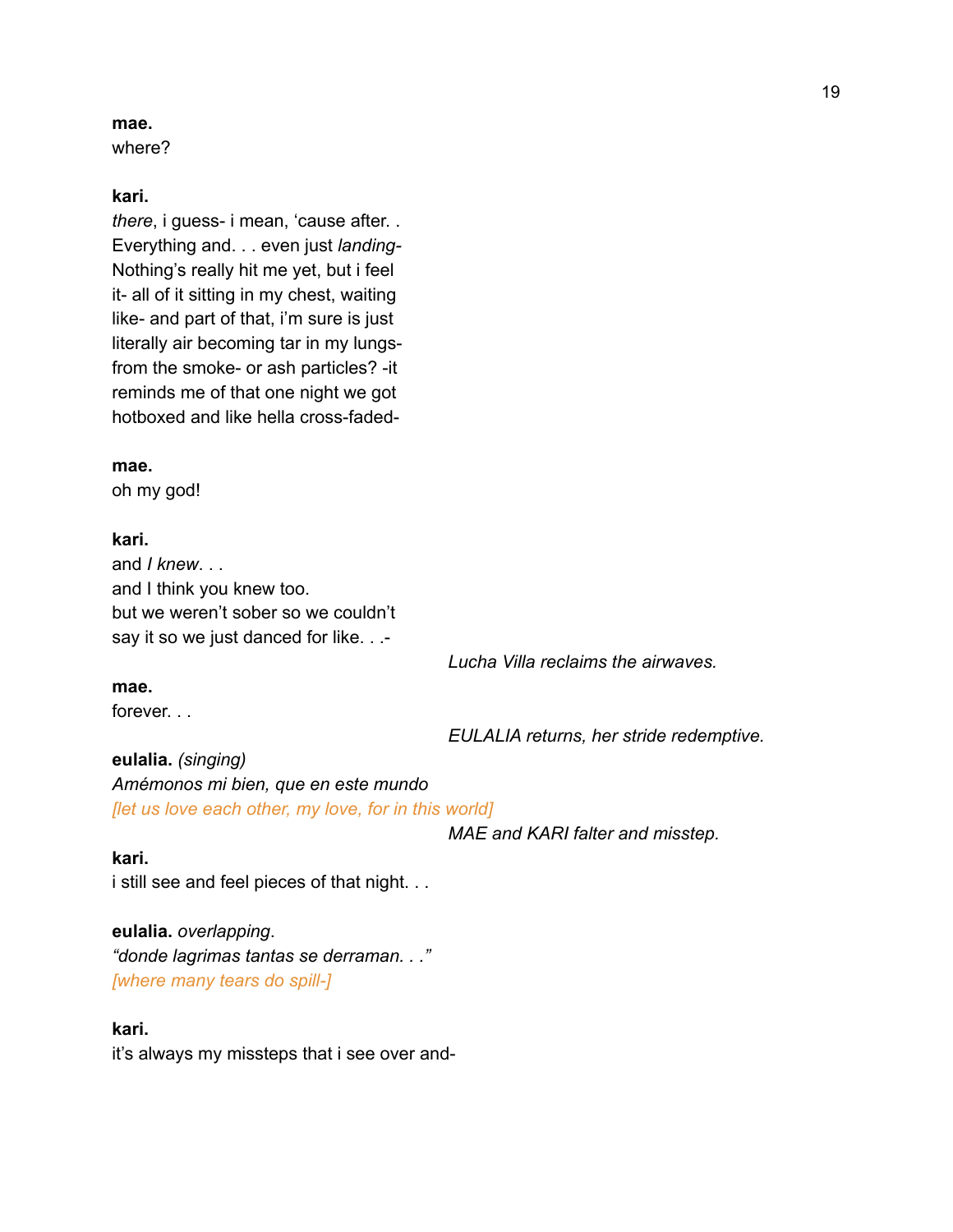#### **mae.**

where?

#### **kari.**

*there*, i guess- i mean, 'cause after. . Everything and. . . even just *landing-*Nothing's really hit me yet, but i feel it- all of it sitting in my chest, waiting like- and part of that, i'm sure is just literally air becoming tar in my lungsfrom the smoke- or ash particles? -it reminds me of that one night we got hotboxed and like hella cross-faded-

**mae.** oh my god!

**kari.** and *I knew*. . . and I think you knew too. but we weren't sober so we couldn't say it so we just danced for like. . .-

*Lucha Villa reclaims the airwaves.*

## **mae.**

forever. . .

*EULALIA returns, her stride redemptive.*

**eulalia.** *(singing) Amémonos mi bien, que en este mundo [let us love each other, my love, for in this world]*

*MAE and KARI falter and misstep.*

#### **kari.**

i still see and feel pieces of that night. . .

**eulalia.** *overlapping*. *"donde lagrimas tantas se derraman. . ." [where many tears do spill-]*

#### **kari.**

it's always my missteps that i see over and-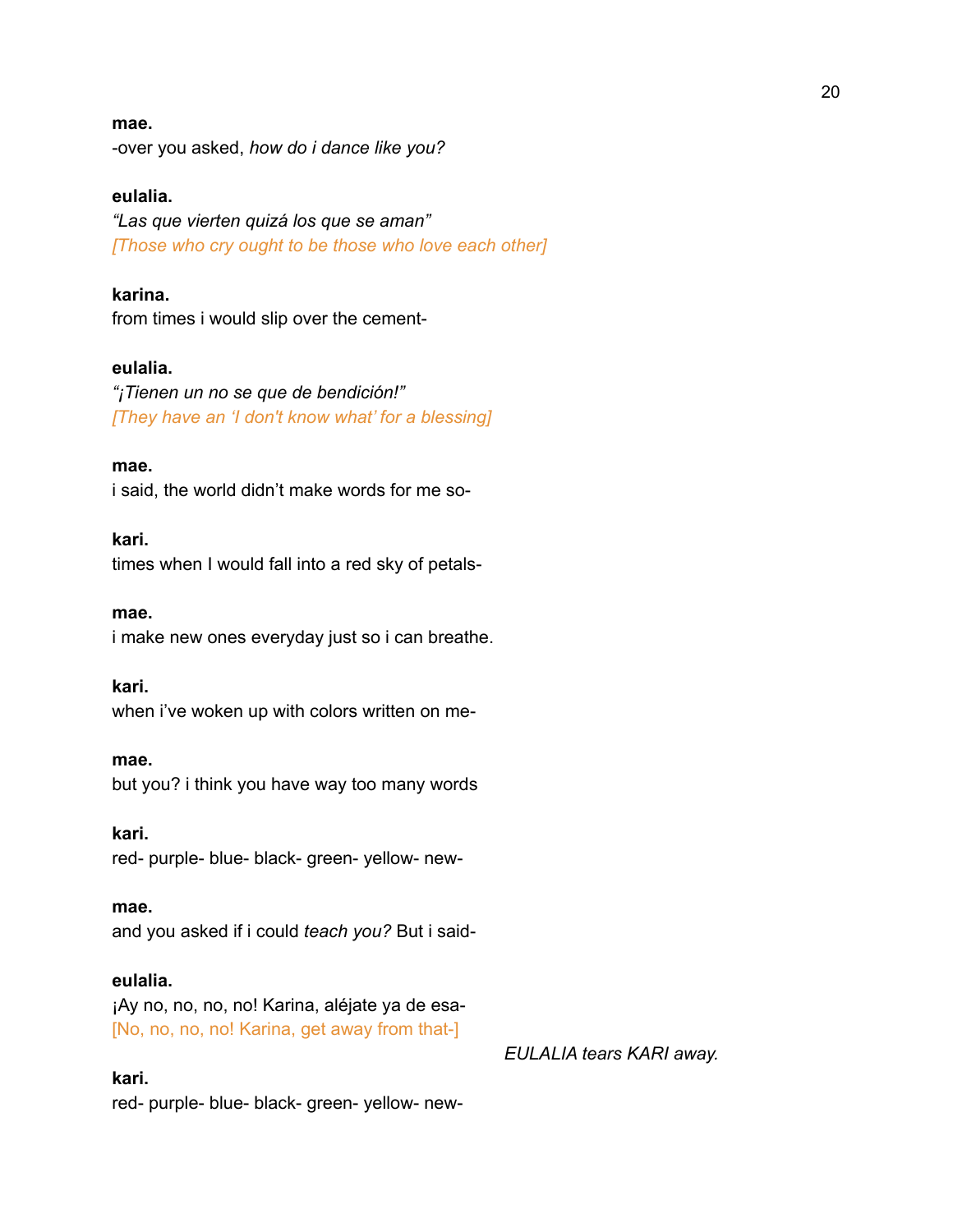#### **mae.**

-over you asked, *how do i dance like you?*

#### **eulalia.**

*"Las que vierten quizá los que se aman" [Those who cry ought to be those who love each other]*

## **karina.**

from times i would slip over the cement-

## **eulalia.**

*"¡Tienen un no se que de bendición!" [They have an 'I don't know what' for a blessing]*

#### **mae.**

i said, the world didn't make words for me so-

#### **kari.**

times when I would fall into a red sky of petals-

**mae.**

i make new ones everyday just so i can breathe.

#### **kari.**

when i've woken up with colors written on me-

#### **mae.**

but you? i think you have way too many words

#### **kari.**

red- purple- blue- black- green- yellow- new-

#### **mae.**

and you asked if i could *teach you?* But i said-

## **eulalia.**

¡Ay no, no, no, no! Karina, aléjate ya de esa- [No, no, no, no! Karina, get away from that-]

#### **kari.**

red- purple- blue- black- green- yellow- new-

#### *EULALIA tears KARI away.*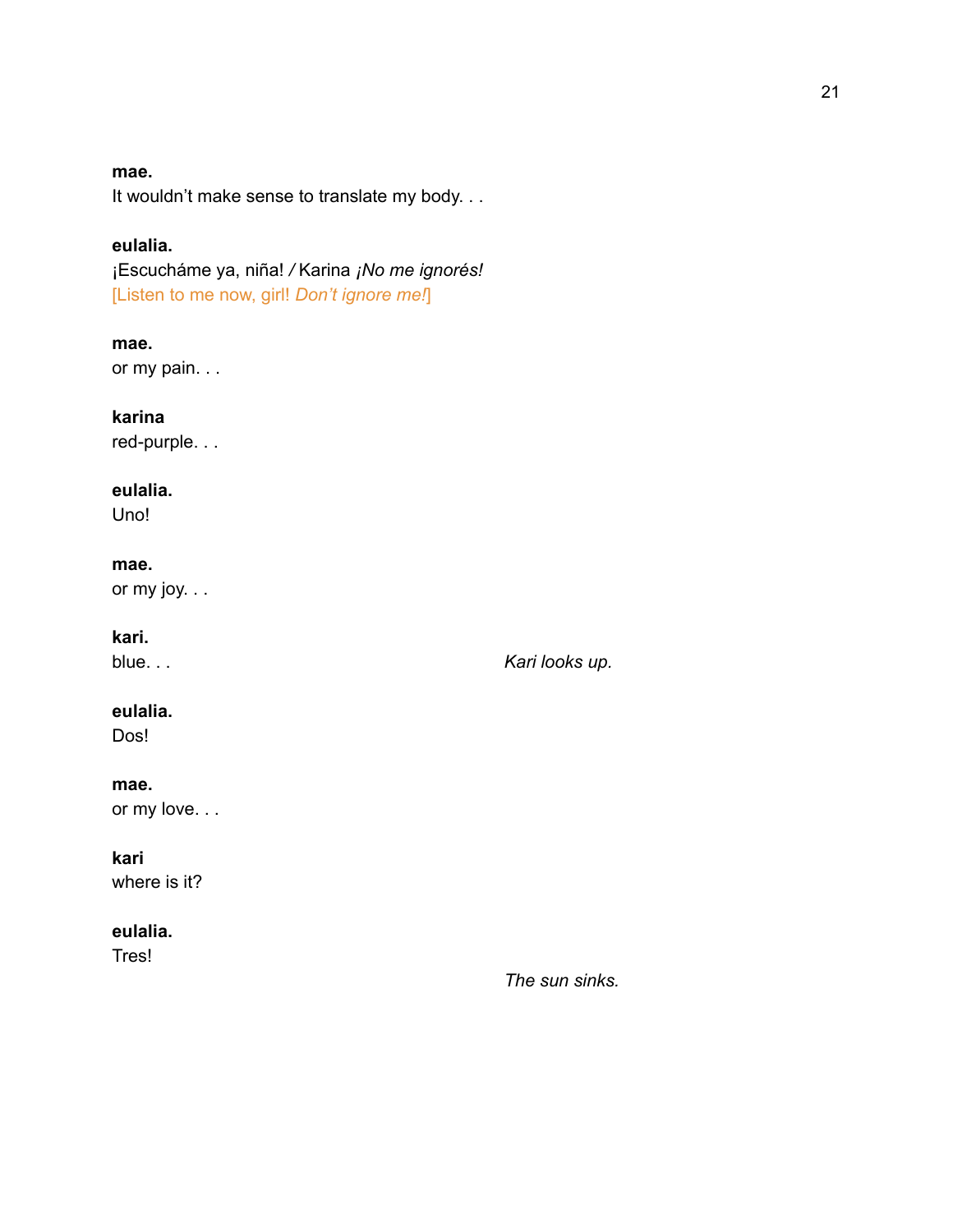#### **mae.**

It wouldn't make sense to translate my body. . .

# **eulalia.**

¡Escucháme ya, niña! */* Karina *¡No me ignorés!* [Listen to me now, girl! *Don't ignore me!*]

# **mae.**

or my pain. . .

# **karina**

red-purple. . .

# **eulalia.**

Uno!

# **mae.**

or my joy. . .

# **kari.**

# blue. . . **Kari** *looks up.* **Kari** *looks up.* **Kari** *looks up.*

**eulalia.**

Dos!

# **mae.**

or my love. . .

# **kari**

where is it?

# **eulalia.**

Tres!

*The sun sinks.*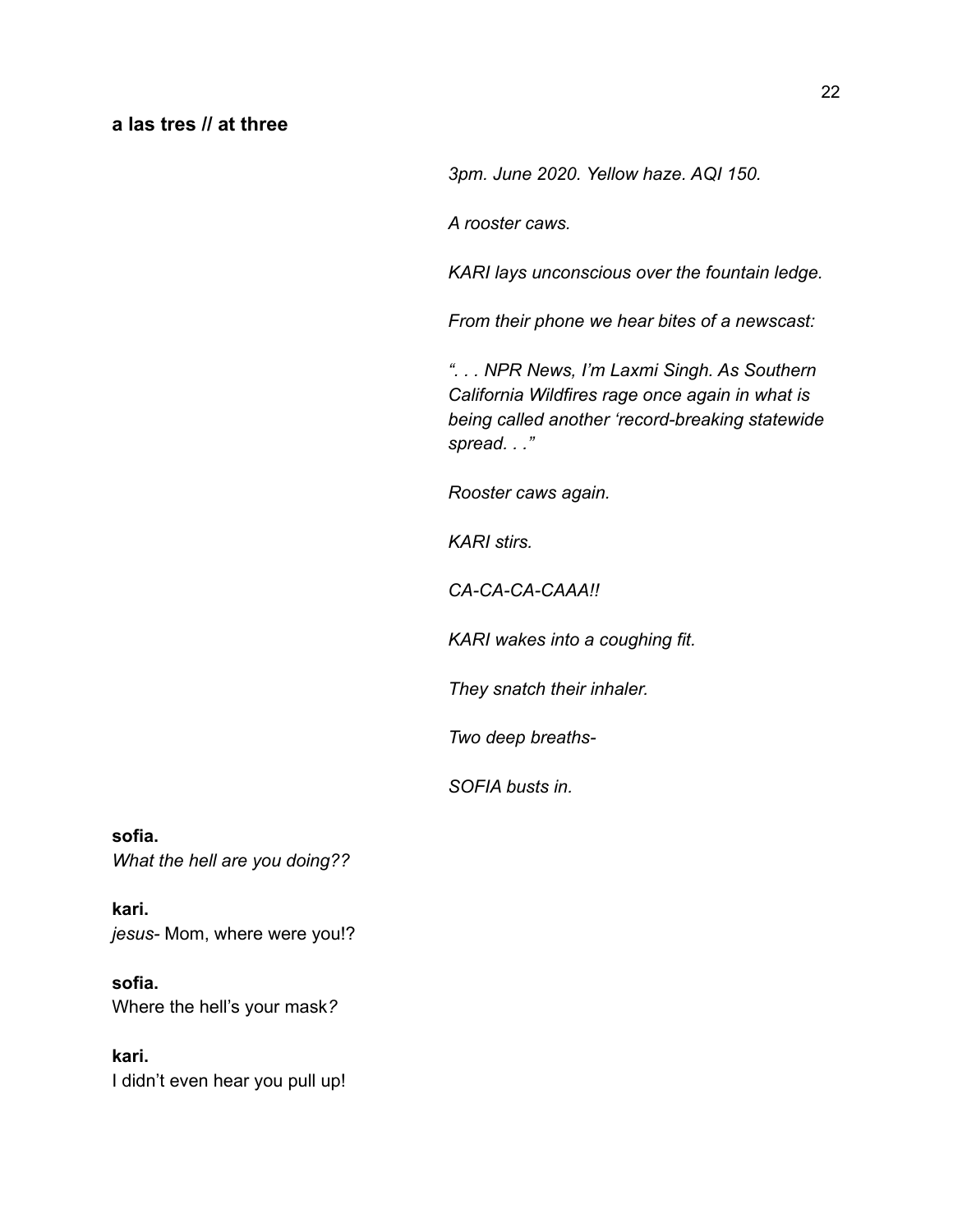## **a las tres // at three**

*3pm. June 2020. Yellow haze. AQI 150.*

*A rooster caws.*

*KARI lays unconscious over the fountain ledge.*

*From their phone we hear bites of a newscast:*

*". . . NPR News, I'm Laxmi Singh. As Southern California Wildfires rage once again in what is being called another 'record-breaking statewide spread. . ."*

*Rooster caws again.*

*KARI stirs.*

*CA-CA-CA-CAAA!!*

*KARI wakes into a coughing fit.*

*They snatch their inhaler.*

*Two deep breaths-*

*SOFIA busts in.*

**sofia.** *What the hell are you doing??*

**kari.** *jesus-* Mom, where were you!?

**sofia.** Where the hell's your mask*?*

**kari.** I didn't even hear you pull up!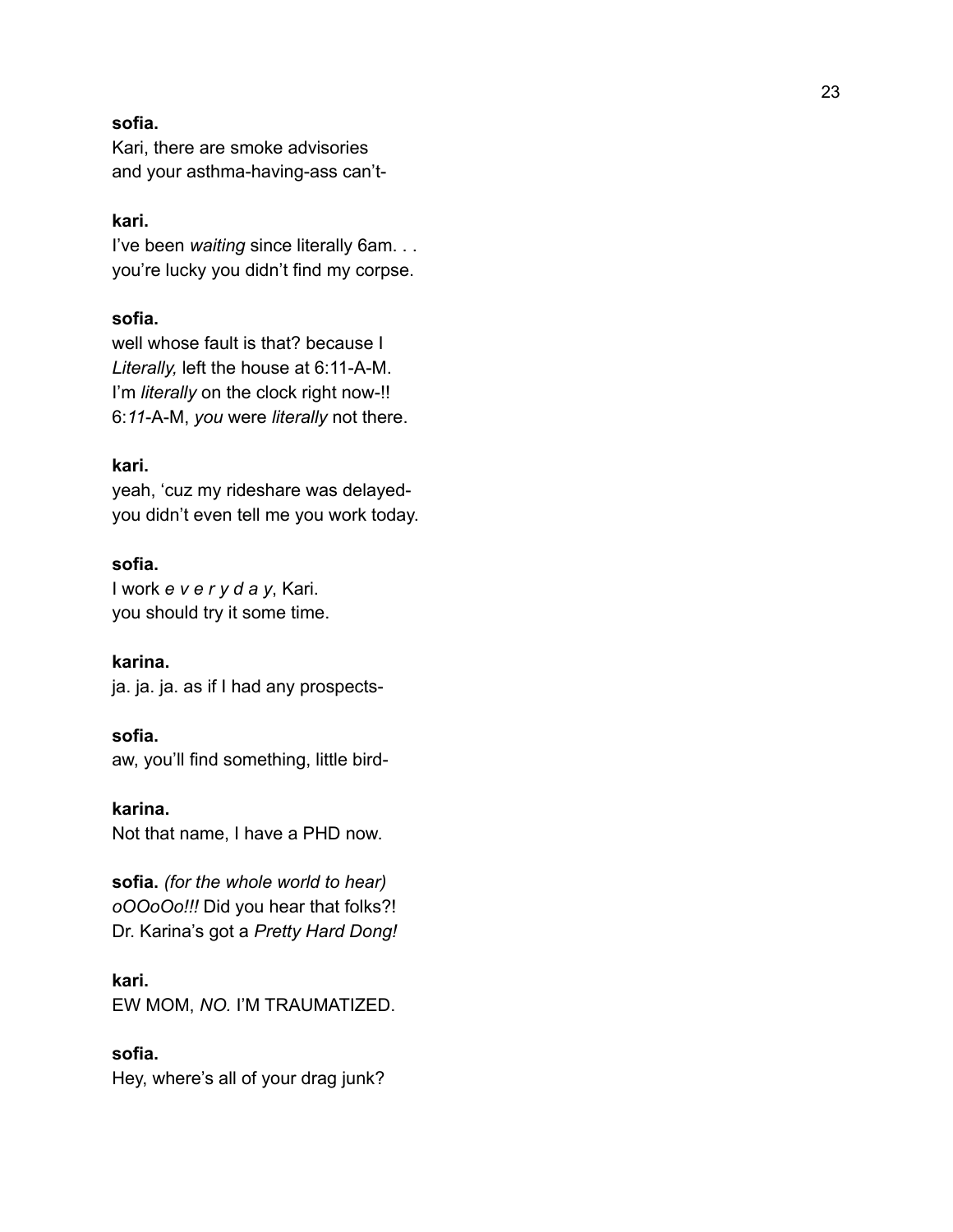#### **s o f i a .**

Kari, there are smoke advisories and your asthma-having-ass can't-

## **k a r i .**

I've been waiting since literally 6am. . . you're lucky you didn't find my corpse.

## **sofia.**

well whose fault is that? because I *Literally,* left the house at 6:11-A-M. I'm *literally* on the clock right now-!! 6:*11*-A-M, *you* were *literally* not there.

#### **kari.**

yeah, 'cuz my rideshare was delayed you didn't even tell me you work today.

# **sofia.**

I work *e v e r y d a y*, Kari. you should try it some time.

**karina.** ja. ja. ja. as if I had any prospects-

## **sofia.**

aw, you'll find something, little bird-

# **karina.**

Not that name, I have a PHD now.

**sofia.** *(for the whole world to hear) oOOoOo!!!* Did you hear that folks?! Dr. Karina's got a *Pretty Hard Dong!*

#### **kari.**

EW MOM, *NO.* I'M TRAUMATIZED.

## **sofia.**

Hey, where's all of your drag junk?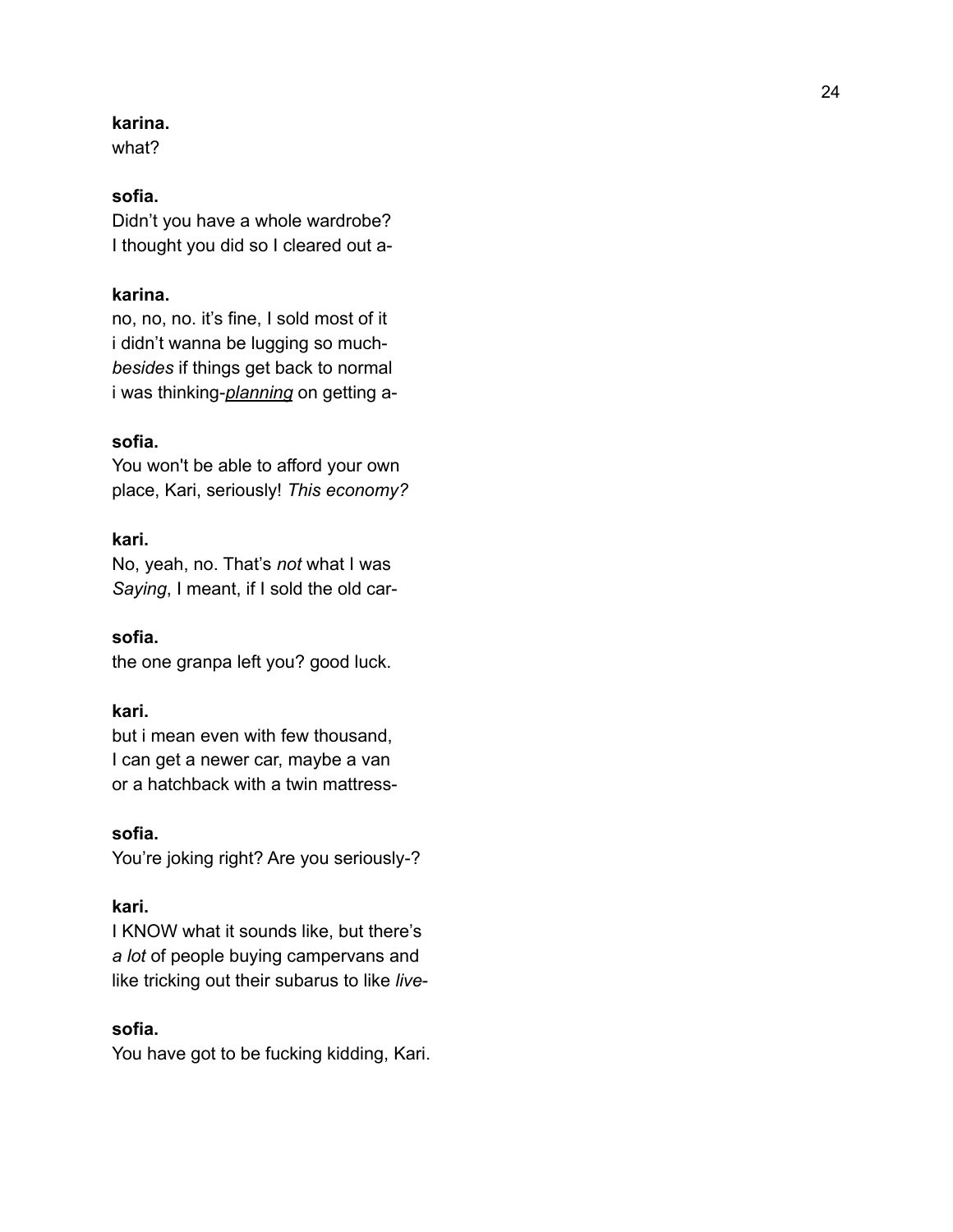## **k a r i n a .**

what?

## **s o f i a .**

Didn't you have a whole wardrobe? I thought you did so I cleared out a-

## **karina.**

no, no, no. it's fine, I sold most of it i didn't wanna be lugging so much *besides* if things get back to normal i was thinking-*planning* on getting a -

#### **s o f i a .**

You won't be able to afford your own place, Kari, seriously! This economy?

#### **k a r i .**

No, yeah, no. That's not what I was Saying, I meant, if I sold the old car-

#### **s o f i a .**

the one granpa left you? good luck.

## **kari.**

but i mean even with few thousand, I can get a newer car, maybe a van or a hatchback with a twin mattress -

#### **s o f i a .**

You're joking right? Are you seriously-?

#### **k a r i .**

I KNOW what it sounds like, but there's a lot of people buying campervans and like tricking out their subarus to like *live* -

## **s o f i a .**

You have got to be fucking kidding, Kari.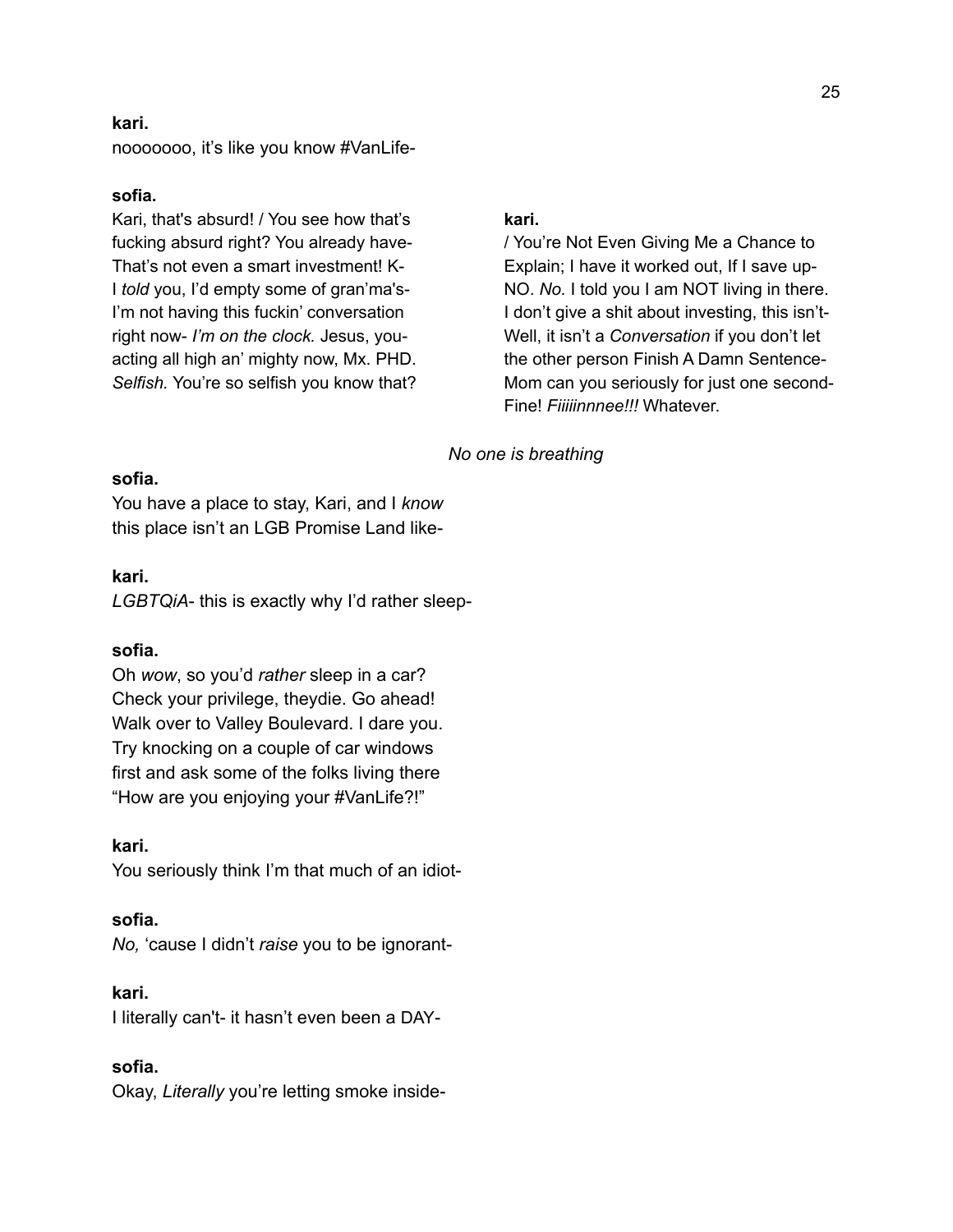#### **kari.**

nooooooo, it's like you know #VanLife-

#### **sofia.**

Kari, that's absurd! / You see how that's fucking absurd right? You already have-That's not even a smart investment! K-I *told* you, I'd empty some of gran'ma's-I'm not having this fuckin' conversation right now- *I'm on the clock.* Jesus, youacting all high an' mighty now, Mx. PHD. *Selfish.* You're so selfish you know that?

# **kari.**

/ You're Not Even Giving Me a Chance to Explain; I have it worked out, If I save up-NO. *No.* I told you I am NOT living in there. I don't give a shit about investing, this isn't-Well, it isn't a *Conversation* if you don't let the other person Finish A Damn Sentence-Mom can you seriously for just one second-Fine! *Fiiiiinnnee!!!* Whatever.

## *No one is breathing*

# **sofia.**

You have a place to stay, Kari, and I *know* this place isn't an LGB Promise Land like-

#### **kari.**

*LGBTQiA*- this is exactly why I'd rather sleep-

#### **sofia.**

Oh *wow*, so you'd *rather* sleep in a car? Check your privilege, theydie. Go ahead! Walk over to Valley Boulevard. I dare you. Try knocking on a couple of car windows first and ask some of the folks living there "How are you enjoying your #VanLife?!"

# **kari.**

You seriously think I'm that much of an idiot-

#### **sofia.**

*No,* 'cause I didn't *raise* you to be ignorant-

#### **kari.**

I literally can't- it hasn't even been a DAY-

## **sofia.**

Okay, *Literally* you're letting smoke inside-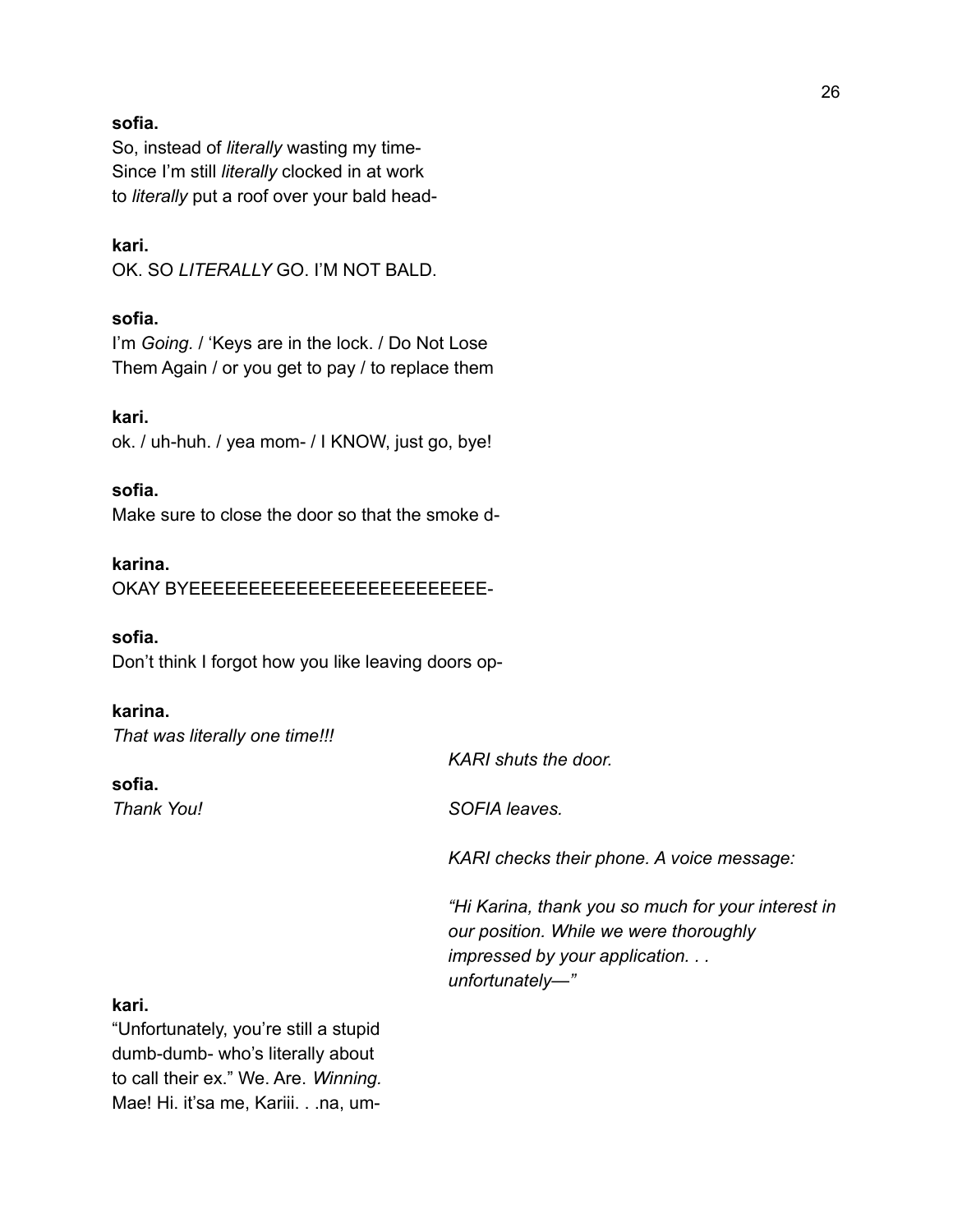#### **sofia.**

So, instead of *literally* wasting my time-Since I'm still *literally* clocked in at work to *literally* put a roof over your bald head-

**kari.** OK. SO *LITERALLY* GO. I'M NOT BALD.

# **sofia.**

I'm *Going.* / 'Keys are in the lock. / Do Not Lose Them Again / or you get to pay / to replace them

#### **kari.**

ok. / uh-huh. / yea mom- / I KNOW, just go, bye!

#### **sofia.**

Make sure to close the door so that the smoke d-

# **karina.**

OKAY BYEEEEEEEEEEEEEEEEEEEEEEEEE-

#### **sofia.**

Don't think I forgot how you like leaving doors op-

#### **karina.**

*That was literally one time!!!*

| sofia.  |  |
|---------|--|
| ThankVA |  |

*KARI shuts the door.*

*Thank You! SOFIA leaves.*

*KARI checks their phone. A voice message:*

*"Hi Karina, thank you so much for your interest in our position. While we were thoroughly impressed by your application. . . unfortunately—"*

## **kari.**

"Unfortunately, you're still a stupid dumb-dumb- who's literally about to call their ex." We. Are. *Winning.* Mae! Hi. it'sa me, Kariii. . .na, um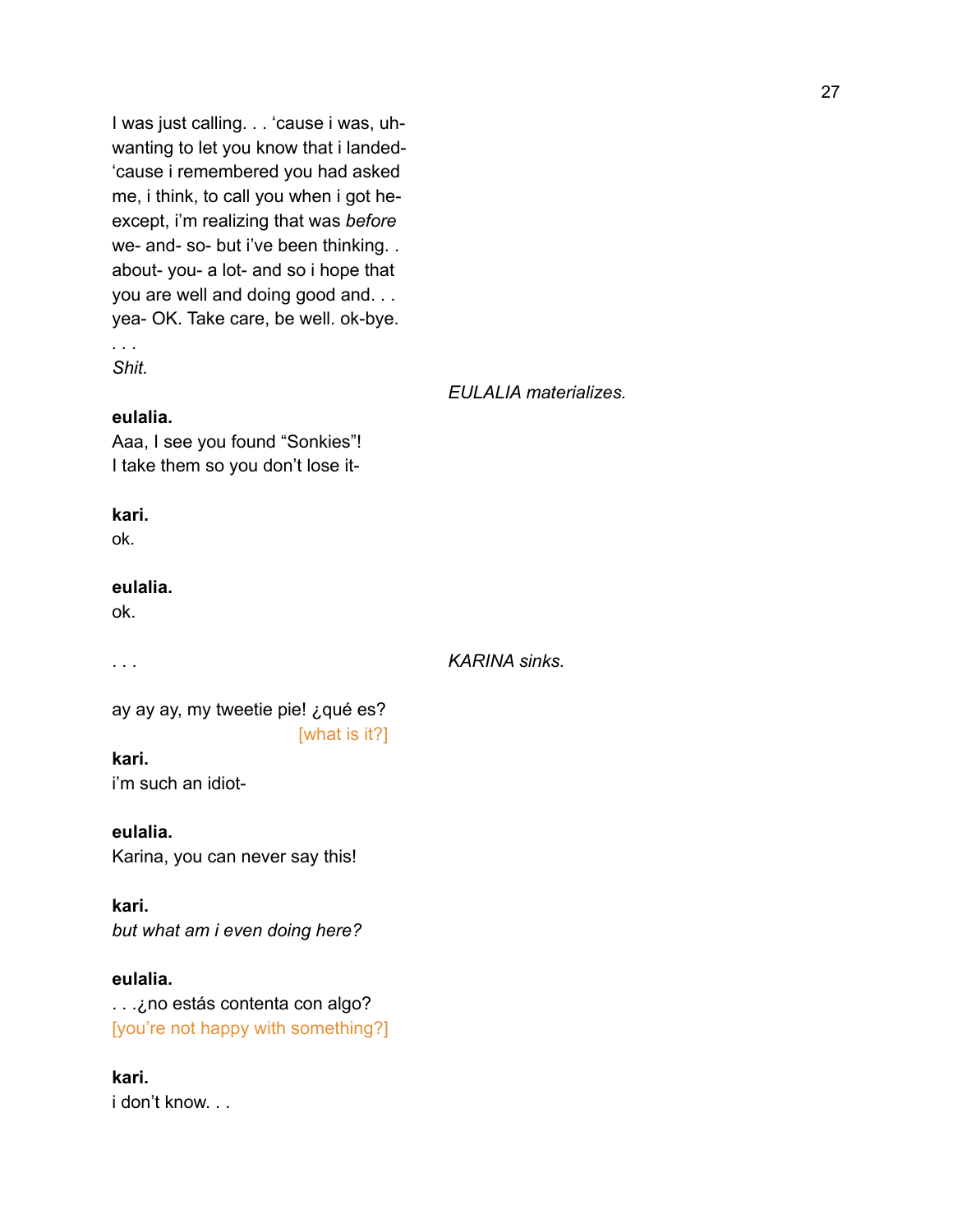I was just calling. . . 'cause i was, uhwanting to let you know that i landed- 'cause i remembered you had asked me, i think, to call you when i got heexcept, i'm realizing that was *before* we- and- so- but i've been thinking. . about- you- a lot- and so i hope that you are well and doing good and. . . yea- OK. Take care, be well. ok-bye. *. . .*

*Shit.*

#### *EULALIA materializes.*

#### **eulalia.**

Aaa, I see you found "Sonkies"! I take them so you don't lose it-

#### **kari.**

ok.

#### **eulalia.**

ok.

. . . *KARINA sinks.*

ay ay ay, my tweetie pie! ¿qué es? [what is it?]

## **kari.**

i'm such an idiot-

**eulalia.** Karina, you can never say this!

**kari.** *but what am i even doing here?*

**eulalia.** . . .¿no estás contenta con algo? [you're not happy with something?]

**kari.** i don't know. . .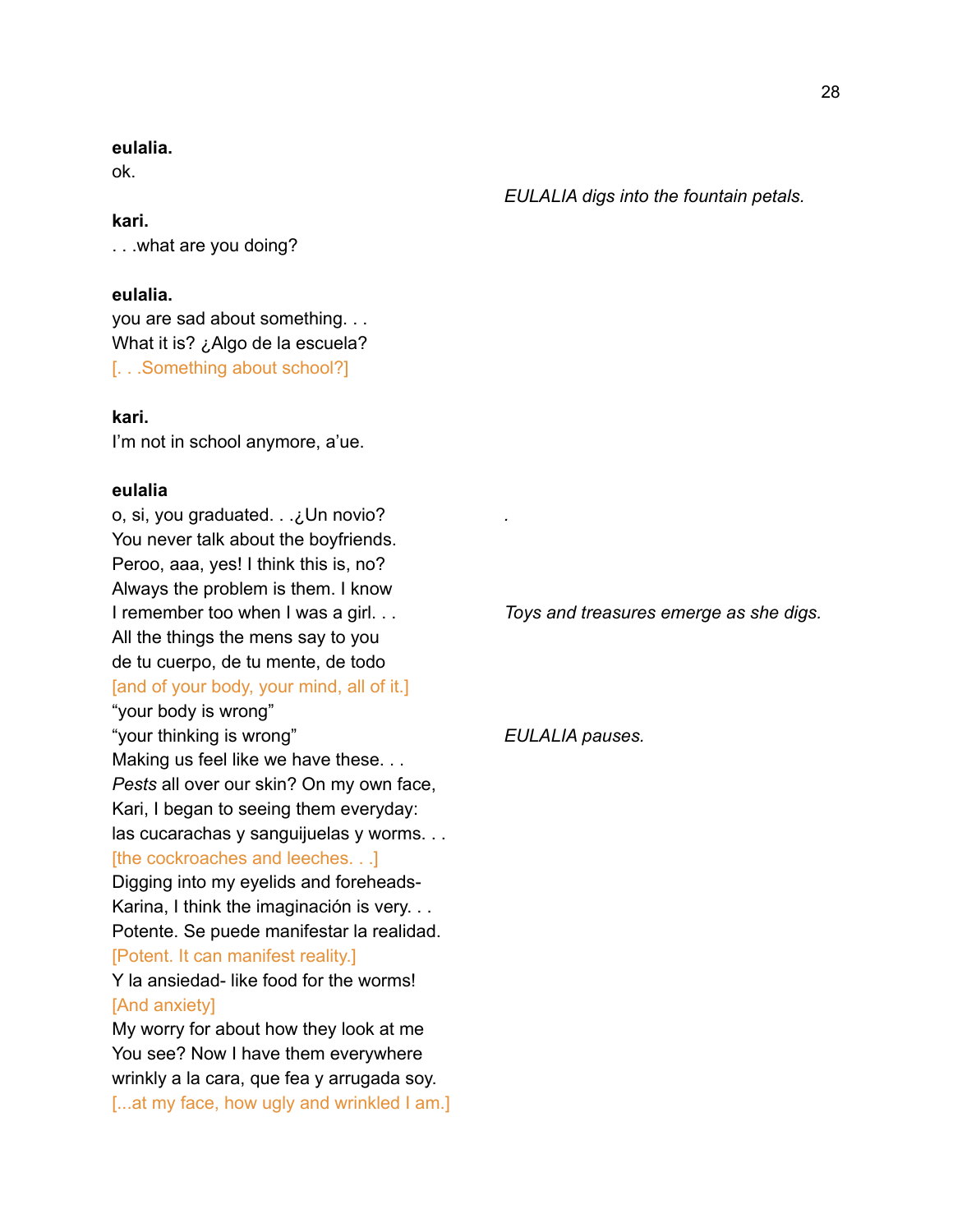#### **eulalia.**

ok.

## **kari.**

. . .what are you doing?

#### **eulalia.**

you are sad about something. . . What it is? ¿Algo de la escuela? [. . .Something about school?]

#### **kari.**

I'm not in school anymore, a'ue.

#### **eulalia**

o, si, you graduated. . .¿Un novio? *.* You never talk about the boyfriends. Peroo, aaa, yes! I think this is, no? Always the problem is them. I know I remember too when I was a girl. . . *Toys and treasures emerge as she digs.* All the things the mens say to you de tu cuerpo, de tu mente, de todo [and of your body, your mind, all of it.] "your body is wrong" "your thinking is wrong" *EULALIA pauses.* Making us feel like we have these. . . *Pests* all over our skin? On my own face, Kari, I began to seeing them everyday: las cucarachas y sanguijuelas y worms. . . [the cockroaches and leeches. . .] Digging into my eyelids and foreheads-Karina, I think the imaginación is very. . . Potente. Se puede manifestar la realidad. [Potent. It can manifest reality.] Y la ansiedad- like food for the worms! [And anxiety] My worry for about how they look at me You see? Now I have them everywhere wrinkly a la cara, que fea y arrugada soy. [...at my face, how ugly and wrinkled I am.]

*EULALIA digs into the fountain petals.*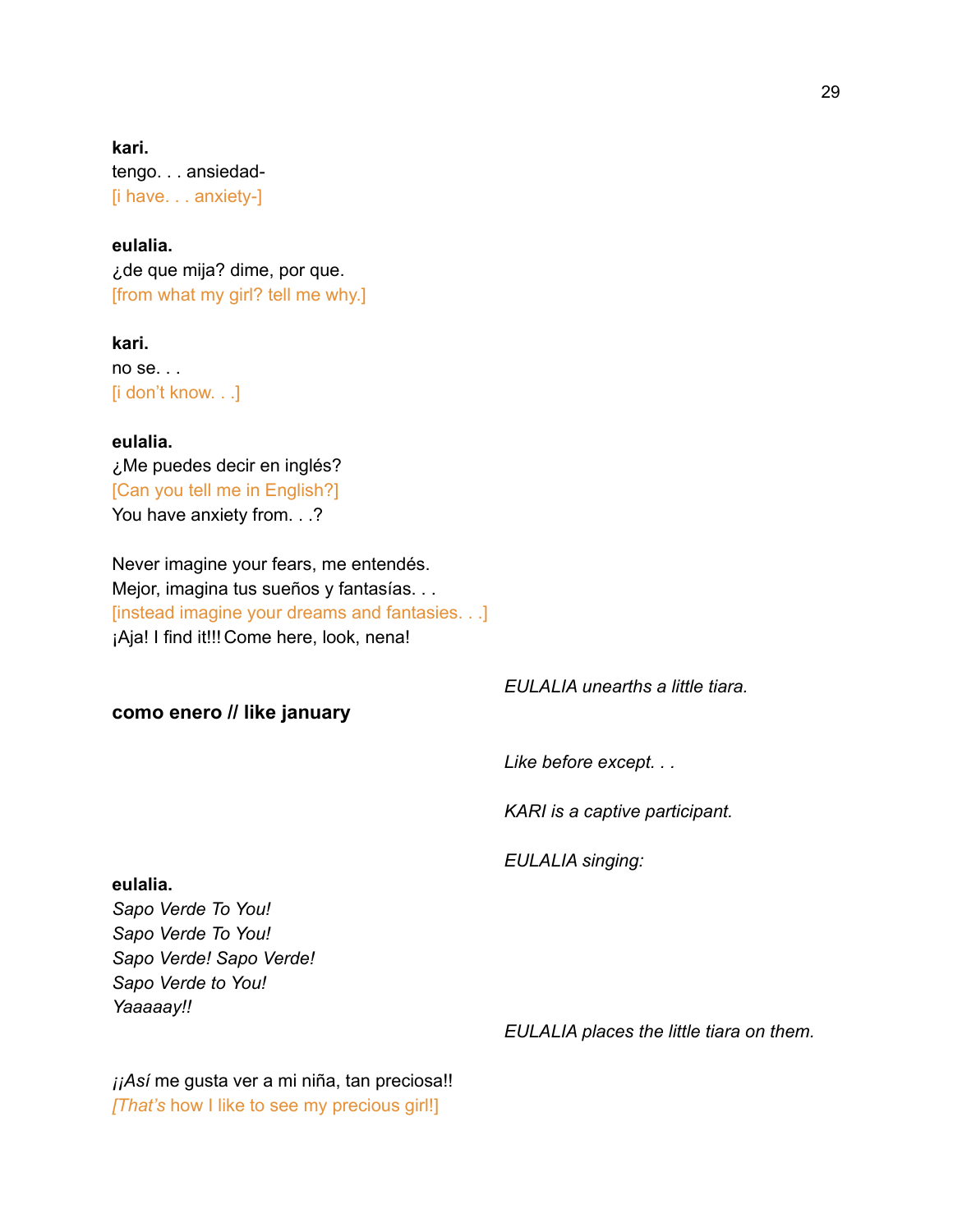**kari.** tengo. . . ansiedad- [i have. . . anxiety-]

**eulalia.** ¿de que mija? dime, por que. [from what my girl? tell me why.]

**kari.** no se. . . [i don't know. . .]

**eulalia.** ¿Me puedes decir en inglés? [Can you tell me in English?] You have anxiety from. . .?

Never imagine your fears, me entendés. Mejor, imagina tus sueños y fantasías. . . [instead imagine your dreams and fantasies. . .] ¡Aja! I find it!!! Come here, look, nena!

# **como enero // like january**

*EULALIA unearths a little tiara.*

*Like before except. . .*

*KARI is a captive participant.*

*EULALIA singing:*

**eulalia.**

*Sapo Verde To You! Sapo Verde To You! Sapo Verde! Sapo Verde! Sapo Verde to You! Yaaaaay!!*

*EULALIA places the little tiara on them.*

*¡¡Así* me gusta ver a mi niña, tan preciosa!! *[That's* how I like to see my precious girl!]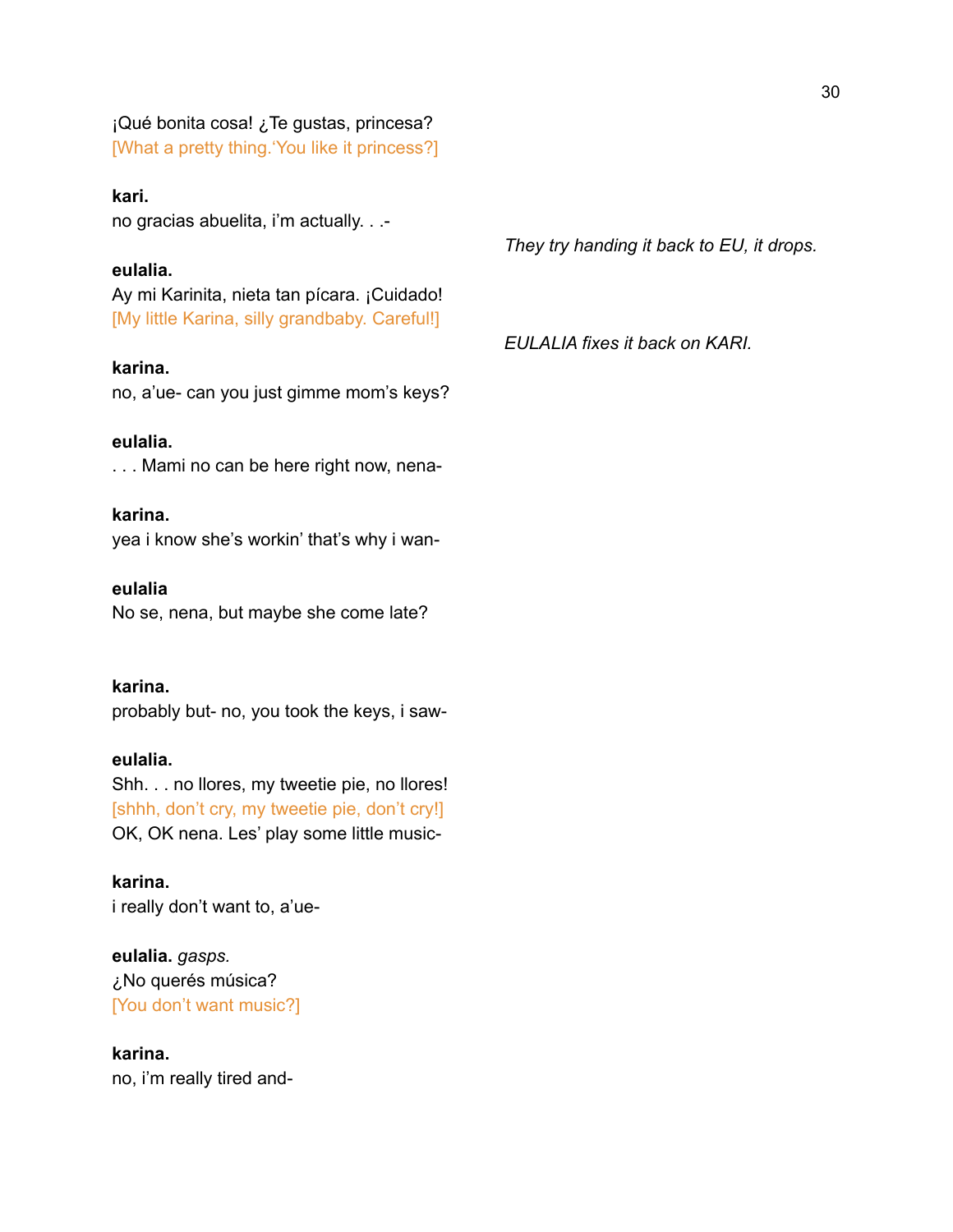¡Qué bonita cosa! ¿Te gustas, princesa? [What a pretty thing.'You like it princess?]

#### **kari.**

no gracias abuelita, i'm actually. . .-

## **eulalia.**

Ay mi Karinita, nieta tan pícara. ¡Cuidado! [My little Karina, silly grandbaby. Careful!]

#### **karina.**

no, a'ue- can you just gimme mom's keys?

# **eulalia.**

. . . Mami no can be here right now, nena-

## **karina.**

yea i know she's workin' that's why i wan-

#### **eulalia**

No se, nena, but maybe she come late?

## **karina.**

probably but- no, you took the keys, i saw-

#### **eulalia.**

Shh. . . no llores, my tweetie pie, no llores! [shhh, don't cry, my tweetie pie, don't cry!] OK, OK nena. Les' play some little music-

**karina.** i really don't want to, a'ue-

# **eulalia.** *gasps.* ¿No querés música? [You don't want music?]

**karina.** no, i'm really tired and*They try handing it back to EU, it drops.*

*EULALIA fixes it back on KARI.*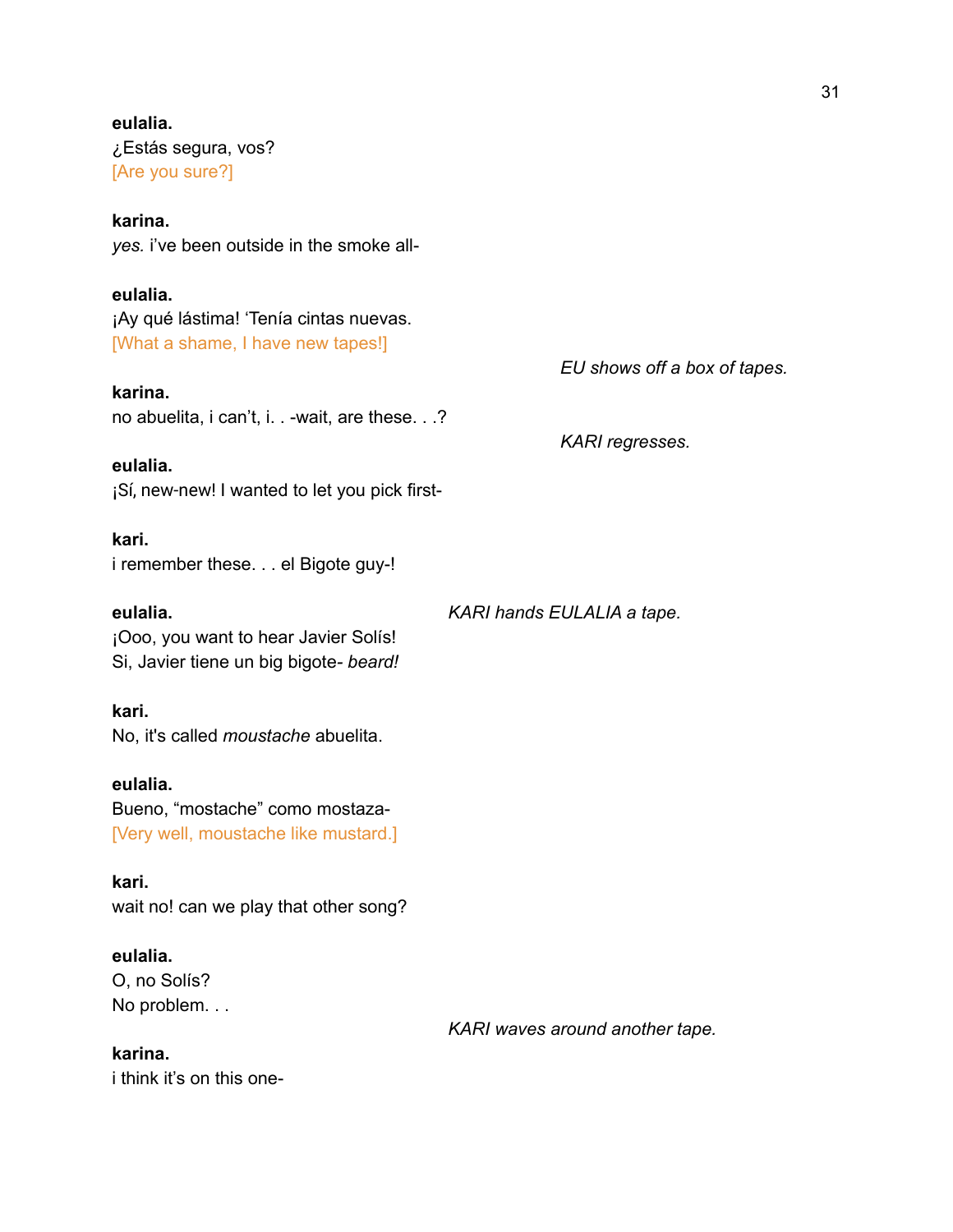# **eulalia.** ¿Estás segura, vos? [Are you sure?]

# **karina.**

*yes.* i've been outside in the smoke all-

# **eulalia.**

¡Ay qué lástima! 'Tenía cintas nuevas. [What a shame, I have new tapes!]

## **karina.**

no abuelita, i can't, i. . -wait, are these. . .?

*KARI regresses.*

*EU shows off a box of tapes.*

**eulalia.** ¡Sí, new-new! I wanted to let you pick first-

# **kari.**

i remember these. . . el Bigote guy-!

**eulalia.** *KARI hands EULALIA a tape.*

*KARI waves around another tape.*

¡Ooo, you want to hear Javier Solís! Si, Javier tiene un big bigote*- beard!*

# **kari.**

No, it's called *moustache* abuelita.

# **eulalia.**

Bueno, "mostache" como mostaza- [Very well, moustache like mustard.]

**kari.** wait no! can we play that other song?

# **eulalia.**

O, no Solís? No problem. . .

## **karina.**

i think it's on this one-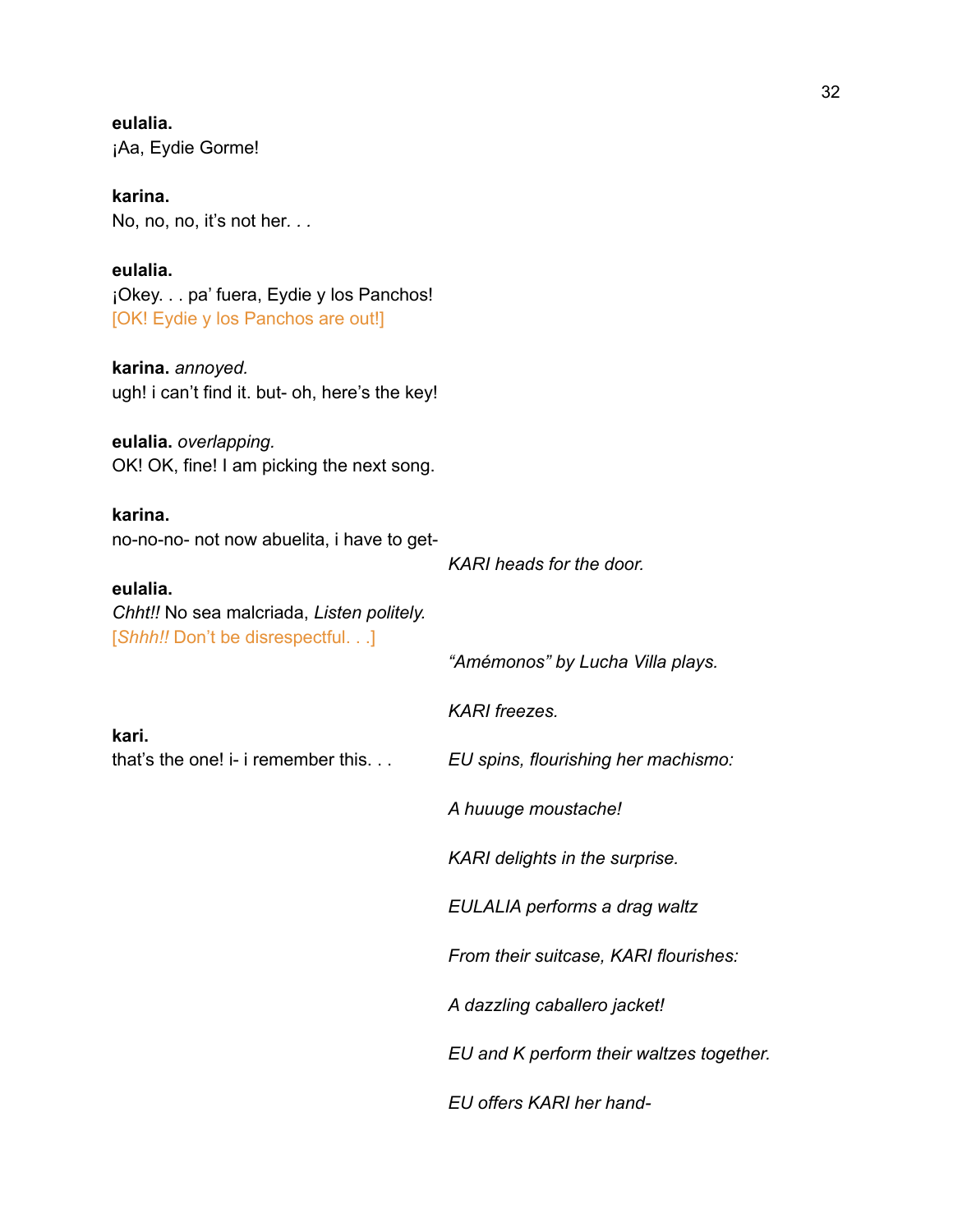**eulalia.** ¡Aa, Eydie Gorme!

**karina.** No, no, no, it's not her*. . .*

**eulalia.** ¡Okey. . . pa' fuera, Eydie y los Panchos! [OK! Eydie y los Panchos are out!]

**karina.** *annoyed.* ugh! i can't find it. but- oh, here's the key!

**eulalia.** *overlapping.* OK! OK, fine! I am picking the next song.

**karina.** no-no-no- not now abuelita, i have to get-

**eulalia.** *Chht!!* No sea malcriada, *Listen politely.*

**kari.**

*KARI heads for the door.*

[*Shhh!!* Don't be disrespectful. . .] *"Amémonos" by Lucha Villa plays. KARI freezes.* that's the one! i- i remember this. . . *EU spins, flourishing her machismo: A huuuge moustache! KARI delights in the surprise. EULALIA performs a drag waltz From their suitcase, KARI flourishes: A dazzling caballero jacket! EU and K perform their waltzes together. EU offers KARI her hand-*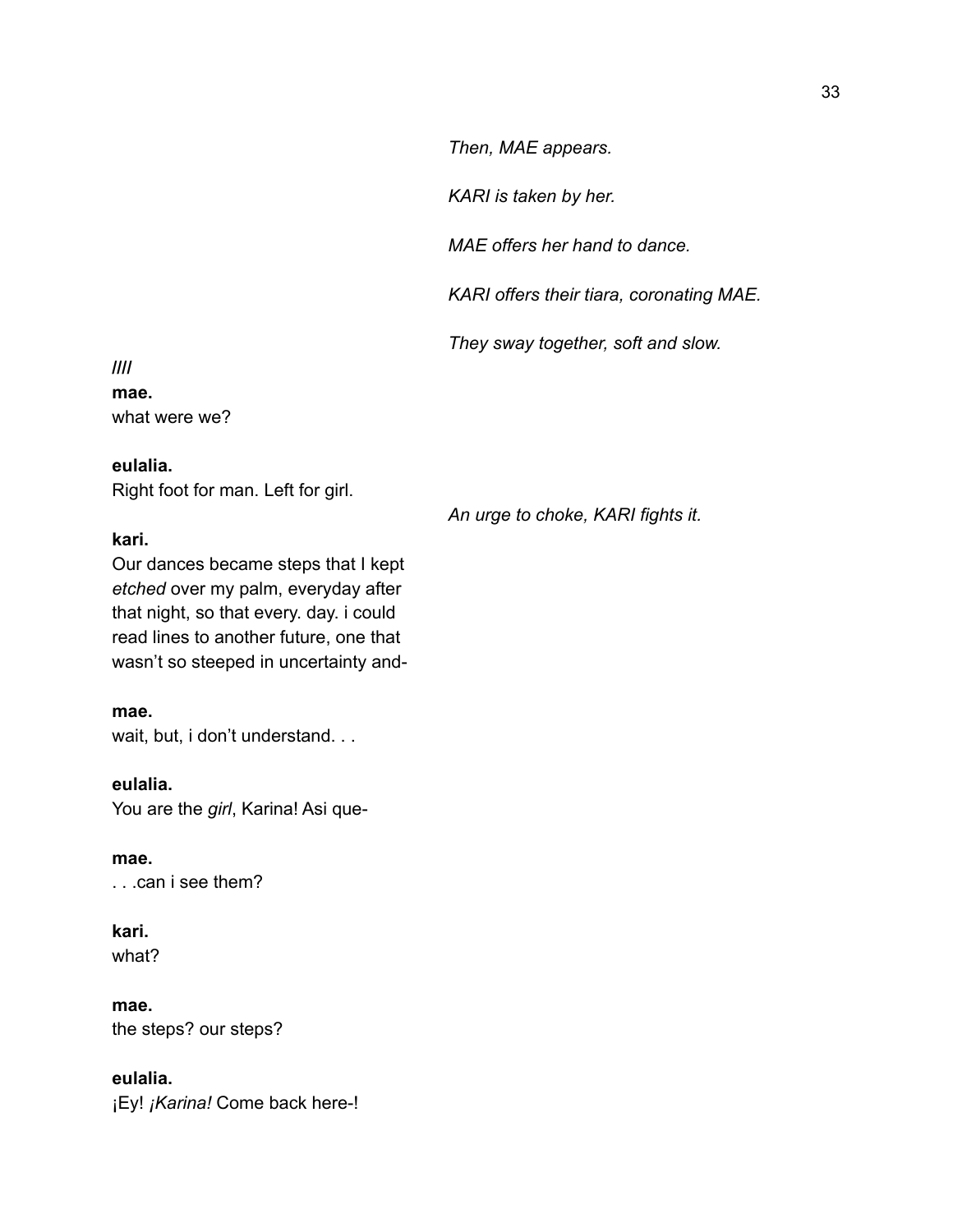*Then, MAE appears.*

*KARI is taken by her.*

*MAE offers her hand to dance.*

*KARI offers their tiara, coronating MAE.*

*They sway together, soft and slow.*

**//// mae.** what were we?

# **eulalia.**

Right foot for man. Left for girl.

## **kari.**

Our dances became steps that I kept *etched* over my palm, everyday after that night, so that every. day. i could read lines to another future, one that wasn't so steeped in uncertainty and-

## **mae.**

wait, but, i don't understand. . .

## **eulalia.**

You are the *girl*, Karina! Asi que-

**mae.** . . .can i see them?

# **kari.** what?

**mae.**

the steps? our steps?

# **eulalia.**

¡Ey! *¡Karina!* Come back here-!

*An urge to choke, KARI fights it.*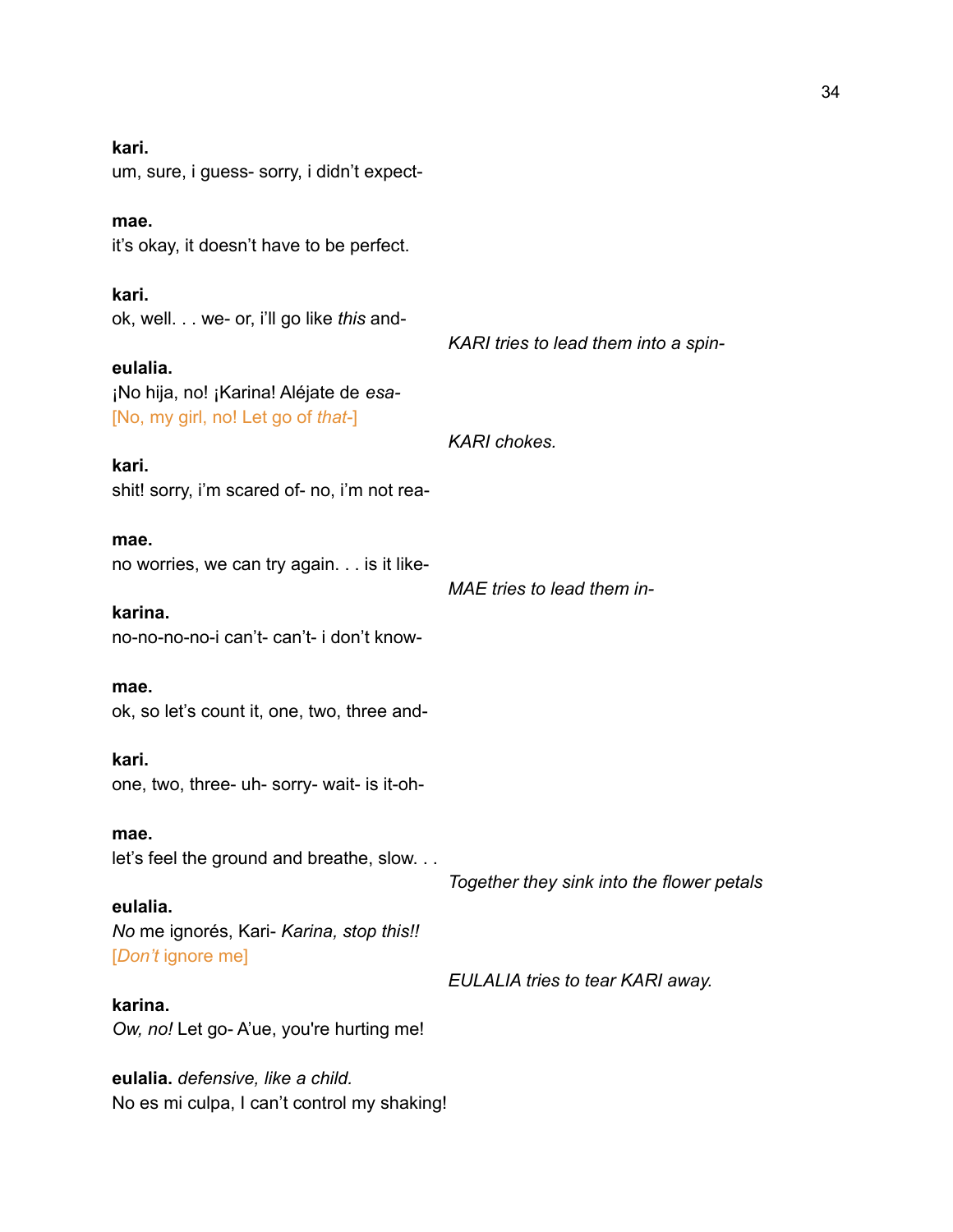**kari.** um, sure, i guess- sorry, i didn't expect**mae.** it's okay, it doesn't have to be perfect. **kari.** ok, well. . . we- or, i'll go like *this* and-*KARI tries to lead them into a spin***eulalia.** ¡No hija, no! ¡Karina! Aléjate de *esa-* [No, my girl, no! Let go of *that-*] *KARI chokes.* **kari.** shit! sorry, i'm scared of- no, i'm not rea**mae.** no worries, we can try again. . . is it like-*MAE tries to lead them in***karina.** no-no-no-no-i can't- can't- i don't know**mae.** ok, so let's count it, one, two, three and**kari.** one, two, three- uh- sorry- wait- is it-oh**mae.** let's feel the ground and breathe, slow. . . *Together they sink into the flower petals* **eulalia.** *No* me ignorés, Kari- *Karina, stop this!!* [*Don't* ignore me] *EULALIA tries to tear KARI away.* **karina.** *Ow, no!* Let go- A'ue, you're hurting me! **eulalia.** *defensive, like a child.*

No es mi culpa, I can't control my shaking!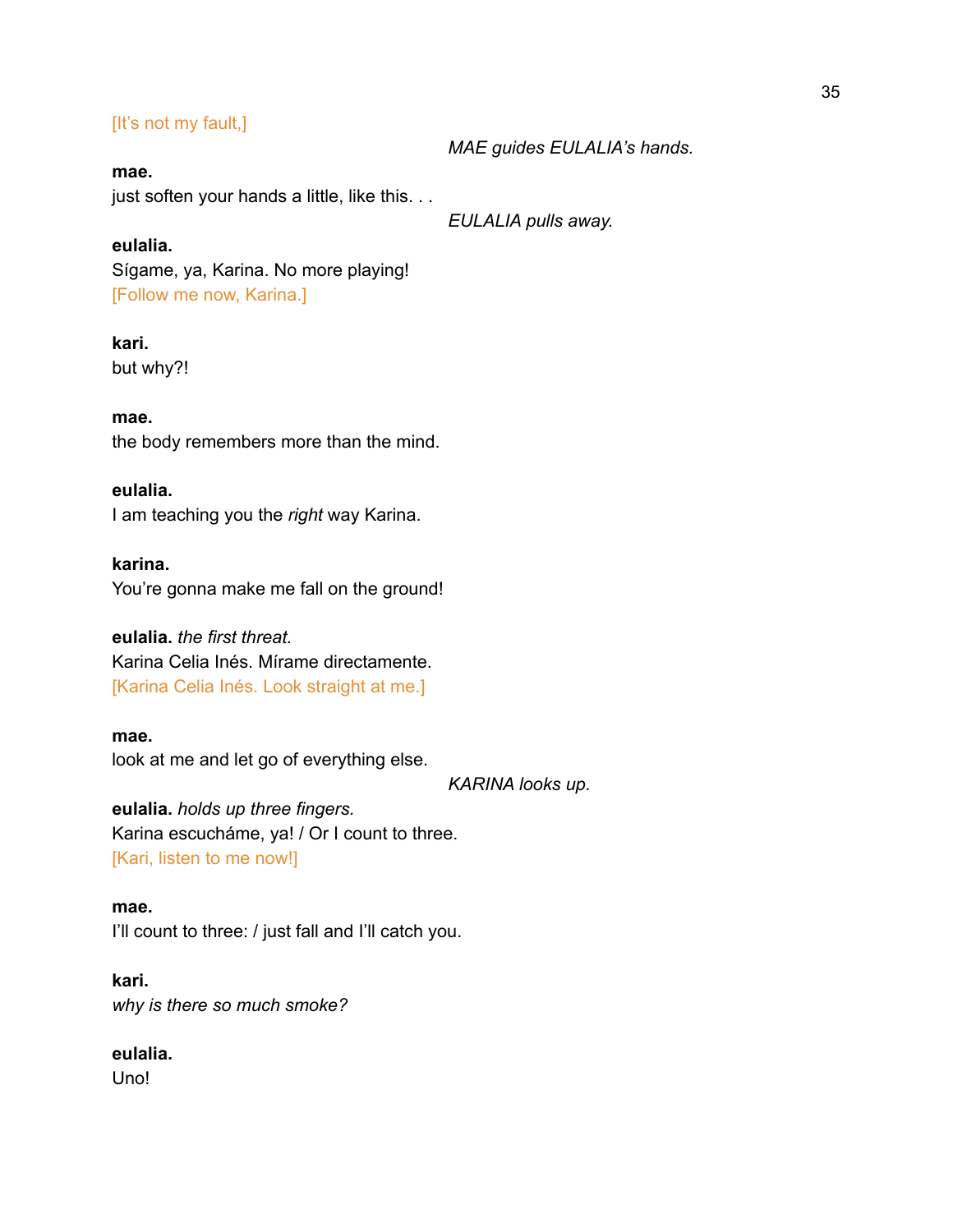# [It's not my fault,]

#### **mae.**

just soften your hands a little, like this. . .

*EULALIA pulls away.*

*MAE guides EULALIA's hands.*

# **eulalia.**

Sígame, ya, Karina. No more playing! [Follow me now, Karina.]

## **kari.**

but why?!

## **mae.** the body remembers more than the mind.

## **eulalia.**

I am teaching you the *right* way Karina.

# **karina.**

You're gonna make me fall on the ground!

# **eulalia.** *the first threat.* Karina Celia Inés. Mírame directamente.

[Karina Celia Inés. Look straight at me.]

#### **mae.**

look at me and let go of everything else.

*KARINA looks up.*

**eulalia.** *holds up three fingers.* Karina escucháme, ya! / Or I count to three. [Kari, listen to me now!]

#### **mae.**

I'll count to three: / just fall and I'll catch you.

**kari.** *why is there so much smoke?*

# **eulalia.**

Uno!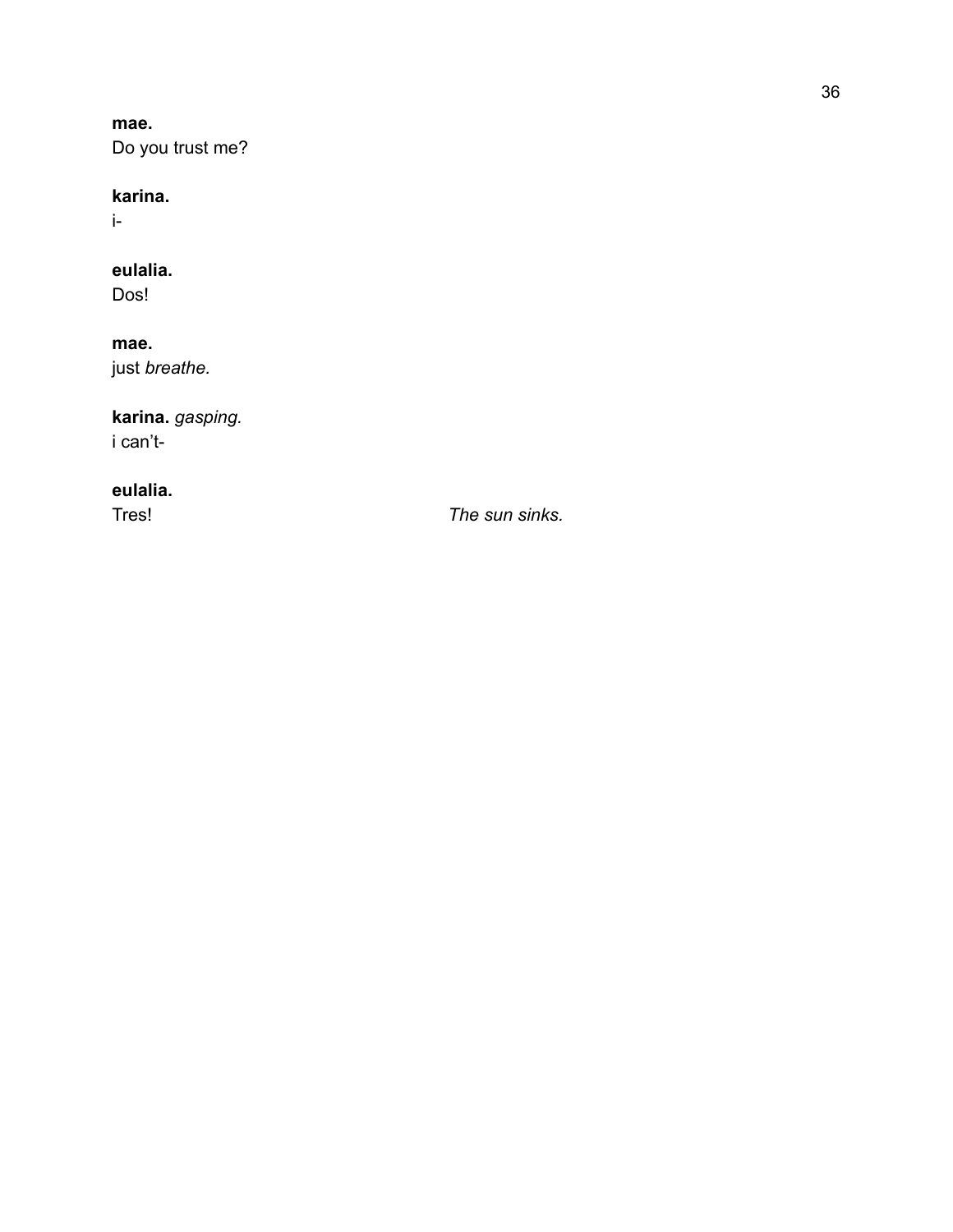**m a e .** Do you trust me?

### **k a r i n a .**

i-

### **eulalia .**

Dos!

### **mae .**

j u s t *b re a th e.*

### **karina.** *gasp in g.* i can't-

**eulalia.**

Tres! *Th*

*e s u n s in ks.*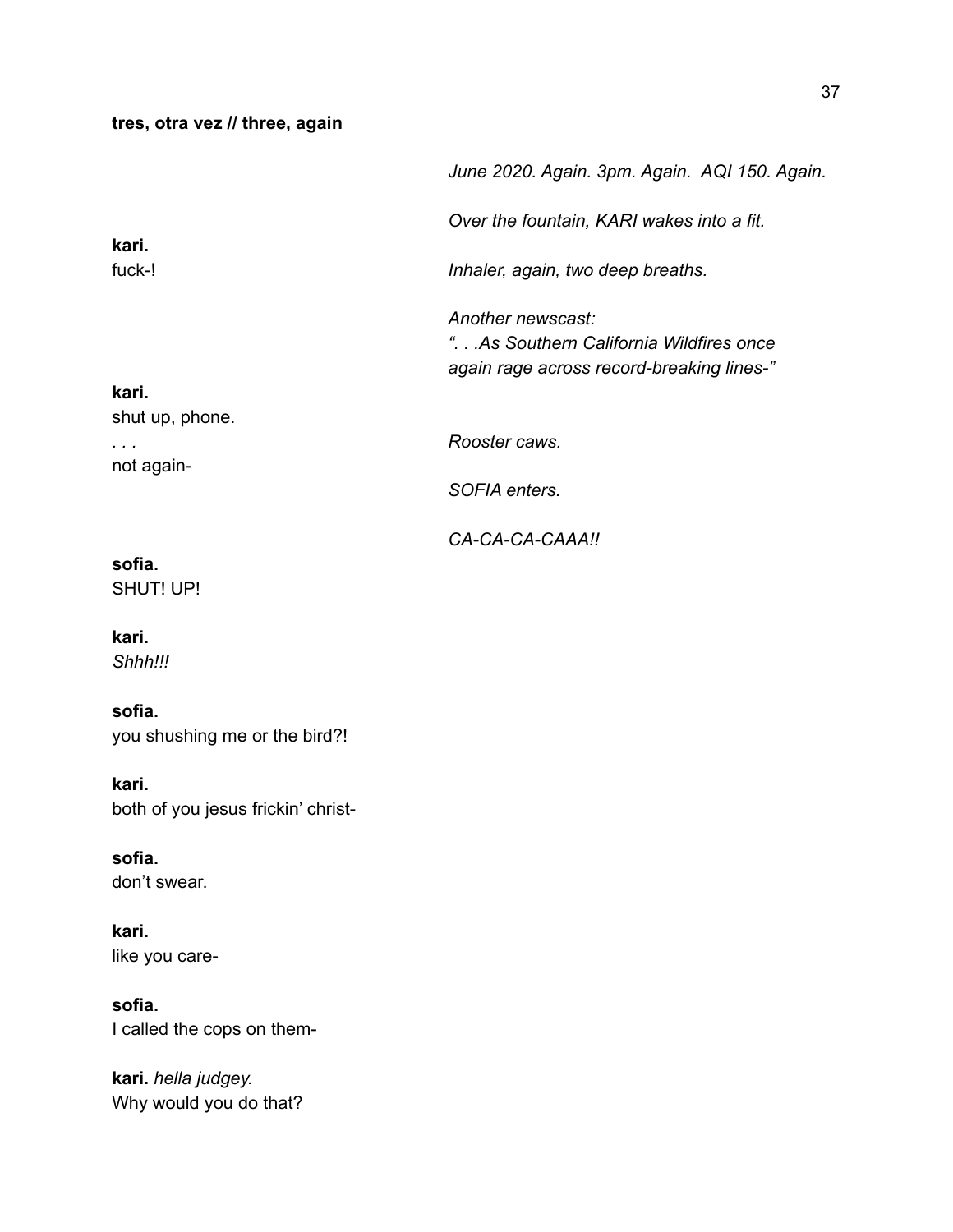### **tres, otra vez // three, again**

|                          | June 2020. Again. 3pm. Again. AQI 150. Again.                                                             |
|--------------------------|-----------------------------------------------------------------------------------------------------------|
| kari.<br>fuck-!          | Over the fountain, KARI wakes into a fit.                                                                 |
|                          | Inhaler, again, two deep breaths.                                                                         |
|                          | Another newscast:<br>".As Southern California Wildfires once<br>again rage across record-breaking lines-" |
| kari.<br>shut up, phone. |                                                                                                           |
|                          | Rooster caws.                                                                                             |
| not again-               | SOFIA enters.                                                                                             |
|                          | CA-CA-CA-CAAA!!                                                                                           |
| sofia.                   |                                                                                                           |

SHUT! UP!

**kari.**

*Shhh!!!*

### **sofia.**

you shushing me or the bird?!

### **kari.**

both of you jesus frickin' christ-

**sofia.** don't swear.

**kari.** like you care-

**sofia.** I called the cops on them-

**kari.** *hella judgey.* Why would you do that?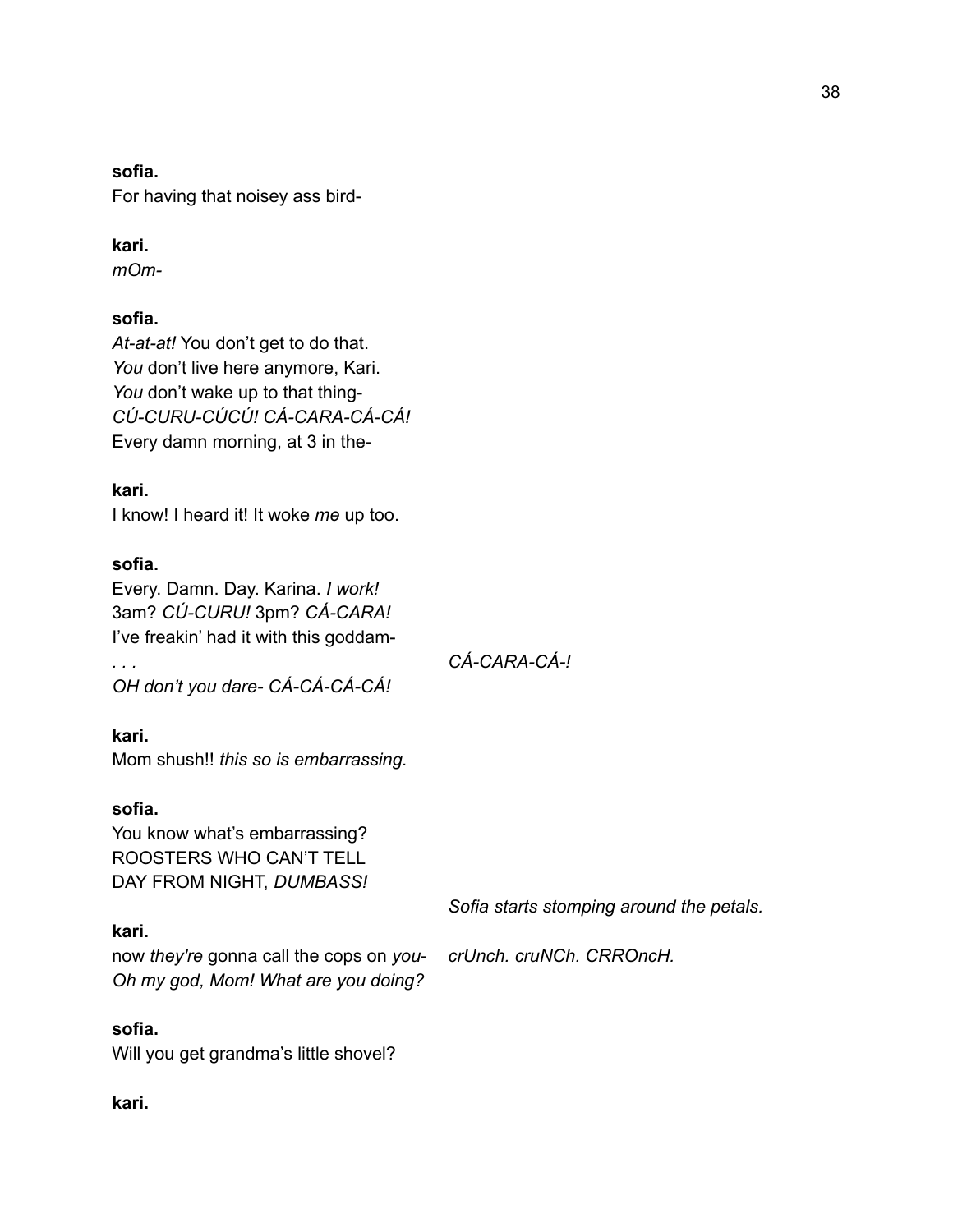### **sofia.**

For having that noisey ass bird-

### **kari.**

*mOm-*

### **sofia.**

*At-at-at!* You don't get to do that. You don't live here anymore, Kari. You don't wake up to that thing-*CÚ-CURU-CÚCÚ! CÁ-CARA-CÁ-CÁ!* Every damn morning, at 3 in the-

**kari.** I know! I heard it! It woke *me* up too.

### **sofia.**

Every. Damn. Day. Karina. *I work!* 3am? *CÚ-CURU!* 3pm? *CÁ-CARA!* I've freakin' had it with this goddam-

*OH don't you dare- CÁ-CÁ-CÁ-CÁ!*

### **kari.**

Mom shush!! *this so is embarrassing.*

### **sofia.**

You know what's embarrassing? ROOSTERS WHO CAN'T TELL DAY FROM NIGHT, *DUMBASS!*

### **kari.**

now *they're* gonna call the cops on *you*- *crUnch. cruNCh. CRROncH. Oh my god, Mom! What are you doing?*

### **sofia.**

Will you get grandma's little shovel?

**kari.**

*. . . CÁ-CARA-CÁ-!*

*Sofia starts stomping around the petals.*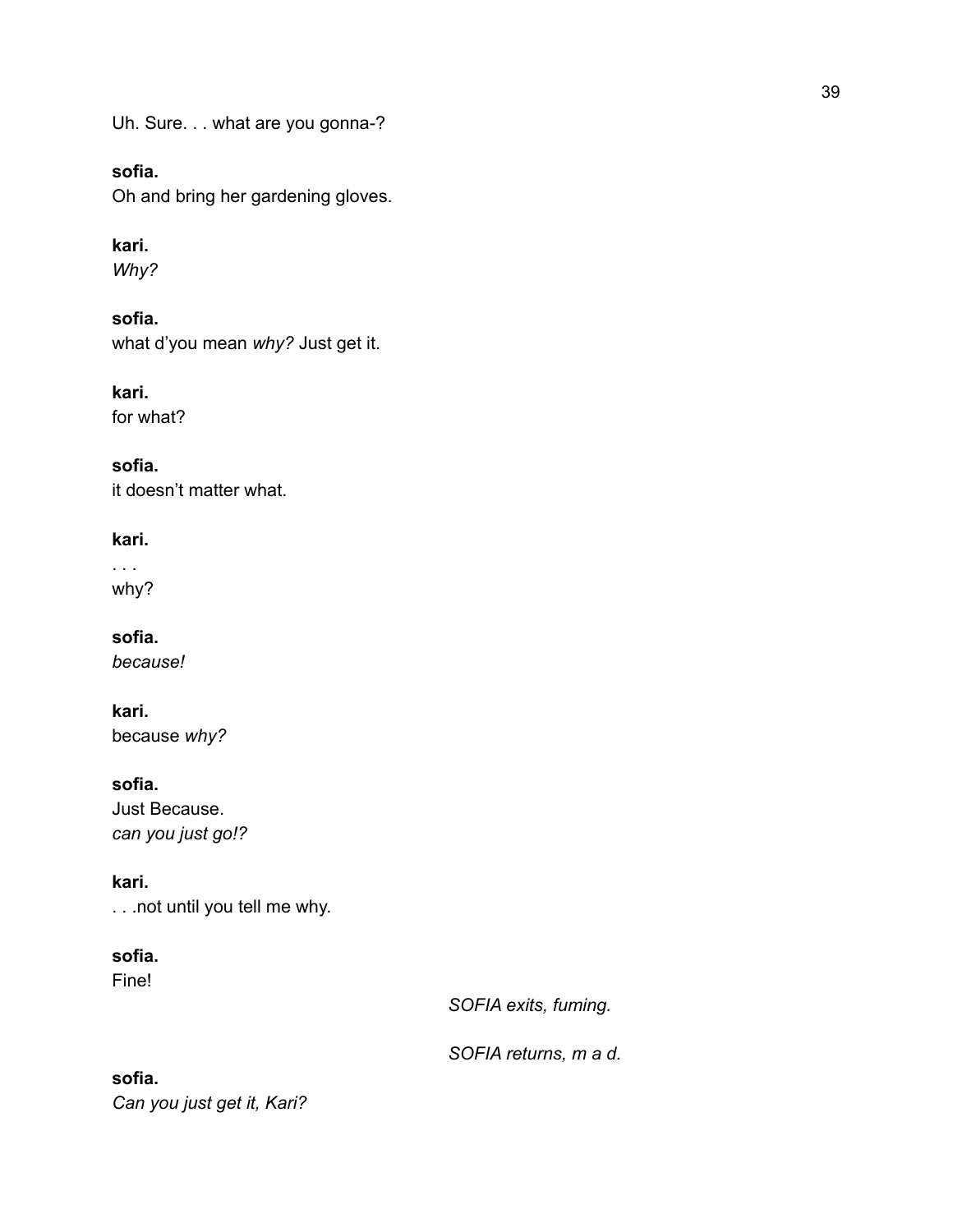Uh. Sure. . . what are you gonna-?

### **sofia.**

Oh and bring her gardening gloves.

### **kari.**

*Why?*

**sofia.** what d'you mean *why?* Just get it.

**kari.** for what?

**sofia.** it doesn't matter what.

**kari.**

. . . why?

**sofia.** *because!*

**kari.** because *why?*

**sofia.** Just Because. *can you just go!?*

**kari.** . . .not until you tell me why.

**sofia.** Fine!

*SOFIA exits, fuming.*

*SOFIA returns, m a d.*

**sofia.** *Can you just get it, Kari?*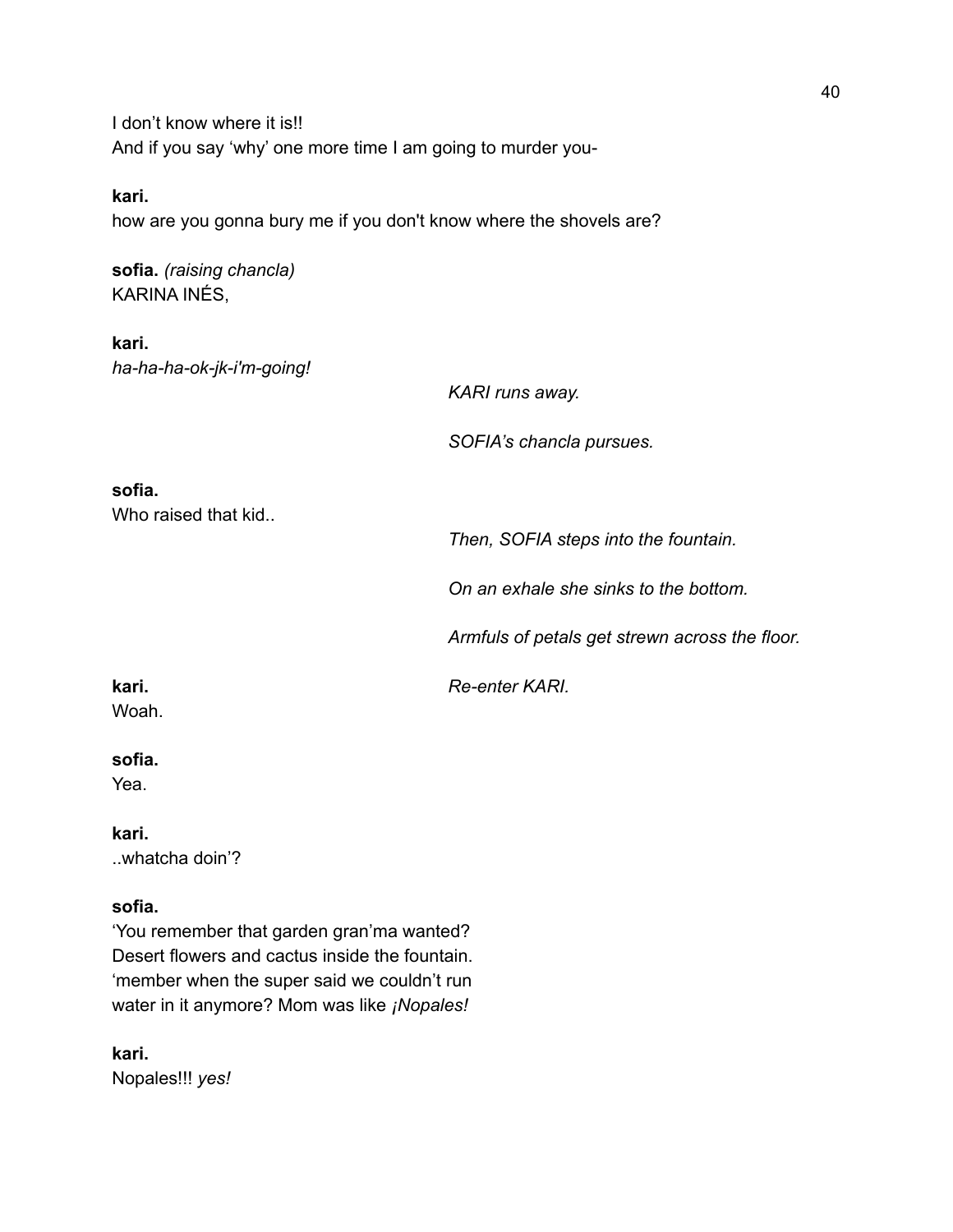I don't know where it is!! And if you say 'why' one more time I am going to murder you-

### **kari.**

how are you gonna bury me if you don't know where the shovels are?

**sofia.** *(raising chancla)* KARINA INÉS,

**kari.** *ha-ha-ha-ok-jk-i'm-going!*

*KARI runs away.*

*SOFIA's chancla pursues.*

### **sofia.**

Who raised that kid..

*Then, SOFIA steps into the fountain.*

*On an exhale she sinks to the bottom.*

*Armfuls of petals get strewn across the floor.*

**kari.** *Re-enter KARI.*

Woah.

### **sofia.**

Yea.

**kari.** ..whatcha doin'?

### **sofia.**

'You remember that garden gran'ma wanted? Desert flowers and cactus inside the fountain. 'member when the super said we couldn't run water in it anymore? Mom was like *¡Nopales!*

**kari.** Nopales!!! *yes!*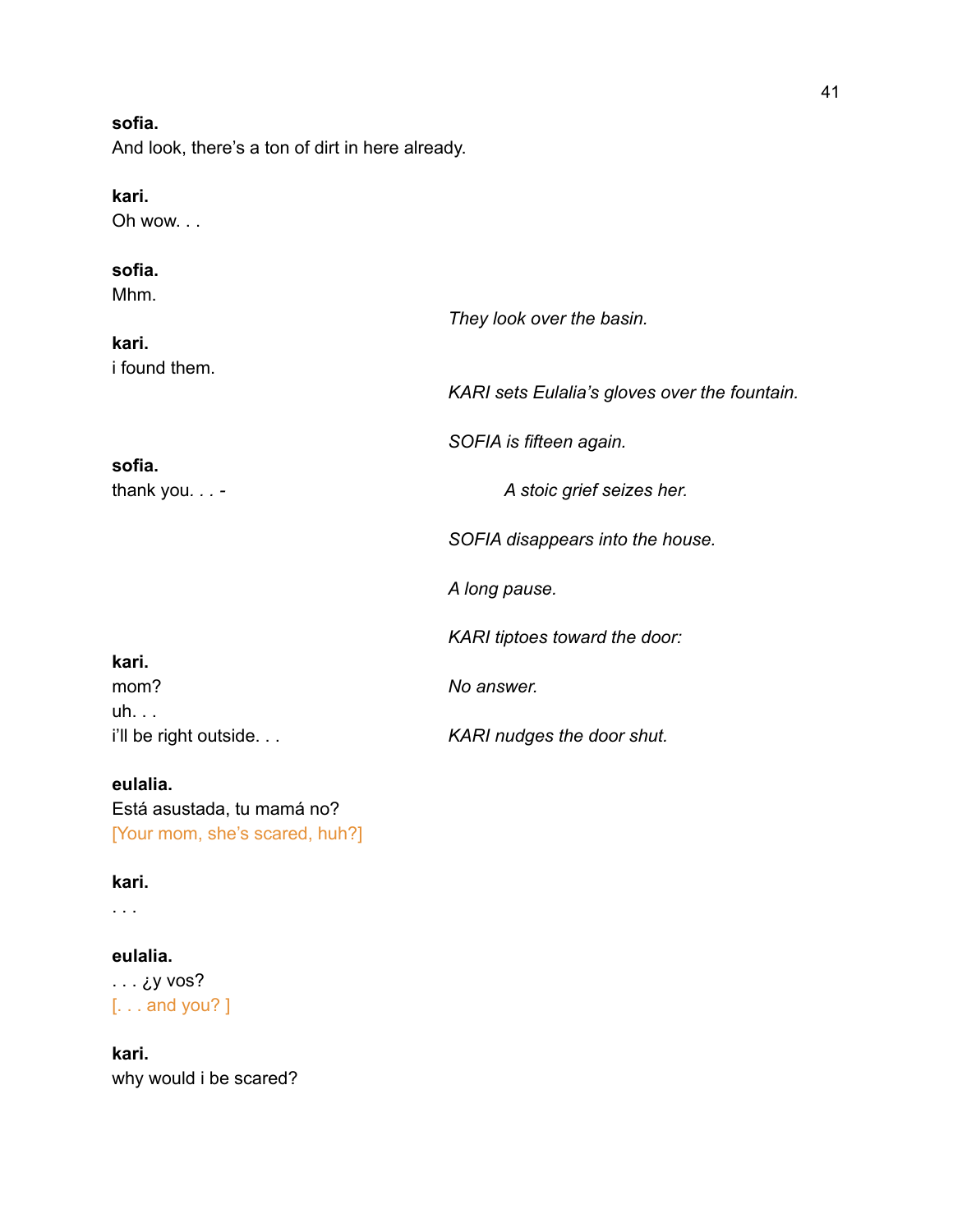### **sofia.**

And look, there's a ton of dirt in here already.

### **kari.**

Oh wow. . .

### **sofia.**

Mhm.

| i'll be right outside  | KARI nudges the door shut.                    |
|------------------------|-----------------------------------------------|
| mom?<br>uh.            | No answer.                                    |
| kari.                  |                                               |
|                        | KARI tiptoes toward the door:                 |
|                        | A long pause.                                 |
|                        | SOFIA disappears into the house.              |
| thank you. -           | A stoic grief seizes her.                     |
| sofia.                 | SOFIA is fifteen again.                       |
| kari.<br>i found them. | KARI sets Eulalia's gloves over the fountain. |
|                        | They look over the basin.                     |

### **eulalia.**

Está asustada, tu mamá no? [Your mom, she's scared, huh?]

### **kari.**

. . .

### **eulalia.**

. . . ¿y vos? [. . . and you? ]

### **kari.** why would i be scared?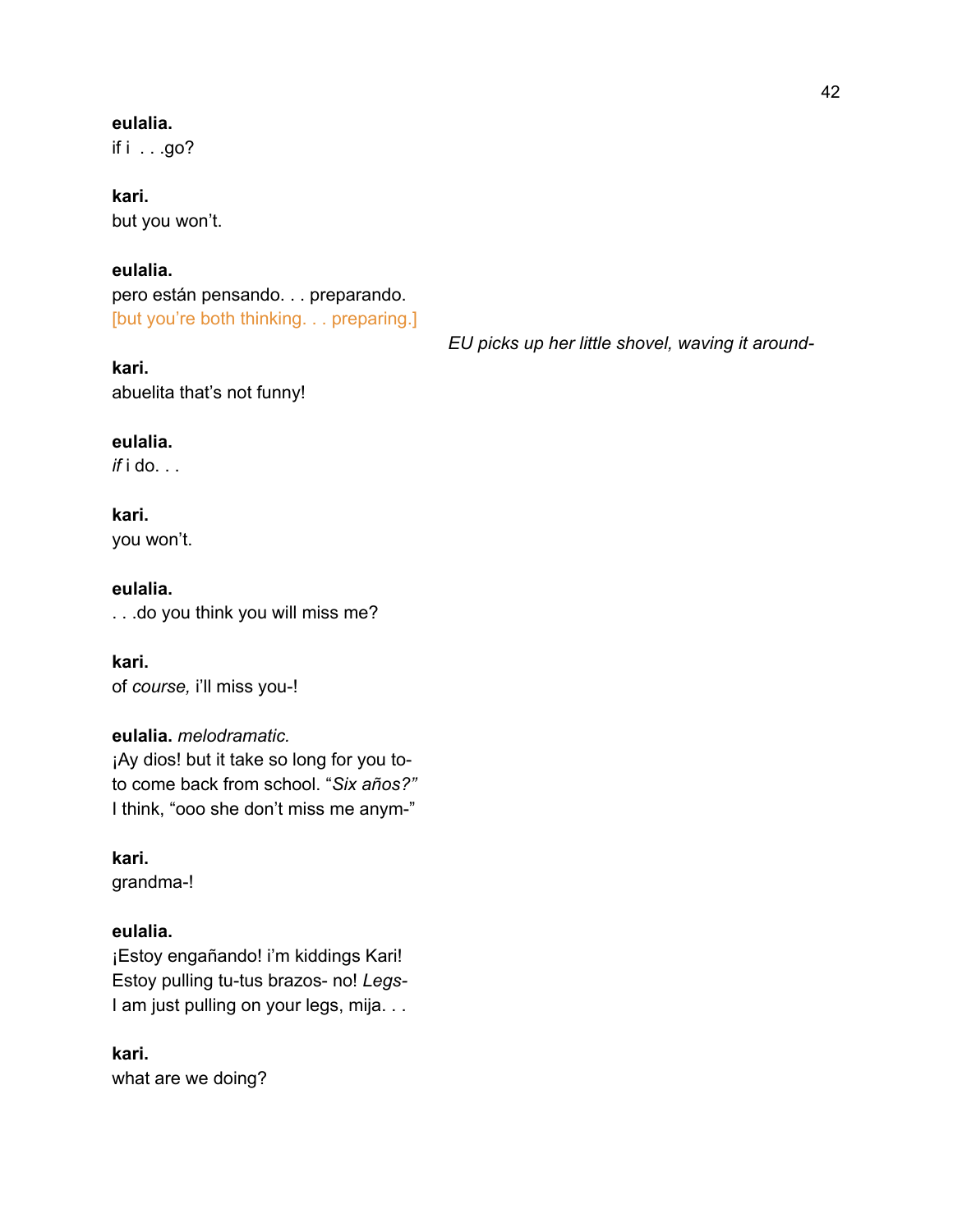### **eulalia.**

if  $i$  . . .go?

**kari.** but you won't.

### **eulalia.**

pero están pensando. . . preparando. [but you're both thinking. . . preparing.]

**kari.** abuelita that's not funny! *EU picks up her little shovel, waving it around-*

### **eulalia.**

*if* i do. . .

# **kari.**

you won't.

### **eulalia.**

. . .do you think you will miss me?

### **kari.** of *course,* i'll miss you-!

### **eulalia.** *melodramatic.*

¡Ay dios! but it take so long for you toto come back from school. "*Six años?"* I think, "ooo she don't miss me anym-"

**kari.** grandma-!

### **eulalia.**

¡Estoy engañando! i'm kiddings Kari! Estoy pulling tu-tus brazos- no! *Legs-*I am just pulling on your legs, mija. . .

### **kari.** what are we doing?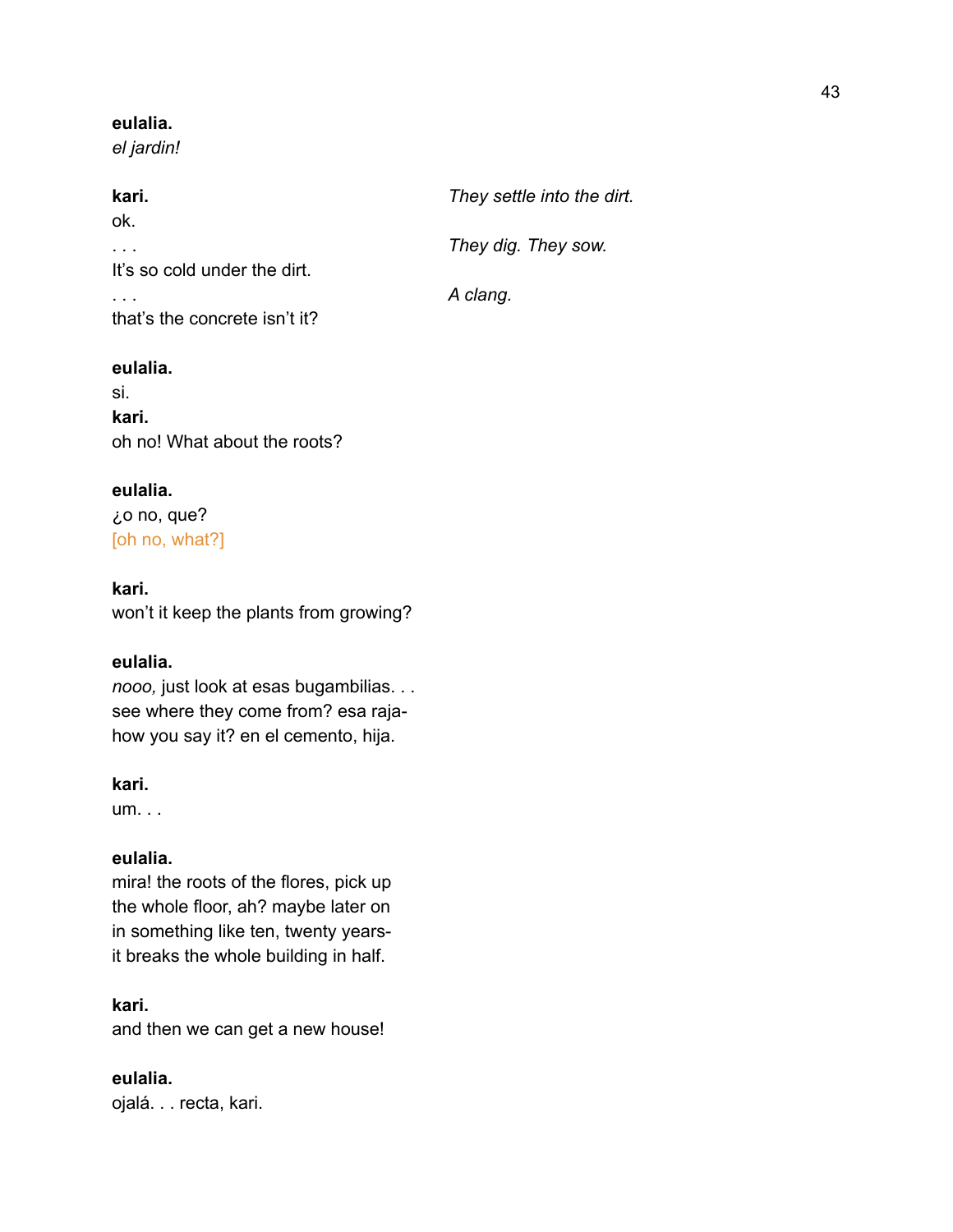### **eulalia.**

*el jardin!*

| kari.                         | They settle into the dirt. |
|-------------------------------|----------------------------|
| ok.                           |                            |
|                               | They dig. They sow.        |
| It's so cold under the dirt.  |                            |
|                               | A clang.                   |
| that's the concrete isn't it? |                            |

### **eulalia.**

si. **kari.** oh no! What about the roots?

### **eulalia.**

¿o no, que? [oh no, what?]

### **kari.**

won't it keep the plants from growing?

### **eulalia.**

*nooo,* just look at esas bugambilias. . . see where they come from? esa rajahow you say it? en el cemento, hija.

### **kari.**

um. . .

### **eulalia.**

mira! the roots of the flores, pick up the whole floor, ah? maybe later on in something like ten, twenty yearsit breaks the whole building in half.

**kari.** and then we can get a new house!

**eulalia.** ojalá. . . recta, kari.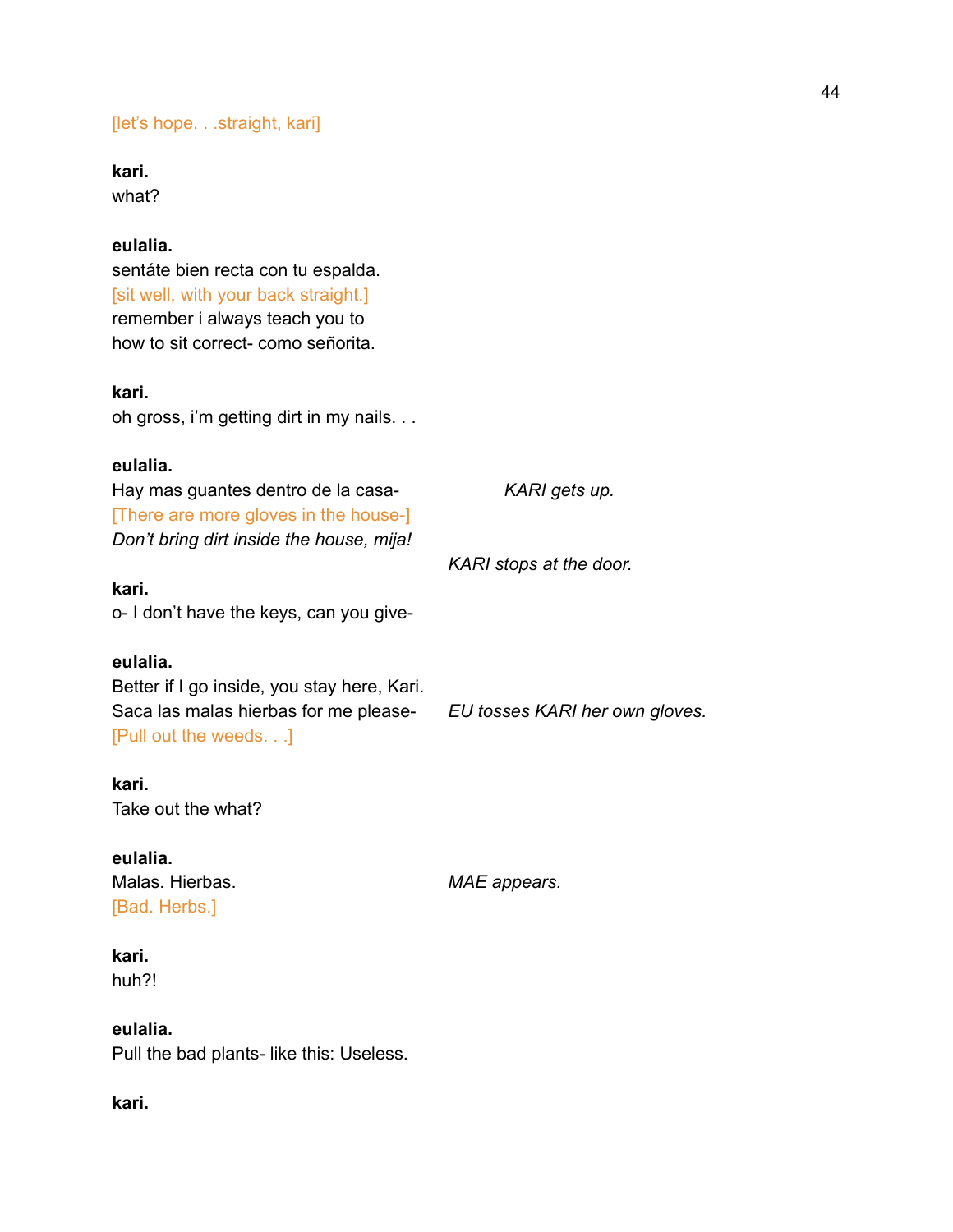[let's hope. . .straight, kari]

**kari.**

what?

### **eulalia.**

sentáte bien recta con tu espalda. [sit well, with your back straight.] remember i always teach you to how to sit correct- como señorita.

### **kari.**

oh gross, i'm getting dirt in my nails. . .

### **eulalia.**

Hay mas guantes dentro de la casa- *KARI gets up.* [There are more gloves in the house-] *Don't bring dirt inside the house, mija!*

**kari.** o- I don't have the keys, can you give-

### **eulalia.**

Better if I go inside, you stay here, Kari. Saca las malas hierbas for me please- *EU tosses KARI her own gloves.* [Pull out the weeds. . .]

**kari.**

Take out the what?

# **eulalia.**

[Bad. Herbs.]

Malas. Hierbas. *MAE appears.*

*KARI stops at the door.*

### **kari.**

huh?!

### **eulalia.**

Pull the bad plants- like this: Useless.

### **kari.**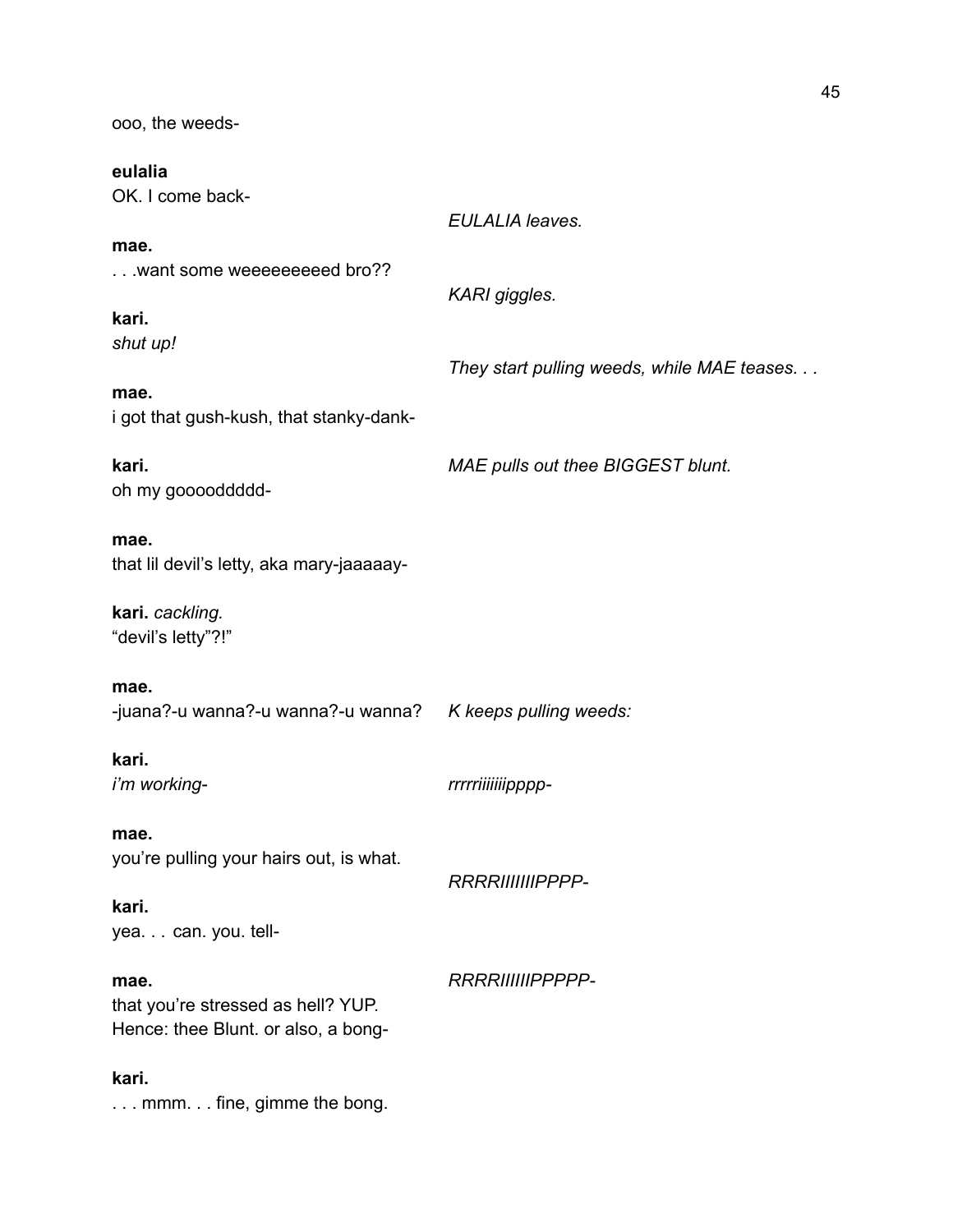ooo, the weeds-

### **eulalia**

OK. I come back-

### **mae.**

. . .want some weeeeeeeeed bro??

### **kari.** *shut up!*

*They start pulling weeds, while MAE teases. . .*

### **mae.** i got that gush-kush, that stanky-dank-

**kari.** *MAE pulls out thee BIGGEST blunt.* oh my gooooddddd-

### **mae.**

that lil devil's letty, aka mary-jaaaaay-

**kari.** *cackling.* "devil's letty"?!"

### **mae.**

-juana?-u wanna?-u wanna?-u wanna? *K keeps pulling weeds:*

# **kari.**

*i'm working- rrrrriiiiiiipppp-*

*EULALIA leaves.*

*KARI giggles.*

**mae.** you're pulling your hairs out, is what.

### *RRRRIIIIIIIPPPP-*

**kari.** yea. . . can. you. tell-

### **mae.** *RRRRIIIIIIPPPPP-*

that you're stressed as hell? YUP. Hence: thee Blunt. or also, a bong-

### **kari.**

. . . mmm. . . fine, gimme the bong.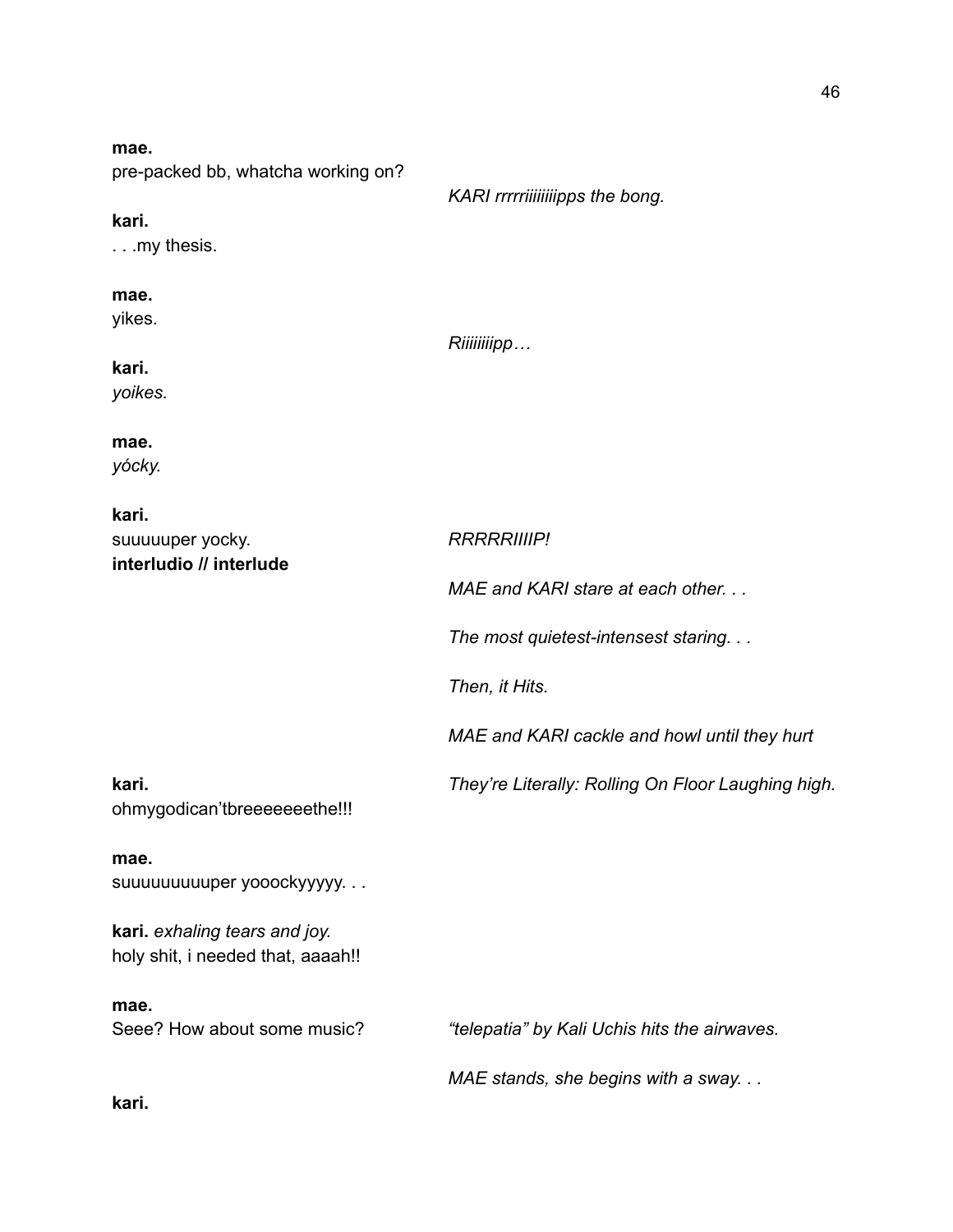| mae.                               |                                 |
|------------------------------------|---------------------------------|
| pre-packed bb, whatcha working on? |                                 |
|                                    | KARI rrrrriiiiiiiipps the bong. |
| kari.                              |                                 |
| $\ldots$ my thesis.                |                                 |

| kari.<br>yoikes.                                     | Riiiiiiiipp                                        |
|------------------------------------------------------|----------------------------------------------------|
| mae.<br>yócky.                                       |                                                    |
| kari.<br>suuuuuper yocky.<br>interludio // interlude | <b>RRRRRIIIIP!</b>                                 |
|                                                      | MAE and KARI stare at each other                   |
|                                                      | The most quietest-intensest staring                |
|                                                      | Then, it Hits.                                     |
|                                                      | MAE and KARI cackle and howl until they hurt       |
| kari.<br>ohmygodican'tbreeeeeeethe!!!                | They're Literally: Rolling On Floor Laughing high. |

**mae.** suuuuuuuuuper yooockyyyyy. . .

**kari.** *exhaling tears and joy.* holy shit, i needed that, aaaah!!

**mae.**

Seee? How about some music? *"telepatia" by Kali Uchis hits the airwaves.*

*MAE stands, she begins with a sway. . .*

**kari.**

**mae.** yikes.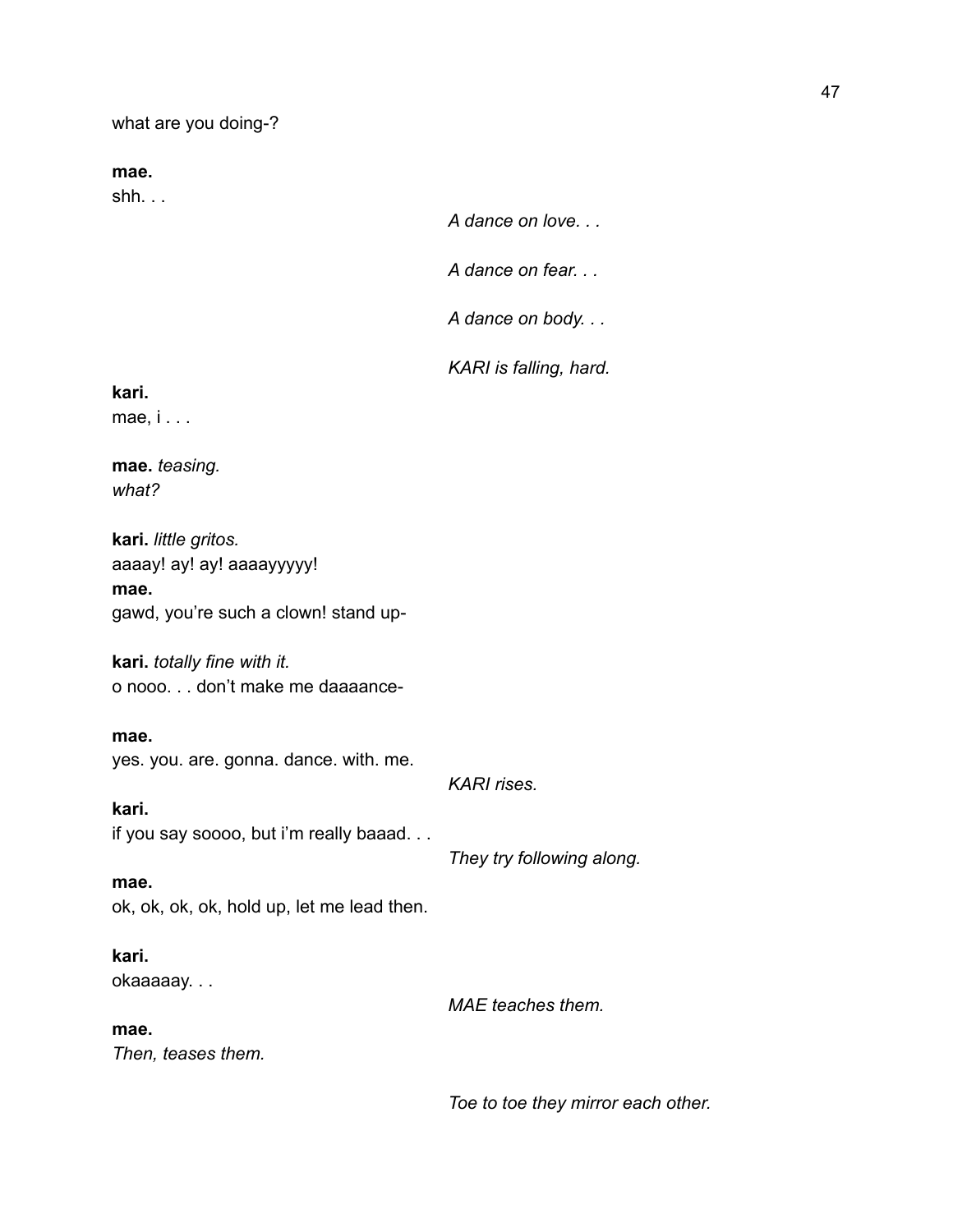what are you doing-?

**mae.**

shh. . .

*A dance on love. . .*

*A dance on fear. . .*

*A dance on body. . .*

*KARI is falling, hard.*

**kari.**

mae, i . . .

**mae.** *teasing. what?*

**kari.** *little gritos.* aaaay! ay! ay! aaaayyyyy! **mae.** gawd, you're such a clown! stand up-

**kari.** *totally fine with it.* o nooo. . . don't make me daaaance-

**mae.** yes. you. are. gonna. dance. with. me.

*KARI rises.*

**kari.** if you say soooo, but i'm really baaad. . .

*They try following along.*

**mae.** ok, ok, ok, ok, hold up, let me lead then.

**kari.** okaaaaay. . .

*MAE teaches them.*

**mae.**

*Then, teases them.*

*Toe to toe they mirror each other.*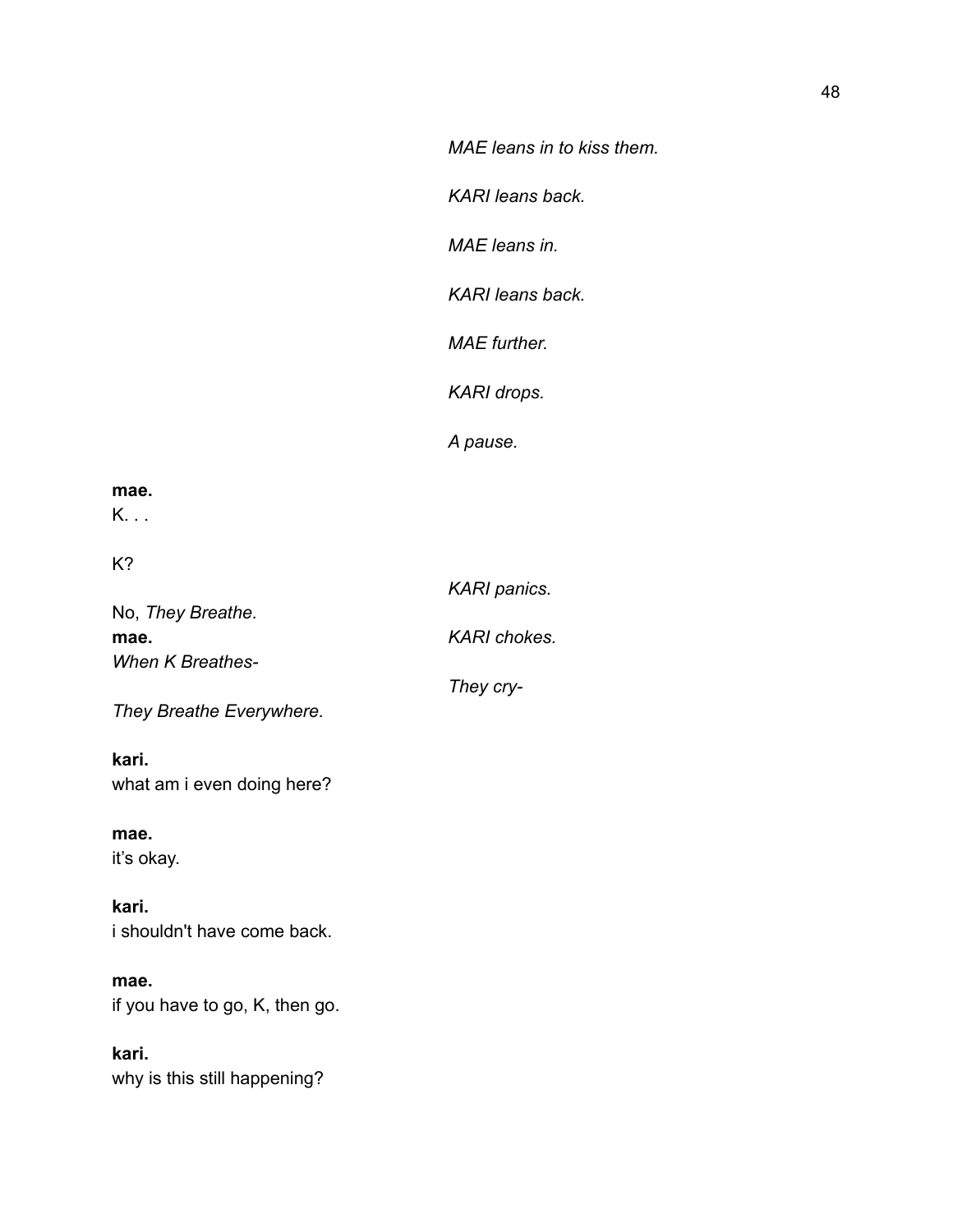*KARI leans back.*

*MAE leans in.*

*KARI leans back.*

*MAE further.*

*KARI drops.*

*A pause.*

*They cry-*

### **mae.**

K. . .

K?

|                          | <b>KARI</b> panics. |
|--------------------------|---------------------|
| No, <i>They Breathe.</i> |                     |
| mae.                     | KARI chokes.        |
| <b>When K Breathes-</b>  |                     |

*They Breathe Everywhere.*

### **kari.** what am i even doing here?

**mae.** it's okay.

**kari.** i shouldn't have come back.

**mae.** if you have to go, K, then go.

**kari.** why is this still happening?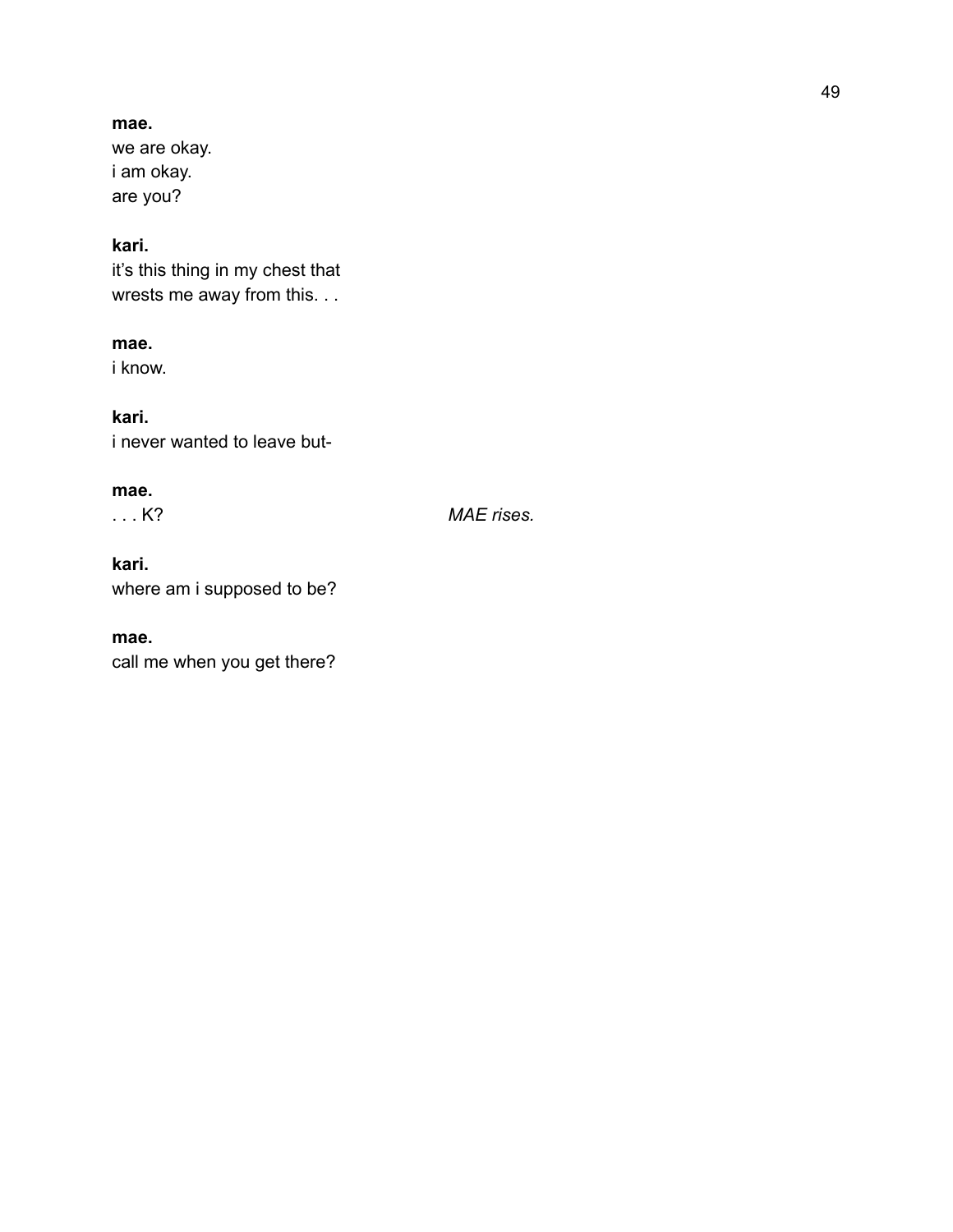### **mae.**

we are okay. i am okay. are you?

### **kari.**

it's this thing in my chest that wrests me away from this. . .

### **mae.**

i know.

### **kari.**

i never wanted to leave but-

### **mae.**

. . . K? *MAE rises.*

### **kari.**

where am i supposed to be?

### **mae.**

call me when you get there?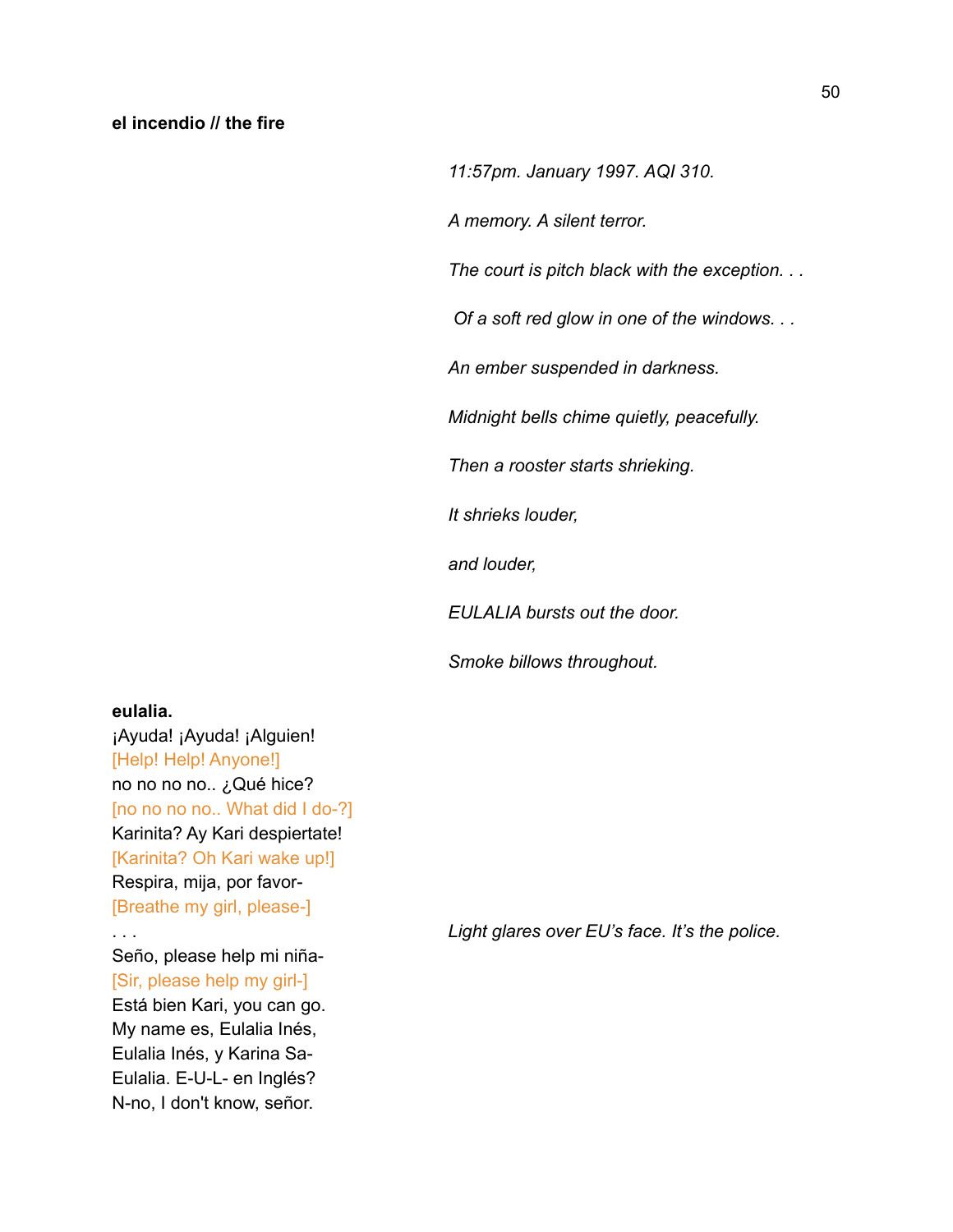*11:57pm. January 1997. AQI 310.*

*A memory. A silent terror.*

*The court is pitch black with the exception. . .*

*Of a soft red glow in one of the windows. . .*

*An ember suspended in darkness.*

*Midnight bells chime quietly, peacefully.*

*Then a rooster starts shrieking.*

*It shrieks louder,*

*and louder,*

*EULALIA bursts out the door.*

*Smoke billows throughout.*

### **eulalia.**

¡Ayuda! ¡Ayuda! ¡Alguien! [Help! Help! Anyone!] no no no no.. ¿Qué hice? [no no no no.. What did I do-?] Karinita? Ay Kari despiertate! [Karinita? Oh Kari wake up!] Respira, mija, por favor- [Breathe my girl, please-]

Seño, please help mi niña- [Sir, please help my girl-] Está bien Kari, you can go. My name es, Eulalia Inés, Eulalia Inés, y Karina Sa-Eulalia. E-U-L- en Inglés? N-no, I don't know, señor.

. . . *Light glares over EU's face. It's the police.*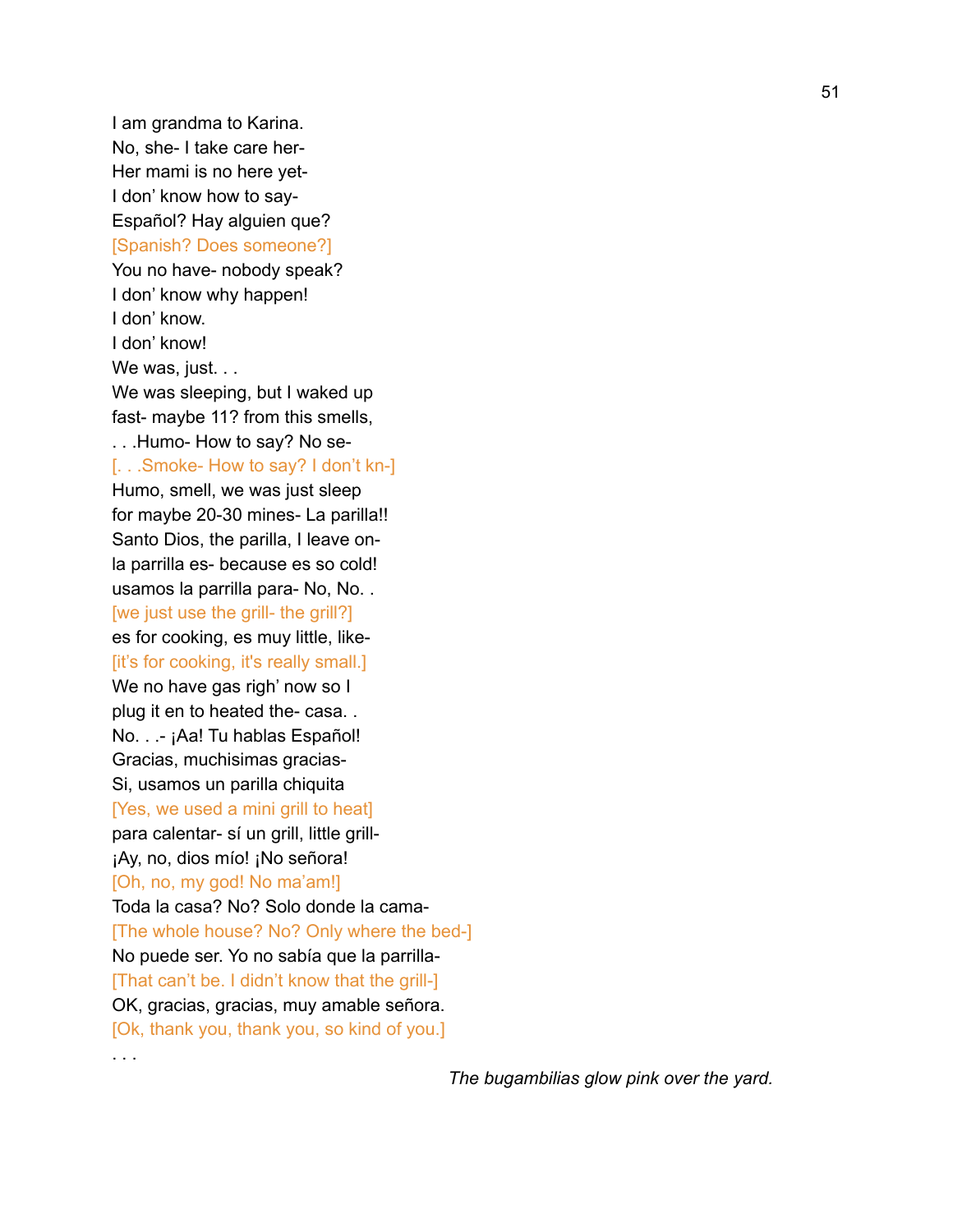I am grandma to Karina. No, she- I take care her-Her mami is no here yet-I don' know how to say-Español? Hay alguien que? [Spanish? Does someone?] You no have- nobody speak? I don' know why happen! I don' know. I don' know! We was, just. . . We was sleeping, but I waked up fast- maybe 11? from this smells, . . .Humo- How to say? No se- [. . .Smoke- How to say? I don't kn-] Humo, smell, we was just sleep for maybe 20-30 mines- La parilla!! Santo Dios, the parilla, I leave onla parrilla es- because es so cold! usamos la parrilla para- No, No. . [we just use the grill- the grill?] es for cooking, es muy little, like- [it's for cooking, it's really small.] We no have gas righ' now so I plug it en to heated the- casa. . No. . .- ¡Aa! Tu hablas Español! Gracias, muchisimas gracias-Si, usamos un parilla chiquita [Yes, we used a mini grill to heat] para calentar- sí un grill, little grill- ¡Ay, no, dios mío! ¡No señora! [Oh, no, my god! No ma'am!] Toda la casa? No? Solo donde la cama- [The whole house? No? Only where the bed-] No puede ser. Yo no sabía que la parrilla- [That can't be. I didn't know that the grill-] OK, gracias, gracias, muy amable señora. [Ok, thank you, thank you, so kind of you.]

. . .

*The bugambilias glow pink over the yard.*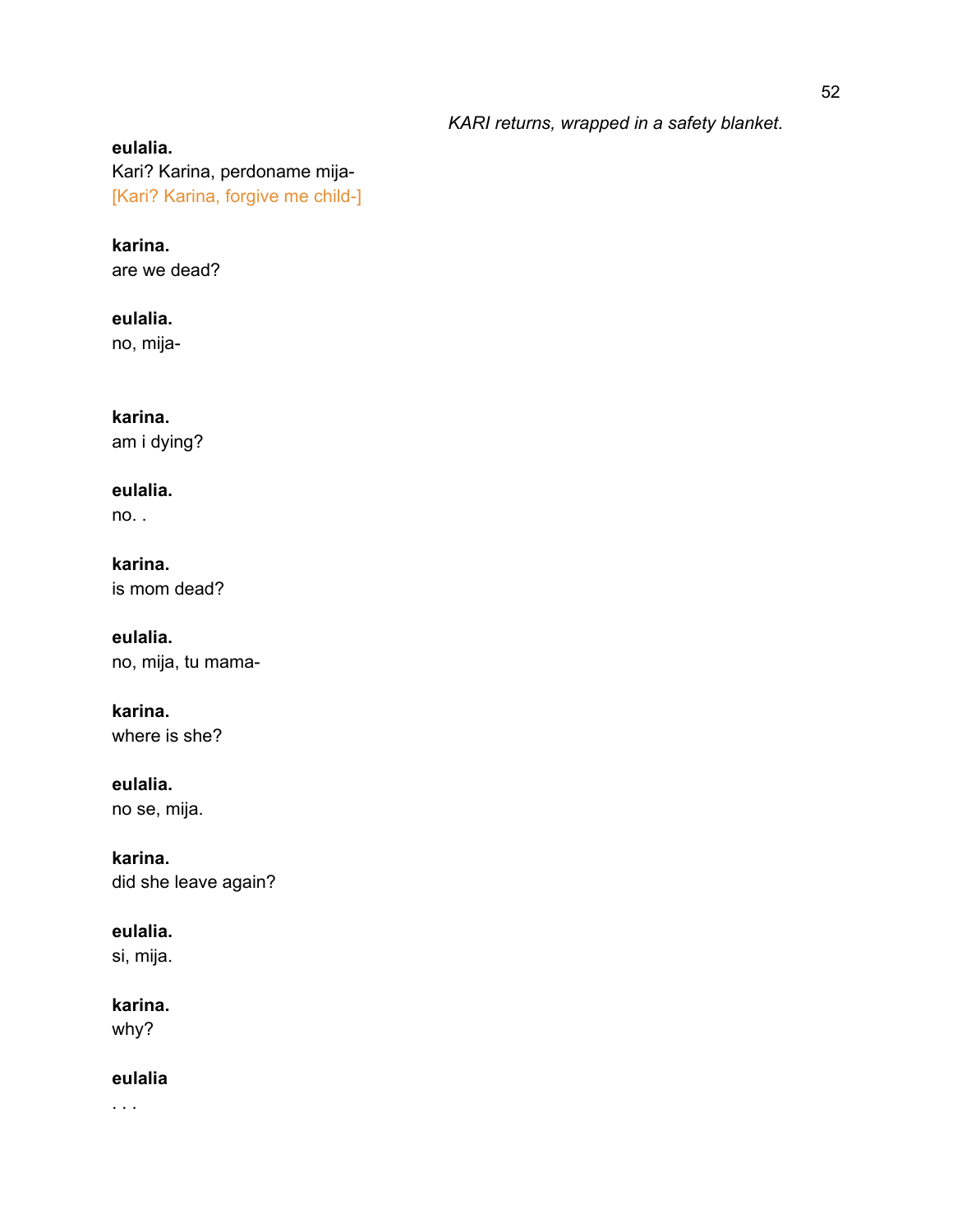### *KARI returns, wrapped in a safety blanket.*

### **eulalia.** Kari? Karina, perdoname mija- [Kari? Karina, forgive me child-]

**karina.** are we dead?

**eulalia.** no, mija-

**karina.** am i dying?

**eulalia.** no. .

**karina.** is mom dead?

**eulalia.** no, mija, tu mama-

**karina.** where is she?

**eulalia.** no se, mija.

**karina.** did she leave again?

**eulalia.**

si, mija.

**karina.**

why?

**eulalia**

. . .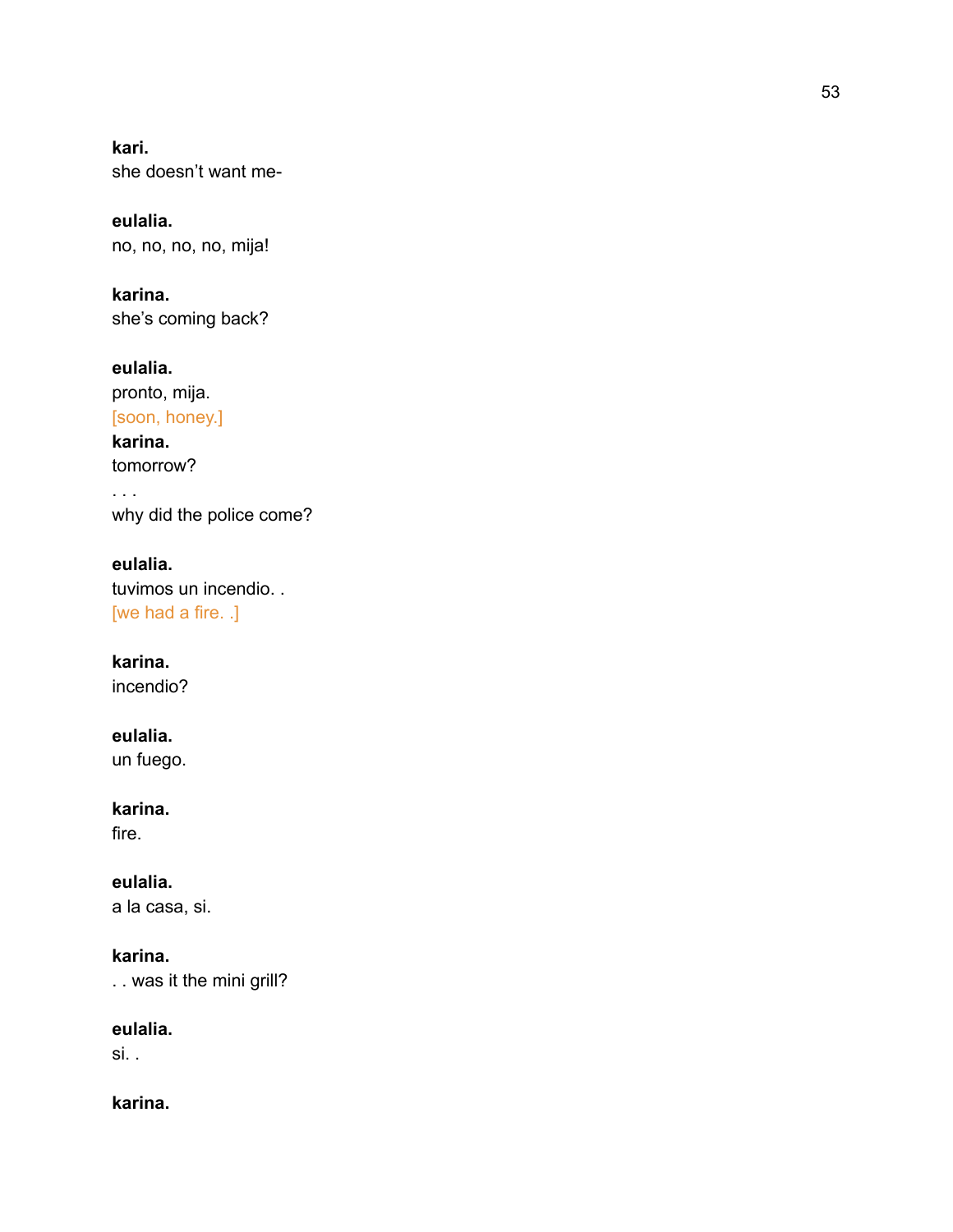**k a r i .** she doesn't want me-

**e u l a l i a .** n o, n o, n o, n o, mij a!

**karina.** she's coming back?

**eulalia.** pronto, mija. [soon, honey.] **karina.** tomorrow? . . . why did the police come?

**e u l a l i a .** tuvimos un incendio... [we had a fire. .]

**karina.** incendio?

**eulalia.** un fuego.

**karina.** fire.

**eulalia.** a la casa, si.

**karina.** . . was it the mini grill?

**eulalia.** si. .

**karina.**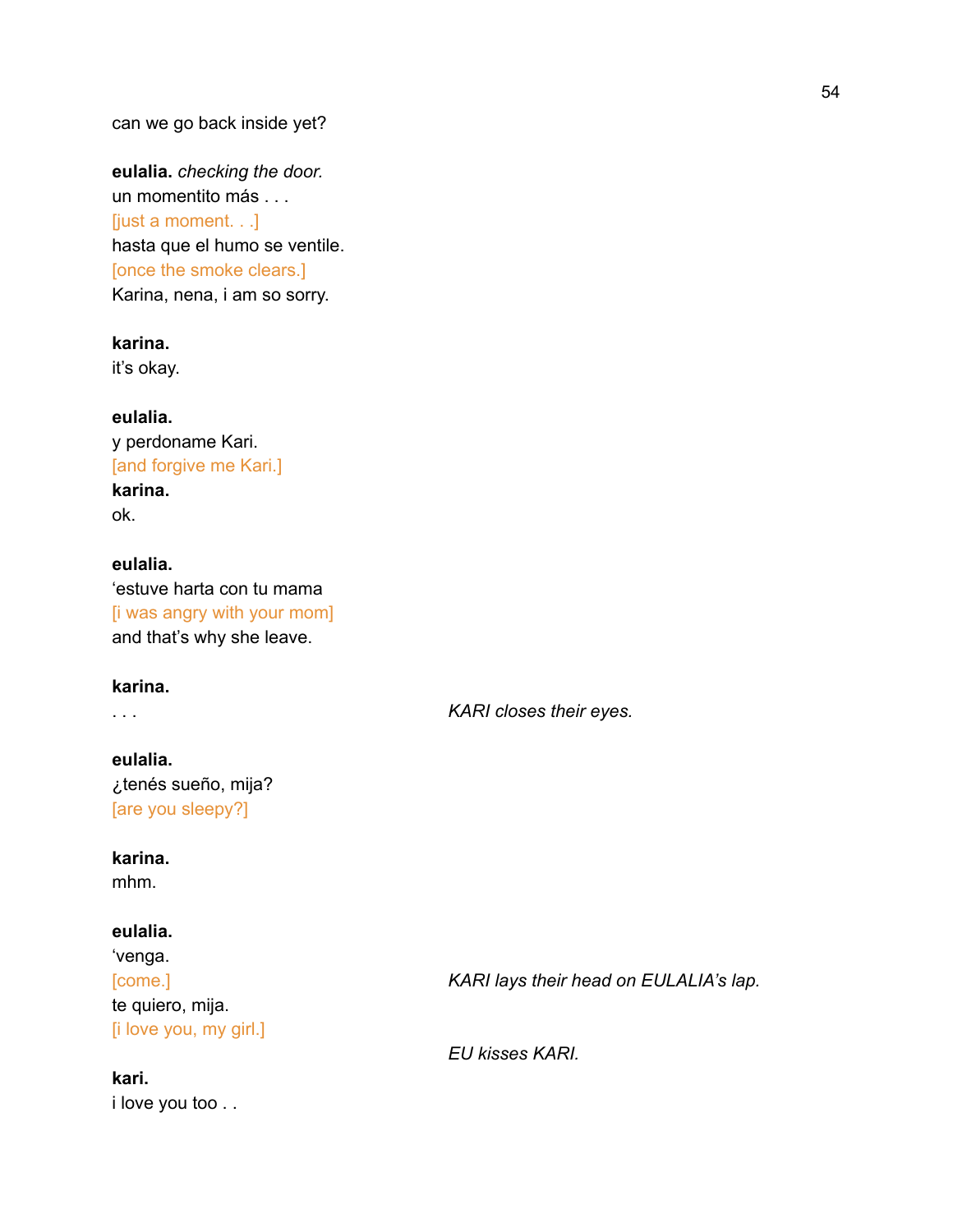**eulalia.** *checking the door.* un momentito más . . . [just a moment. . .] hasta que el humo se ventile. [once the smoke clears.] Karina, nena, i am so sorry.

**karina.** it's okay.

**eulalia.** y perdoname Kari. [and forgive me Kari.] **karina.** ok.

**eulalia.** 'estuve harta con tu mama [i was angry with your mom] and that's why she leave.

### **karina.**

. . . *KARI closes their eyes.*

**eulalia.** ¿tenés sueño, mija? [are you sleepy?]

### **karina.**

mhm.

### **eulalia.**

'venga. te quiero, mija. [i love you, my girl.]

**kari.** i love you too . .

[come.] *KARI lays their head on EULALIA's lap.*

*EU kisses KARI.*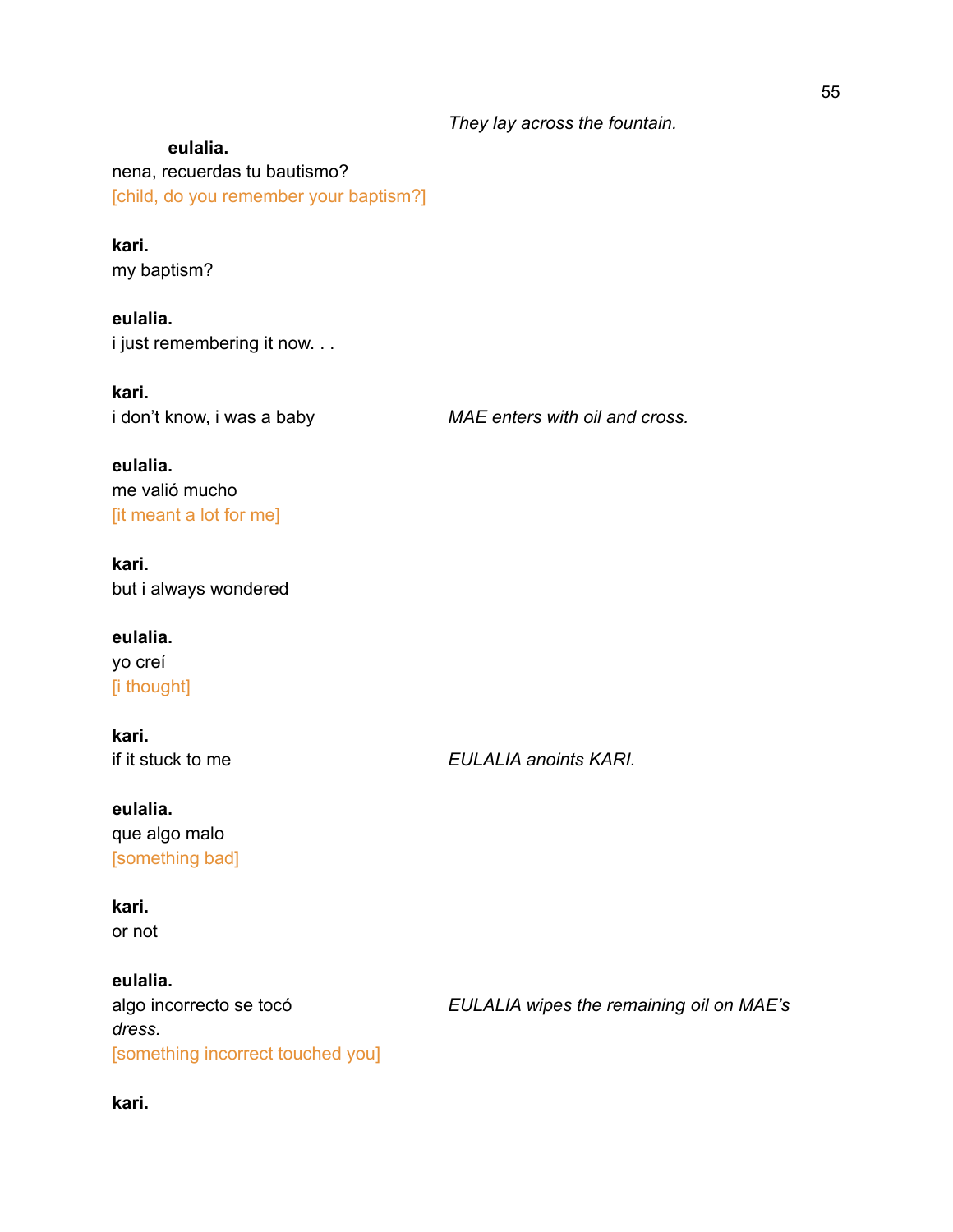### *They lay across the fountain.*

**eulalia.** nena, recuerdas tu bautismo? [child, do you remember your baptism?]

### **kari.** my baptism?

**eulalia.** i just remembering it now. . .

**kari.**

i don't know, i was a baby *MAE enters with oil and cross.*

**eulalia.** me valió mucho [it meant a lot for me]

**kari.** but i always wondered

**eulalia.** yo creí [i thought]

**kari.**

if it stuck to me *EULALIA anoints KARI.*

**eulalia.** que algo malo [something bad]

**kari.** or not

**eulalia.** *dress.* [something incorrect touched you]

algo incorrecto se tocó *EULALIA wipes the remaining oil on MAE's*

**kari.**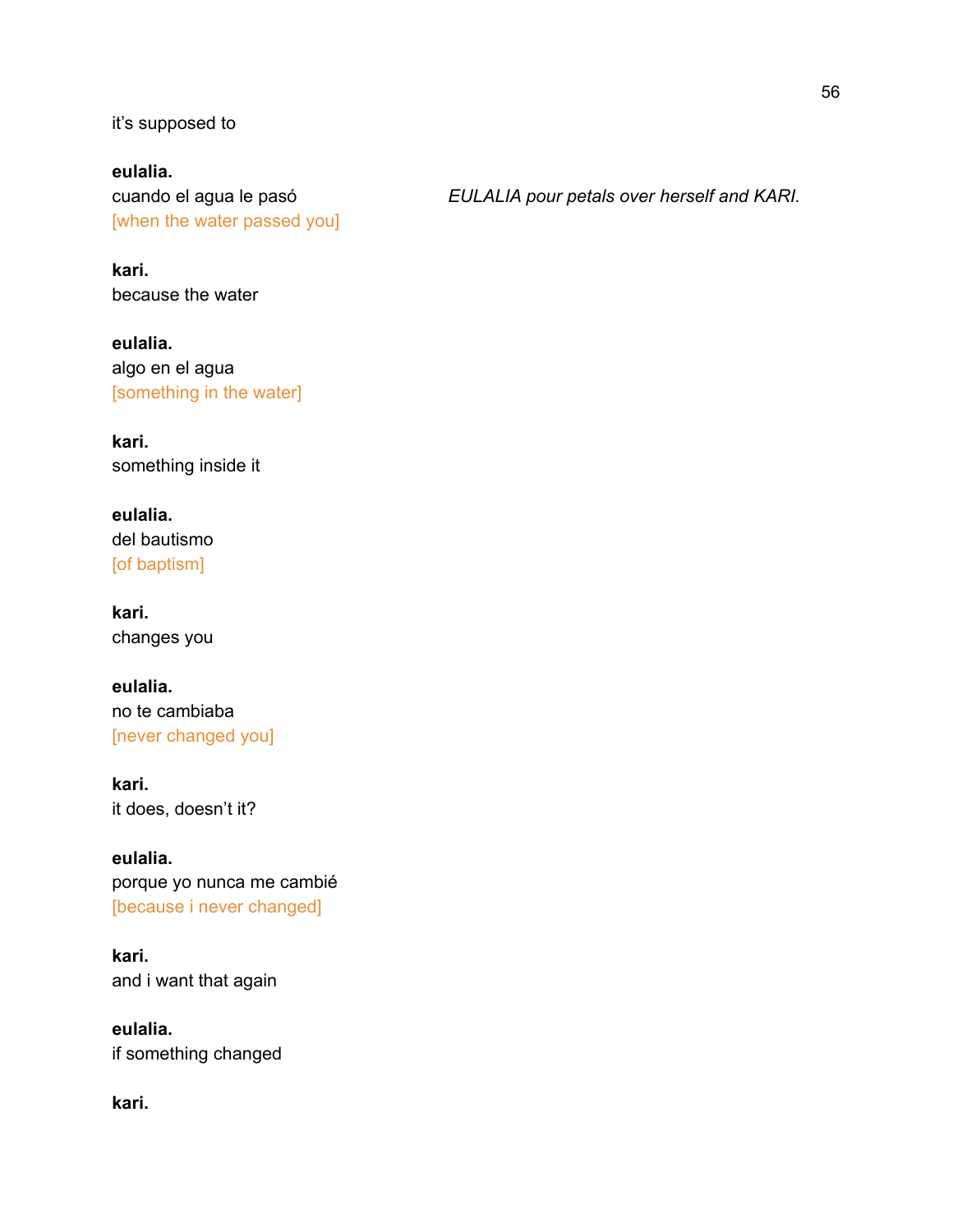it's supposed to

**eulalia.** [when the water passed you]

cuando el agua le pasó *EULALIA pour petals over herself and KARI.*

**kari.** because the water

**eulalia.** algo en el agua [something in the water]

**kari.** something inside it

**eulalia.** del bautismo [of baptism]

**kari.** changes you

**eulalia.** no te cambiaba [never changed you]

**kari.** it does, doesn't it?

**eulalia.** porque yo nunca me cambié [because i never changed]

**kari.** and i want that again

**eulalia.** if something changed

**kari.**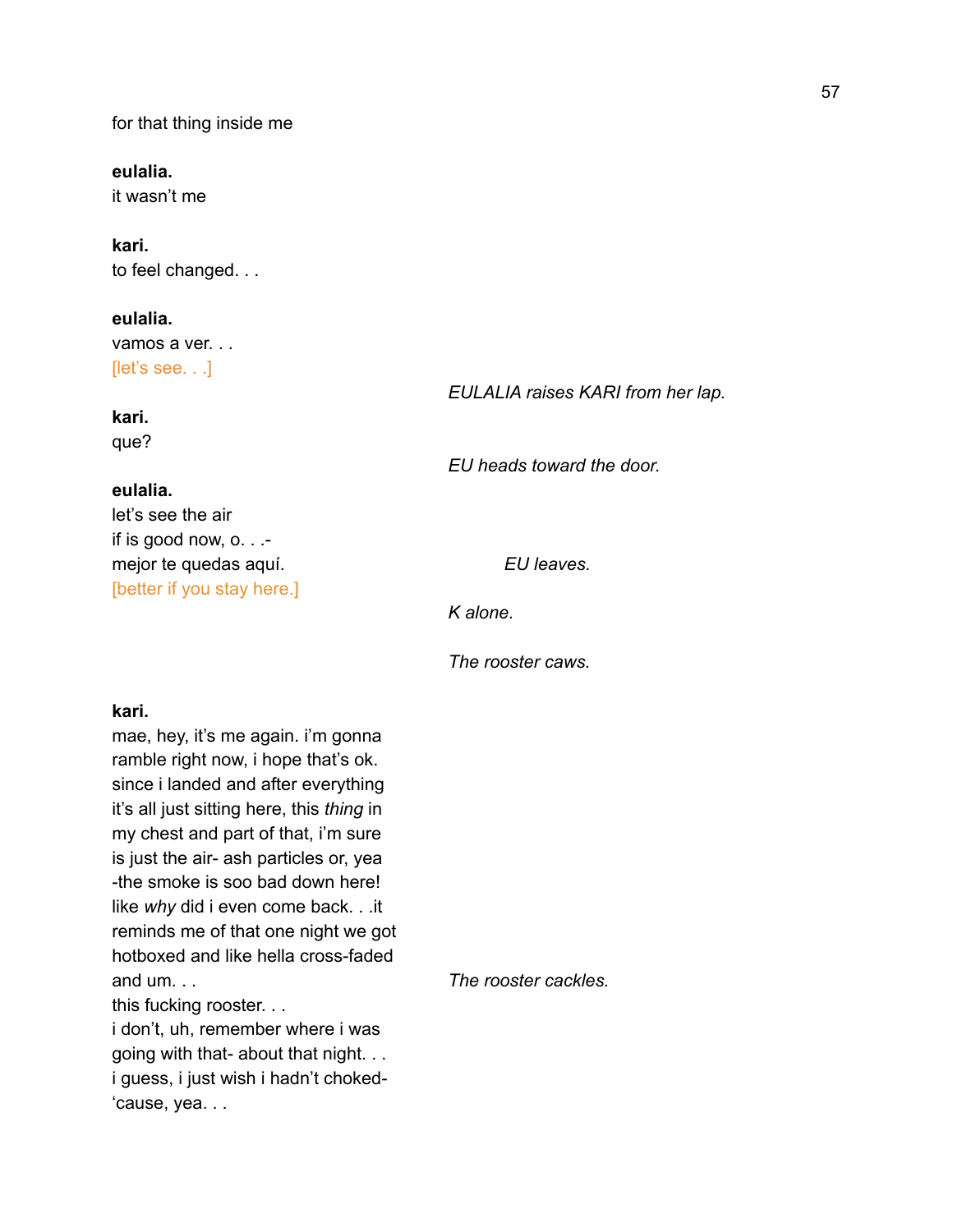for that thing inside me

**eulalia.** it wasn't me

**kari.** to feel changed. . .

**eulalia.** vamos a ver. . . [let's see. . .]

*EULALIA raises KARI from her lap.*

# **kari.**

que?

### **eulalia.**

let's see the air if is good now, o. . . mejor te quedas aquí. *EU* leaves. [better if you stay here.]

*EU heads toward the door.*

*K alone.*

*The rooster caws.*

### **kari.**

mae, hey, it's me again. i'm gonna ramble right now, i hope that's ok. since i landed and after everything it's all just sitting here, this *thing* in my chest and part of that, i'm sure is just the air- ash particles or, yea -the smoke is soo bad down here! like *why* did i even come back. . .it reminds me of that one night we got hotboxed and like hella cross-faded and um. . . *The rooster cackles.*

this fucking rooster. . .

i don't, uh, remember where i was going with that- about that night. . . i guess, i just wish i hadn't choked- 'cause, yea. . .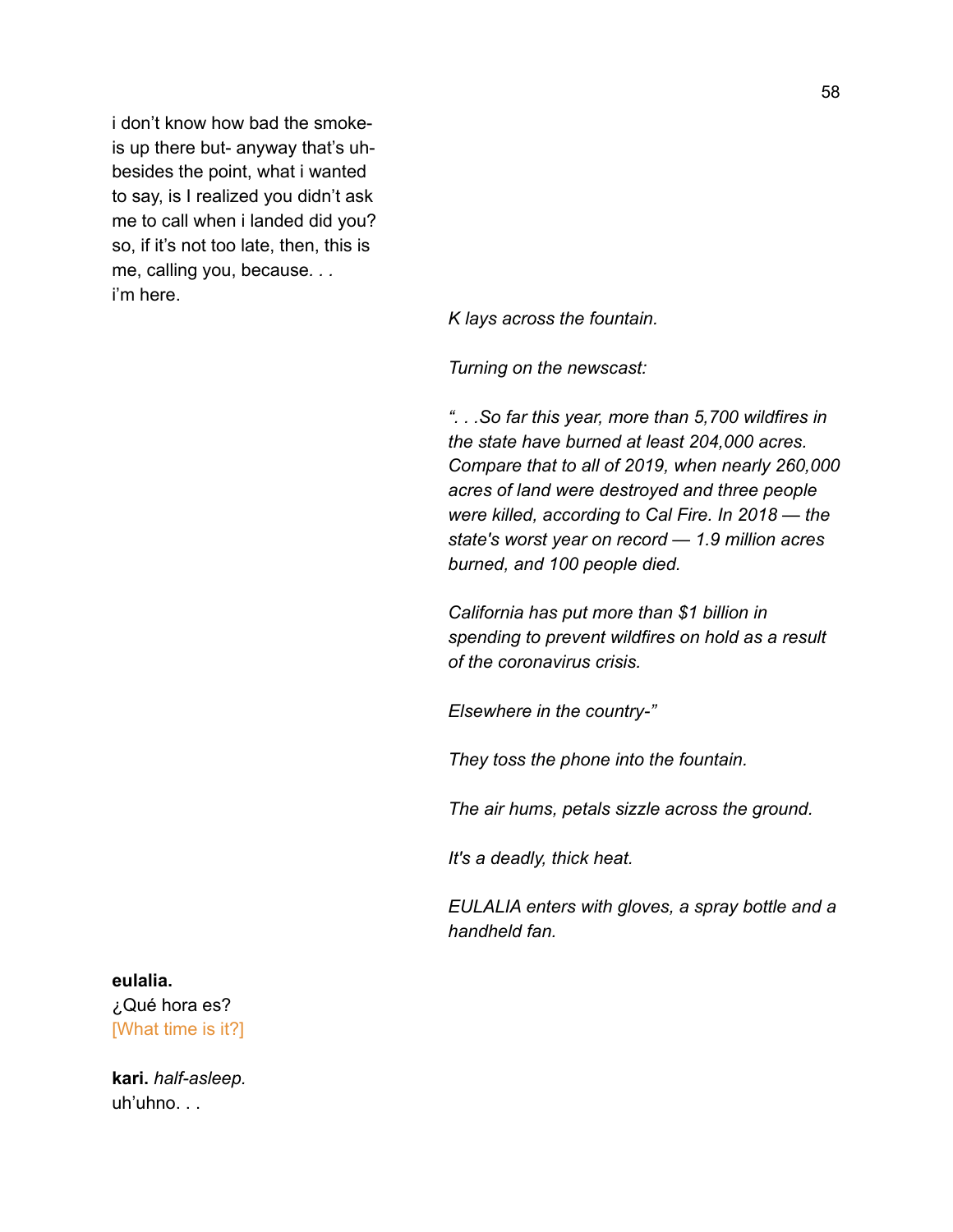i don't know how bad the smokeis up there but- anyway that's uhbesides the point, what i wanted to say, is I realized you didn't ask me to call when i landed did you? so, if it's not too late, then, this is me, calling you, because*. . .* i'm here.

*K lays across the fountain.*

*Turning on the newscast:*

*". . .So far this year, more than 5,700 wildfires in the state have burned at least 204,000 acres. Compare that to all of 2019, when nearly 260,000 acres of land were destroyed and three people were killed, according to Cal Fire. In 2018 — the state's worst year on record — 1.9 million acres burned, and 100 people died.*

*California has put more than \$1 billion in spending to prevent wildfires on hold as a result of the coronavirus crisis.*

*Elsewhere in the country-"*

*They toss the phone into the fountain.*

*The air hums, petals sizzle across the ground.*

*It's a deadly, thick heat.*

*EULALIA enters with gloves, a spray bottle and a handheld fan.*

### **eulalia.**

¿Qué hora es? [What time is it?]

**kari.** *half-asleep.* uh'uhno. . .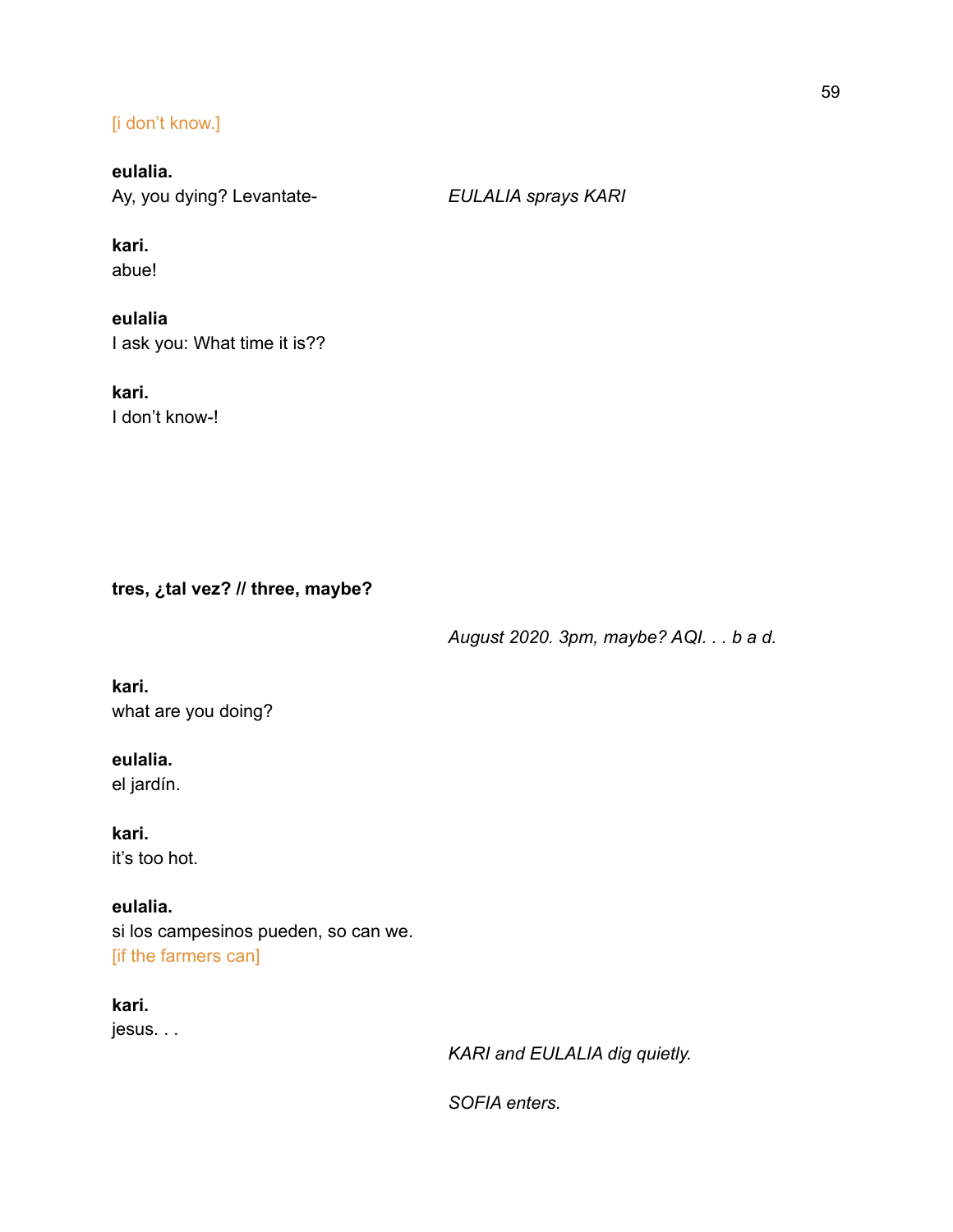### [i don't know.]

# **eulalia.**

Ay, you dying? Levantate- *EULALIA sprays KARI*

# **kari.**

abue!

# **eulalia**

I ask you: What time it is??

### **kari.** I don't know-!

**tres, ¿tal vez? // three, maybe?**

*August 2020. 3pm, maybe? AQI. . . b a d.*

### **kari.** what are you doing?

# **eulalia.**

el jardín.

**kari.** it's too hot.

### **eulalia.**

si los campesinos pueden, so can we. [if the farmers can]

### **kari.** jesus. . .

*KARI and EULALIA dig quietly.*

*SOFIA enters.*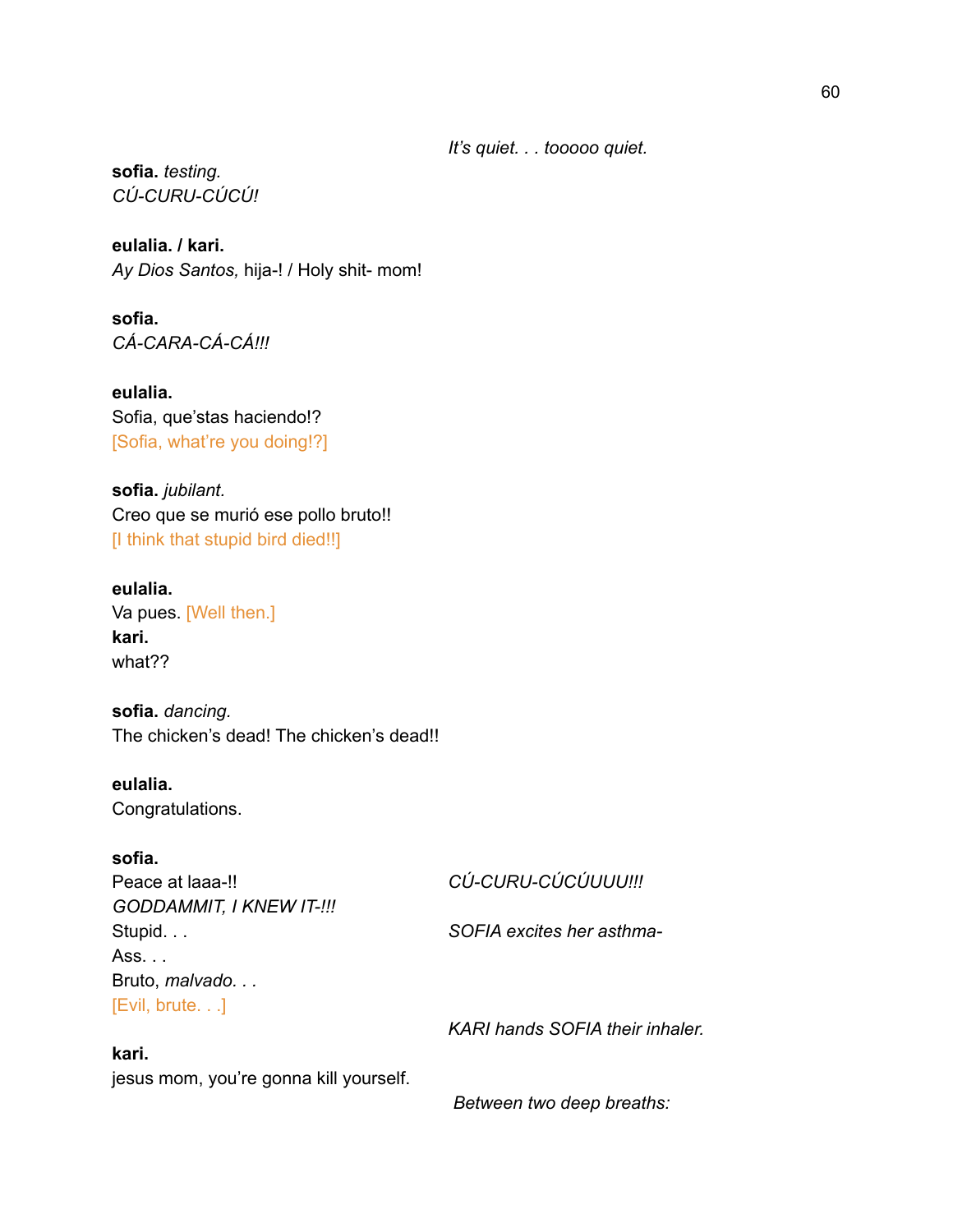*It's quiet. . . tooooo quiet.*

**sofia.** *testing. CÚ-CURU-CÚCÚ!*

**eulalia. / kari.** *Ay Dios Santos,* hija-! / Holy shit- mom!

**sofia.** *CÁ-CARA-CÁ-CÁ!!!*

**eulalia.** Sofia, que'stas haciendo!? [Sofia, what're you doing!?]

**sofia.** *jubilant.* Creo que se murió ese pollo bruto!! [I think that stupid bird died!!]

### **eulalia.** Va pues. [Well then.] **kari.** what??

**sofia.** *dancing.* The chicken's dead! The chicken's dead!!

**eulalia.** Congratulations.

### **sofia.**

Peace at laaa-!! *CÚ-CURU-CÚCÚUUU!!! GODDAMMIT, I KNEW IT-!!!* Stupid. . . *SOFIA excites her asthma-*Ass. . . Bruto, *malvado. . .* [Evil, brute. . .]

### **kari.**

jesus mom, you're gonna kill yourself.

*KARI hands SOFIA their inhaler.*

*Between two deep breaths:*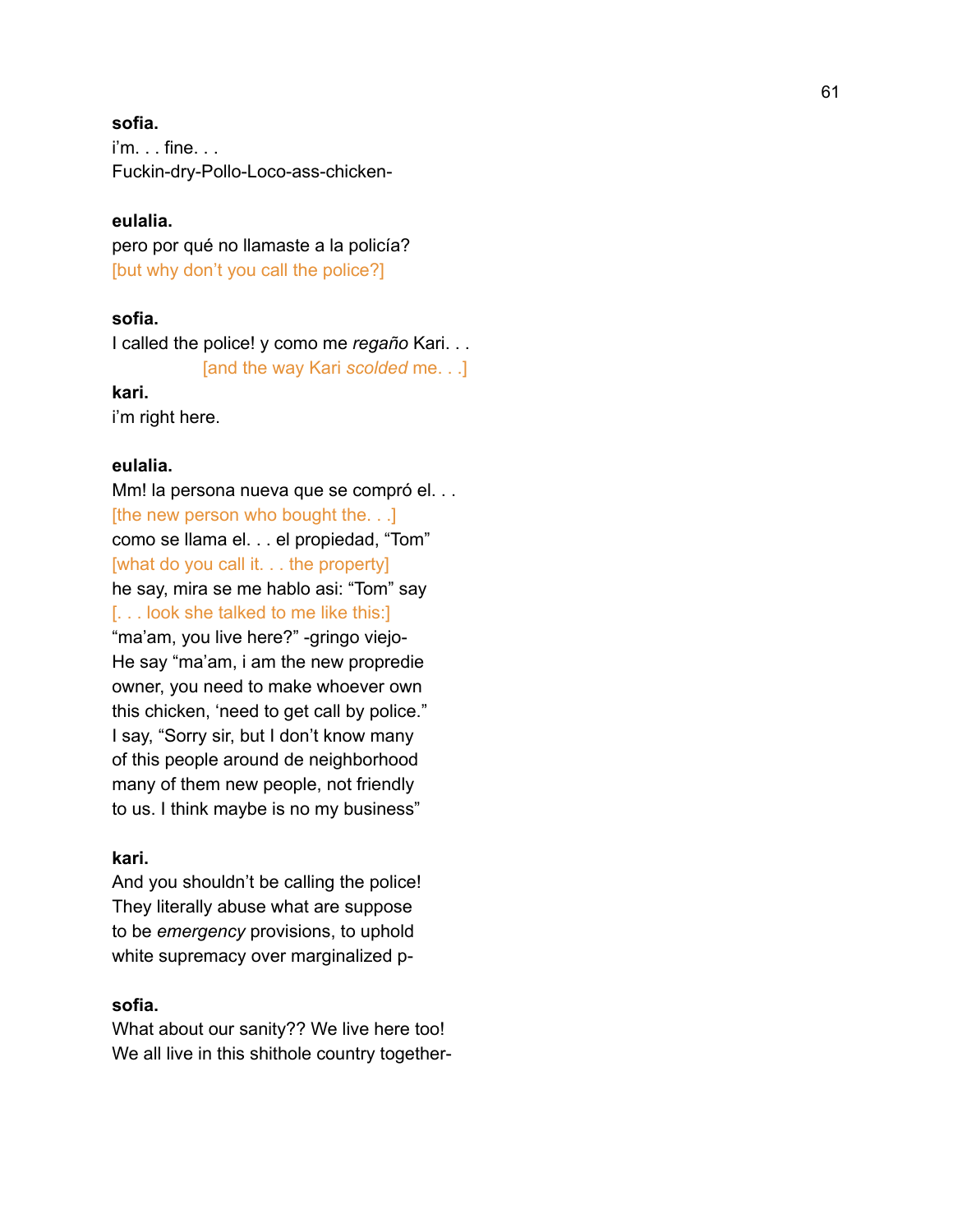### **s o f i a .**

i'm. . . fin e. . . Fuckin-dry-Pollo-Loco-ass-chicken-

### **e u l a l i a .**

pero por qué no llamaste a la policía? [but why don't you call the police?]

### **s o f i a .**

I called the police! y como me regaño Kari. . . [and the way Kari *scolded* me. . .]

### **k a r i .**

i'm right here.

### **eulalia.**

Mm! la persona nueva que se compró el... [the new person who bought the. . .] como se llama el. . . el propiedad, "Tom" [what do you call it. . . the property] he say, mira se me hablo asi: "Tom" say [. . . look she talked to me like this:] "ma'am, you live here?" -gringo viejo- He say "ma'am, i am the new propredie owner, you need to make whoever own this chicken, 'need to get call by police." I say, "Sorry sir, but I don't know many of this people around de neighborhood many of them new people, not friendly to us. I think maybe is no my business"

### **kari.**

And you shouldn't be calling the police! They literally abuse what are suppose to be *emergency* provisions, to uphold white supremacy over marginalized p-

### **sofia.**

What about our sanity?? We live here too! We all live in this shithole country together-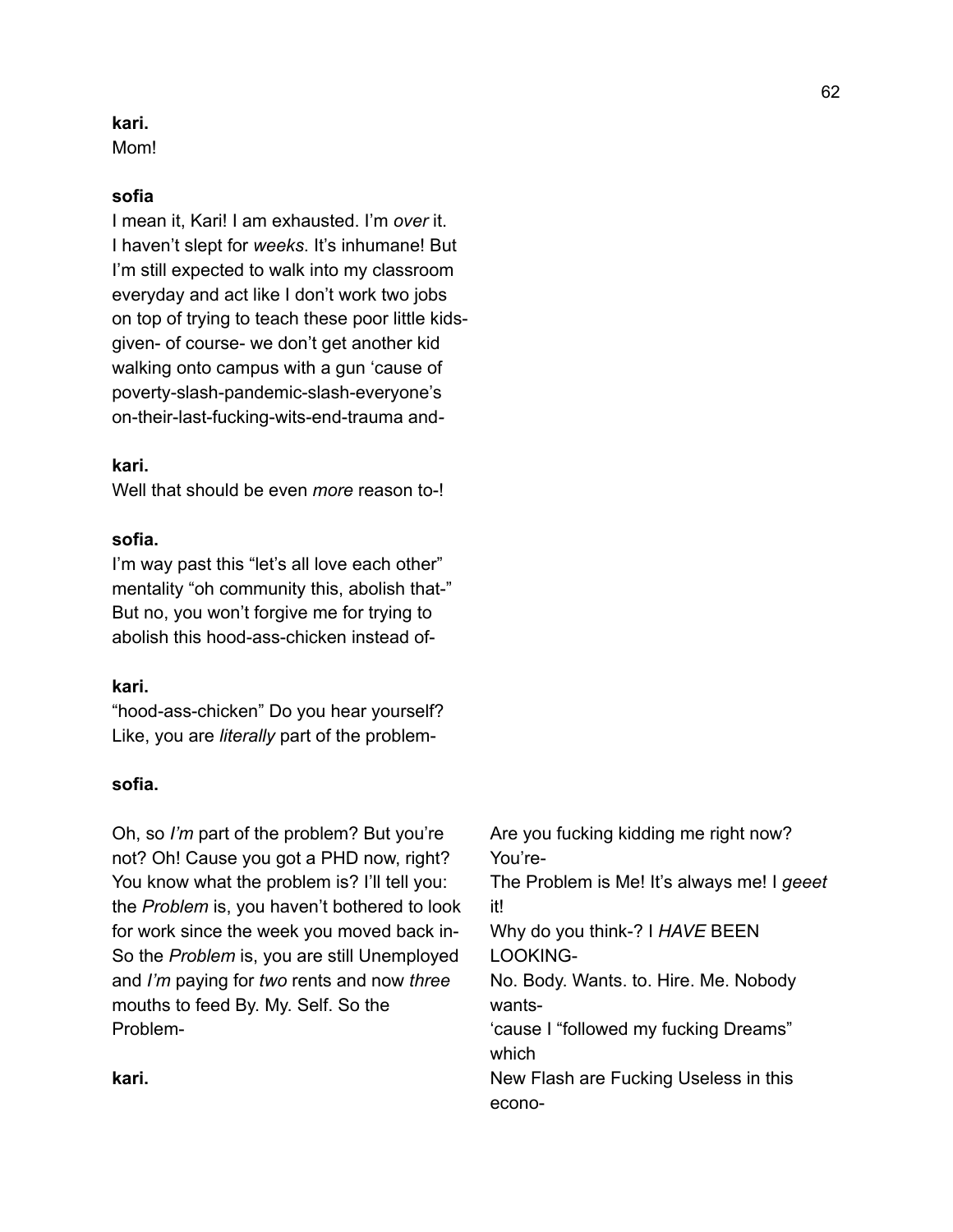### **kari.**

Mom!

### **sofia**

I mean it, Kari! I am exhausted. I'm *over* it. I haven't slept for *weeks*. It's inhumane! But I'm still expected to walk into my classroom everyday and act like I don't work two jobs on top of trying to teach these poor little kidsgiven- of course- we don't get another kid walking onto campus with a gun 'cause of poverty-slash-pandemic-slash-everyone's on-their-last-fucking-wits-end-trauma and*-*

### **kari.**

Well that should be even *more* reason to-!

### **sofia.**

I'm way past this "let's all love each other" mentality "oh community this, abolish that-" But no, you won't forgive me for trying to abolish this hood-ass-chicken instead of-

### **kari.**

"hood-ass-chicken" Do you hear yourself? Like, you are *literally* part of the problem-

### **sofia.**

Oh, so *I'm* part of the problem? But you're not? Oh! Cause you got a PHD now, right? You know what the problem is? I'll tell you: the *Problem* is, you haven't bothered to look for work since the week you moved back in-So the *Problem* is, you are still Unemployed and *I'm* paying for *two* rents and now *three* mouths to feed By. My. Self. So the ProblemAre you fucking kidding me right now? You're-The Problem is Me! It's always me! I *geeet* it! Why do you think-? I *HAVE* BEEN LOOKING-No. Body. Wants. to. Hire. Me. Nobody wants- 'cause I "followed my fucking Dreams" which New Flash are Fucking Useless in this econo-

**kari.**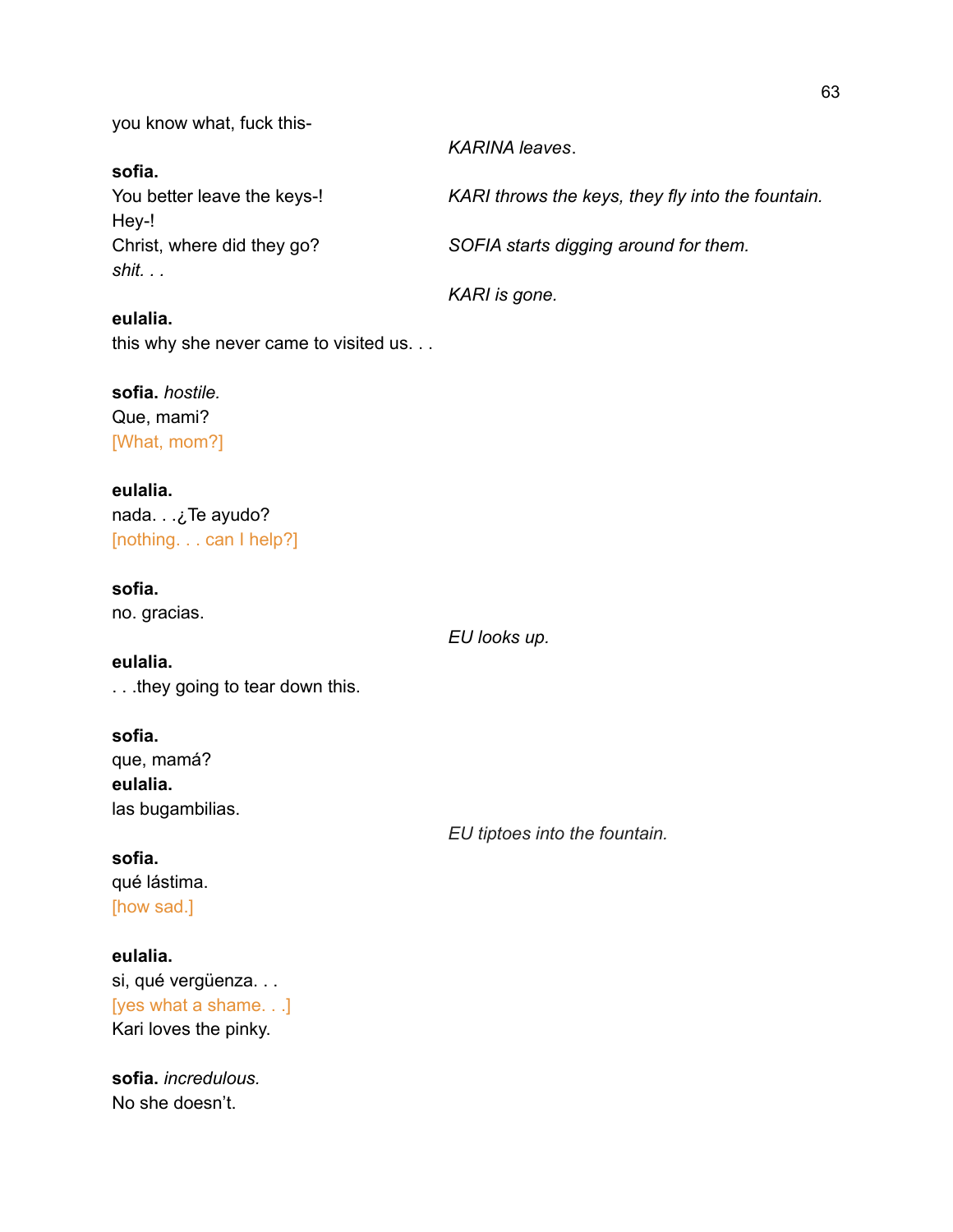you know what, fuck this-

### **sofia.**

Hey-! *shit. . .*

### **eulalia.**

this why she never came to visited us. . .

### **sofia.** *hostile.*

Que, mami? [What, mom?]

### **eulalia.**

nada. . .¿Te ayudo? [nothing. . . can I help?]

### **sofia.**

**eulalia.**

no. gracias.

*EU looks up.*

## . . .they going to tear down this.

**sofia.** que, mamá? **eulalia.** las bugambilias.

*EU tiptoes into the fountain.*

### **sofia.**

qué lástima. [how sad.]

### **eulalia.**

si, qué vergüenza. . . [yes what a shame. . .] Kari loves the pinky.

**sofia.** *incredulous.* No she doesn't.

### *KARINA leaves*.

You better leave the keys-! *KARI throws the keys, they fly into the fountain.*

Christ, where did they go? *SOFIA starts digging around for them.*

*KARI is gone.*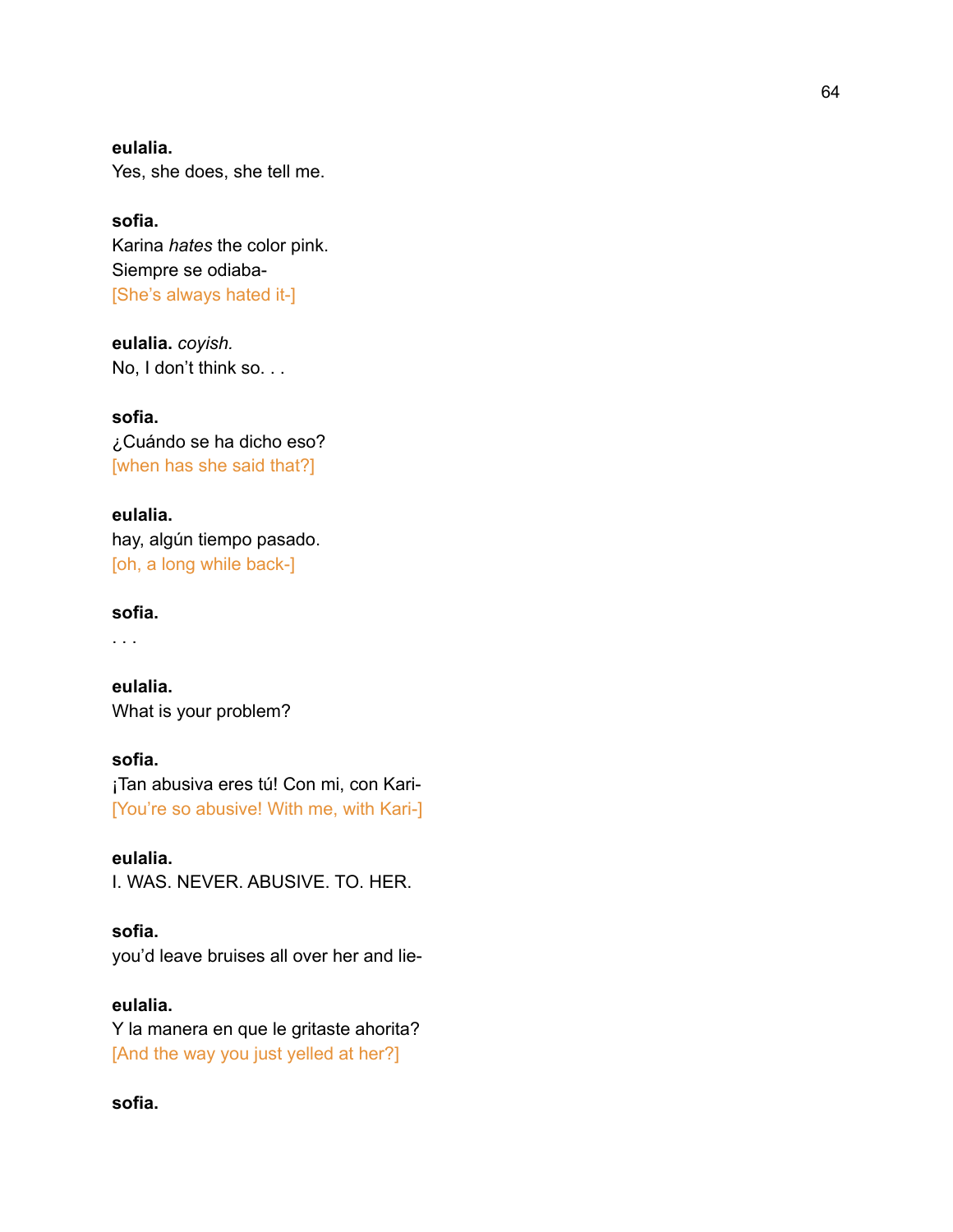**eulalia.** Yes, she does, she tell me.

**sofia.** Karina *hates* the color pink. Siempre se odiaba- [She's always hated it-]

**eulalia.** *coyish.* No, I don't think so. . .

**sofia.** ¿Cuándo se ha dicho eso? [when has she said that?]

**eulalia.** hay, algún tiempo pasado. [oh, a long while back-]

### **sofia.**

. . .

**eulalia.** What is your problem?

**sofia.** ¡Tan abusiva eres tú! Con mi, con Kari- [You're so abusive! With me, with Kari-]

**eulalia.** I. WAS. NEVER. ABUSIVE. TO. HER.

**sofia.** you'd leave bruises all over her and lie-

**eulalia.** Y la manera en que le gritaste ahorita? [And the way you just yelled at her?]

**sofia.**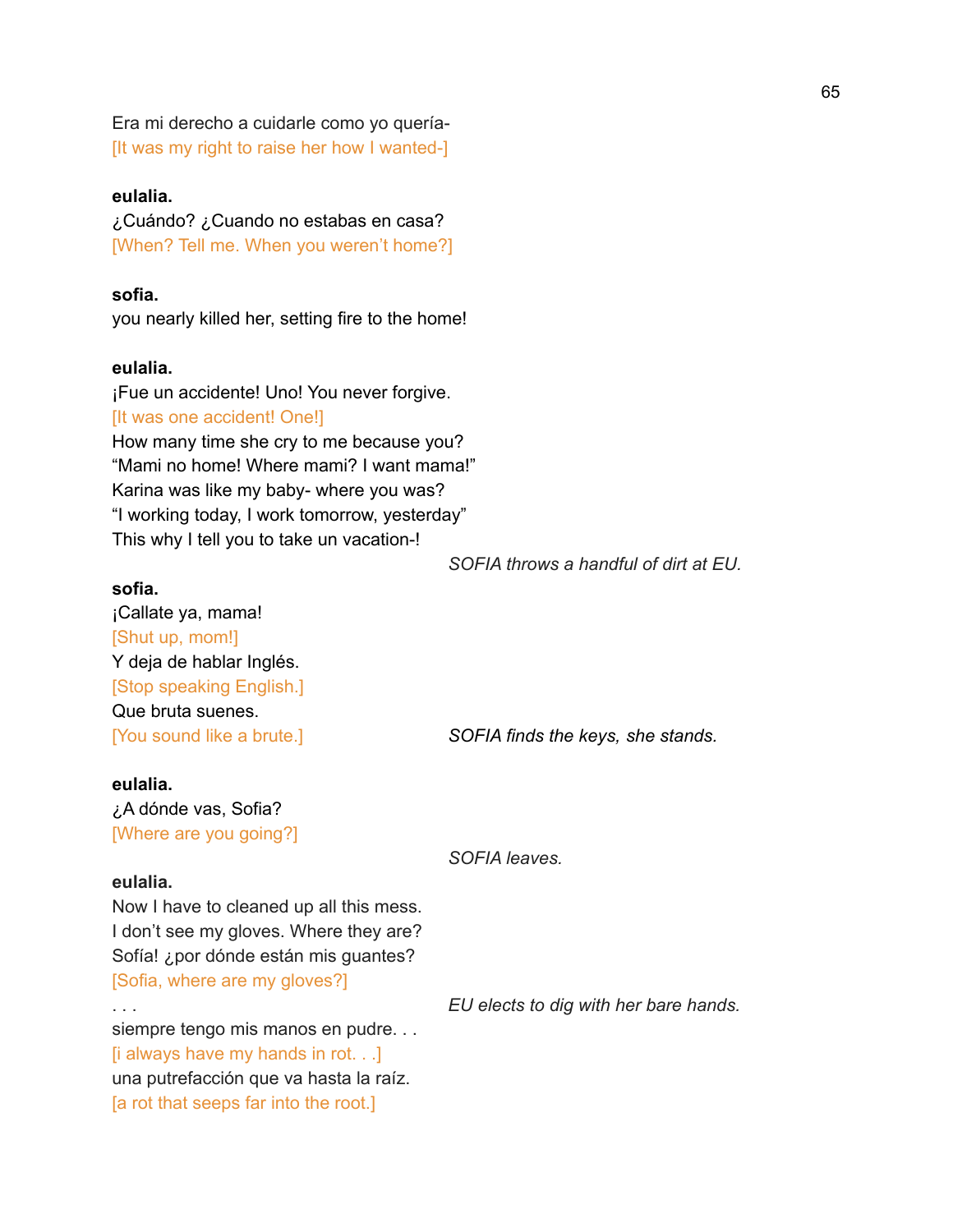Era mi derecho a cuidarle como yo quería- [It was my right to raise her how I wanted-]

### **eulalia.**

¿Cuándo? ¿Cuando no estabas en casa? [When? Tell me. When you weren't home?]

### **sofia.**

you nearly killed her, setting fire to the home!

### **eulalia.**

¡Fue un accidente! Uno! You never forgive. [It was one accident! One!] How many time she cry to me because you? "Mami no home! Where mami? I want mama!" Karina was like my baby- where you was? "I working today, I work tomorrow, yesterday" This why I tell you to take un vacation-!

*SOFIA throws a handful of dirt at EU.*

### **sofia.**

¡Callate ya, mama! [Shut up, mom!] Y deja de hablar Inglés. [Stop speaking English.] Que bruta suenes.

[You sound like a brute.] *SOFIA finds the keys, she stands.*

### **eulalia.**

¿A dónde vas, Sofia? [Where are you going?]

### **eulalia.**

Now I have to cleaned up all this mess. I don't see my gloves. Where they are? Sofía! ¿por dónde están mis guantes? [Sofia, where are my gloves?]

siempre tengo mis manos en pudre... [i always have my hands in rot. . .] una putrefacción que va hasta la raíz. [a rot that seeps far into the root.]

*SOFIA leaves.*

. . . *EU elects to dig with her bare hands.*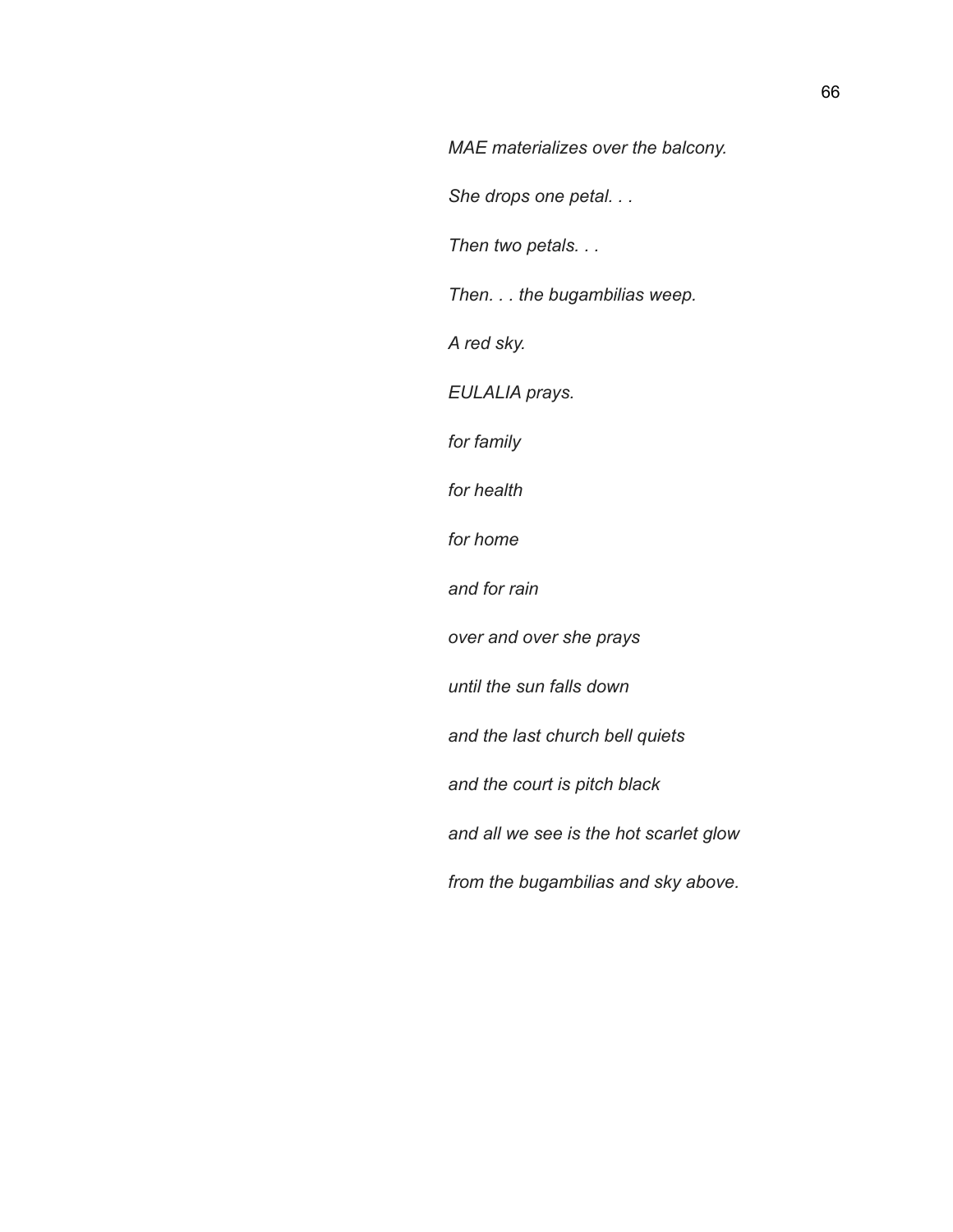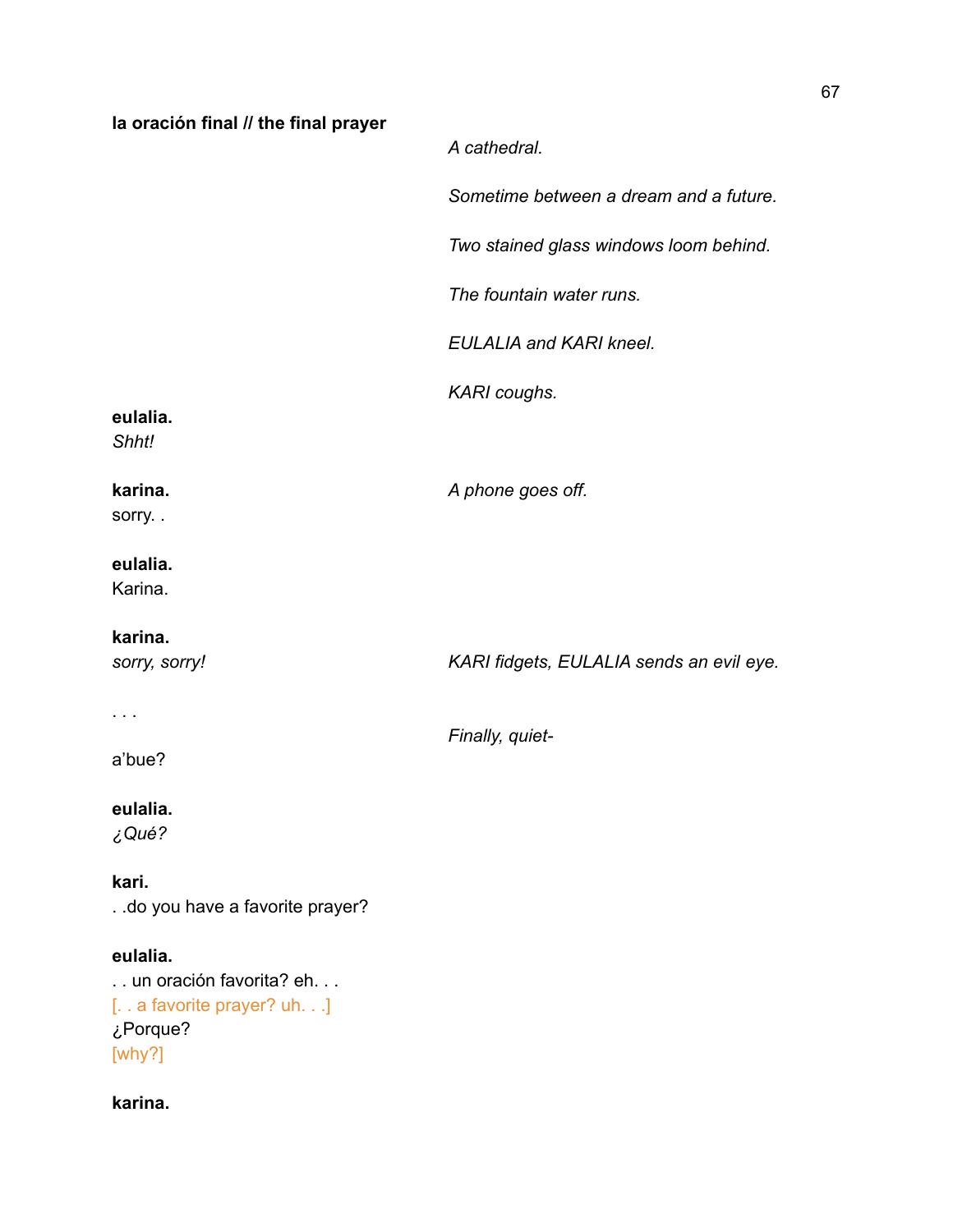| la oración final // the final prayer                                                       |                                          |
|--------------------------------------------------------------------------------------------|------------------------------------------|
|                                                                                            | A cathedral.                             |
|                                                                                            | Sometime between a dream and a future.   |
|                                                                                            | Two stained glass windows loom behind.   |
|                                                                                            | The fountain water runs.                 |
|                                                                                            | <b>EULALIA and KARI kneel.</b>           |
|                                                                                            | KARI coughs.                             |
| eulalia.<br>Shht!                                                                          |                                          |
| karina.<br>sorry                                                                           | A phone goes off.                        |
| eulalia.<br>Karina.                                                                        |                                          |
| karina.<br>sorry, sorry!                                                                   | KARI fidgets, EULALIA sends an evil eye. |
| $\sim 100$ km s $^{-1}$                                                                    | Finally, quiet-                          |
| a'bue?                                                                                     |                                          |
| eulalia.<br>¿Qué?                                                                          |                                          |
| kari.<br>. .do you have a favorite prayer?                                                 |                                          |
| eulalia.<br>un oración favorita? eh<br>[ a favorite prayer? uh.]<br>¿Porque?<br>[ $why$ ?] |                                          |
| karina.                                                                                    |                                          |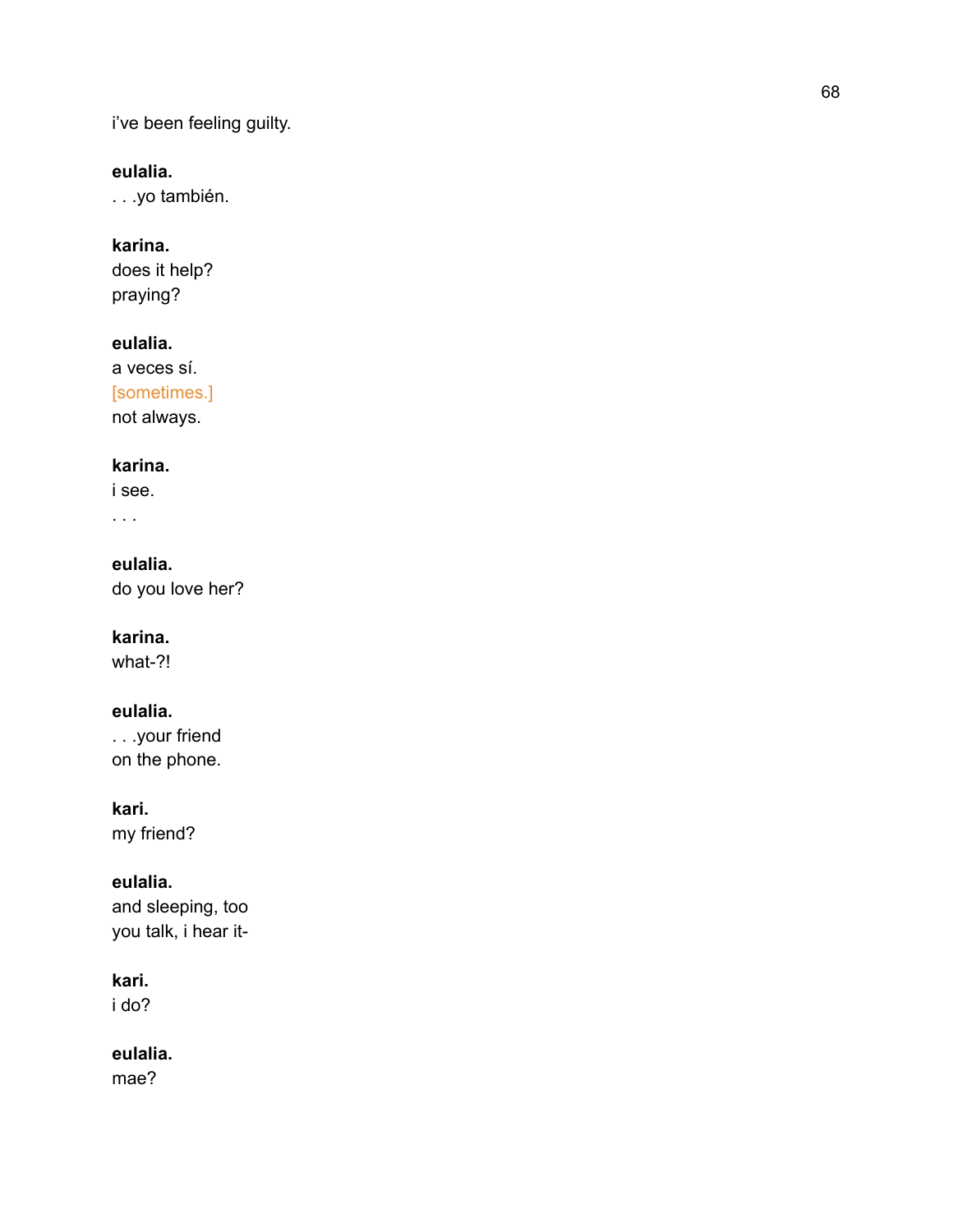i've been feeling guilty.

### **eulalia.**

. . .yo también.

### **karina.**

does it help? praying?

### **eulalia.**

a veces sí. [sometimes.] not always.

### **karina.**

i see.

. . .

**eulalia.** do you love her?

# **karina.**

what-?!

### **eulalia.**

. . .your friend on the phone.

### **kari.**

my friend?

### **eulalia.**

and sleeping, too you talk, i hear it-

### **kari.**

i do?

### **eulalia.**

mae?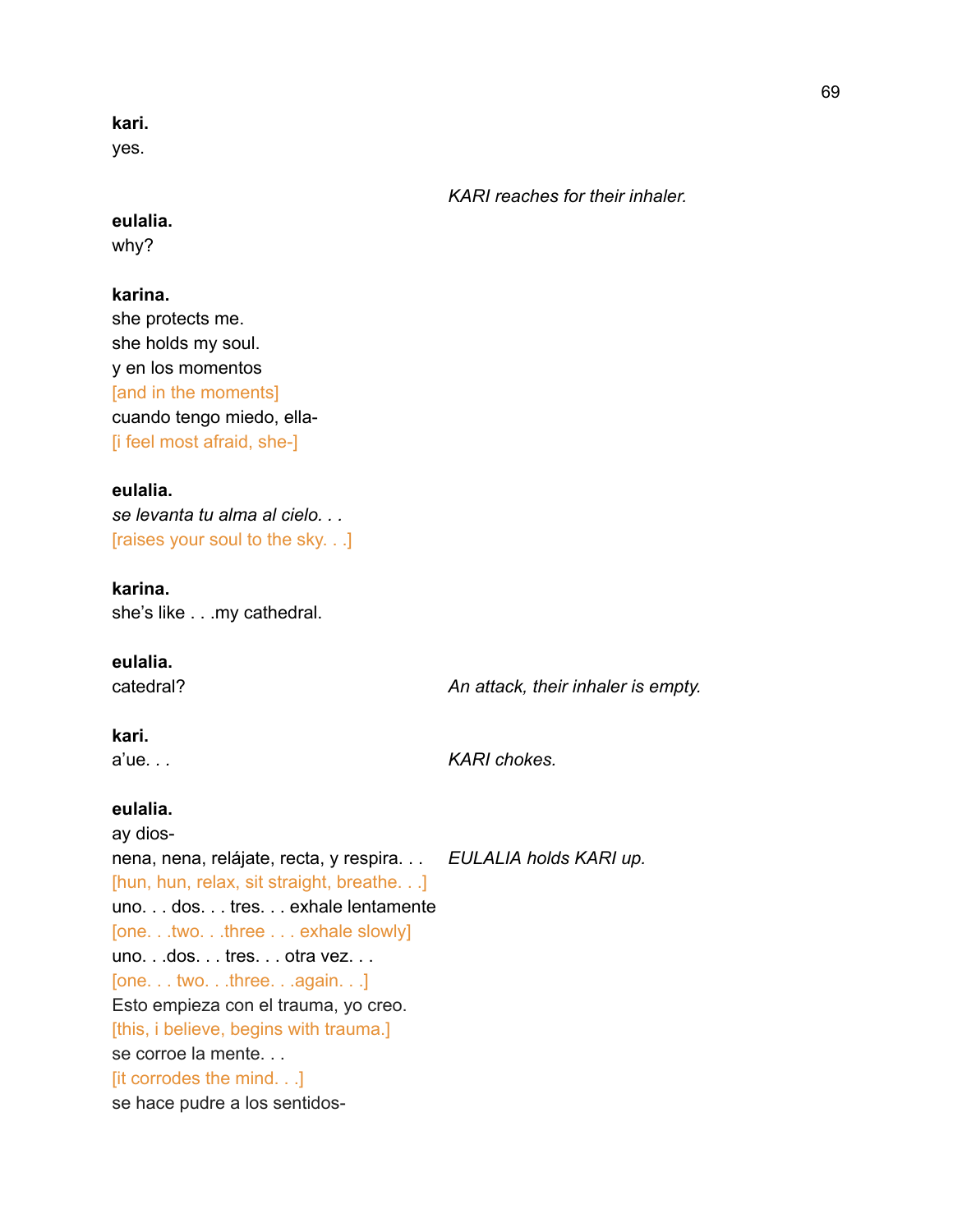**kari.**

yes.

*KARI reaches for their inhaler.*

### **eulalia.**

why?

### **karina.**

she protects me. she holds my soul. y en los momentos [and in the moments] cuando tengo miedo, ella- [i feel most afraid, she-]

### **eulalia.**

*se levanta tu alma al cielo. . .* [raises your soul to the sky. . .]

### **karina.**

she's like . . .my cathedral.

### **eulalia.**

catedral? *An attack, their inhaler is empty.*

### **kari.**

a'ue*. . . KARI chokes.*

### **eulalia.**

ay diosnena, nena, relájate, recta, y respira. . . *EULALIA holds KARI up.* [hun, hun, relax, sit straight, breathe. . .] uno. . . dos. . . tres. . . exhale lentamente [one. . .two. . .three . . . exhale slowly] uno. . .dos. . . tres. . . otra vez. . . [one. . . two. . .three. . .again. . .] Esto empieza con el trauma, yo creo. [this, i believe, begins with trauma.] se corroe la mente. . . [it corrodes the mind. . .] se hace pudre a los sentidos-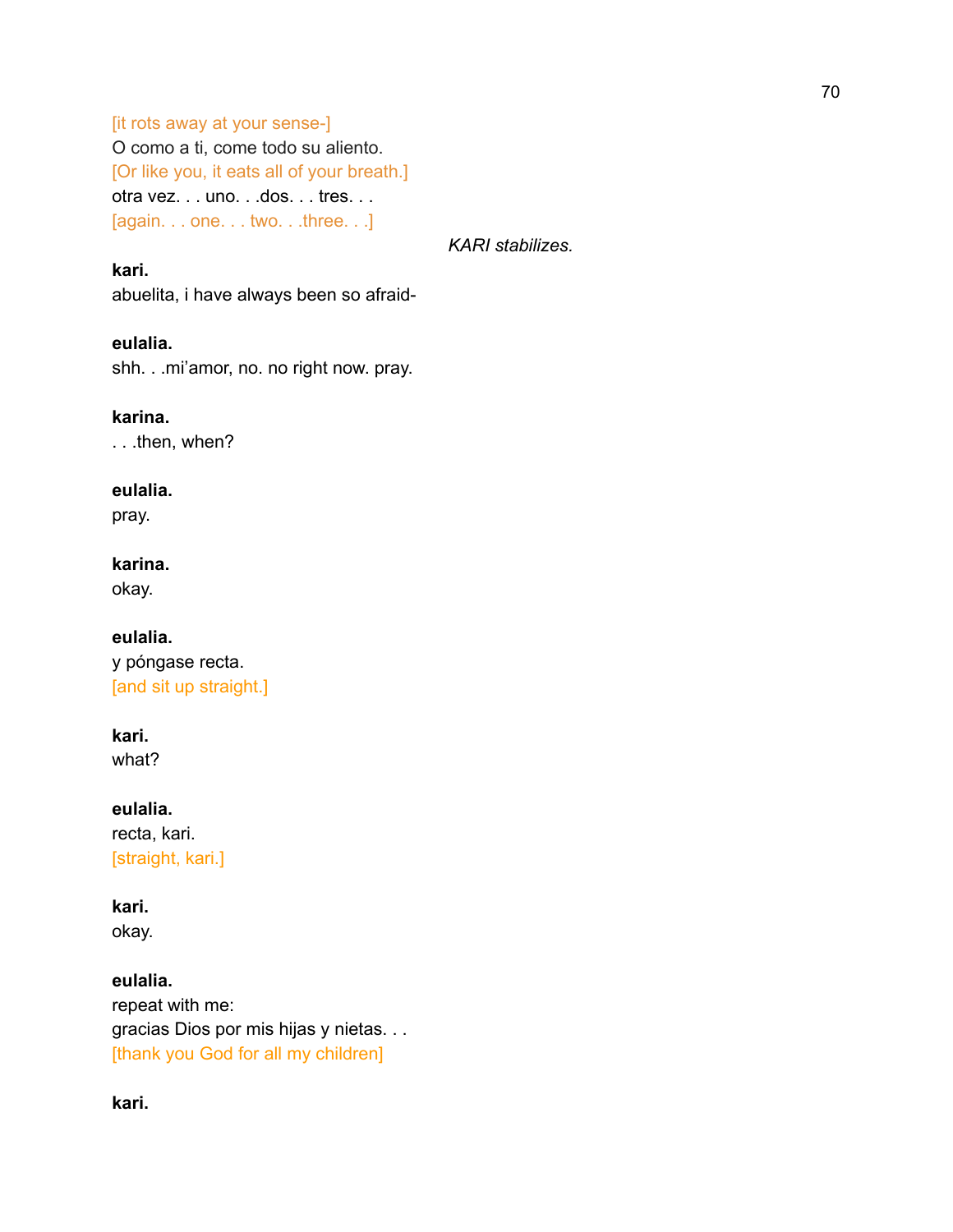[it rots away at your sense-] O como a ti, come todo su aliento. [Or like you, it eats all of your breath.] otra vez. . . uno. . .dos. . . tres. . . [again. . . one. . . two. . .three. . .]

*KARI stabilizes.*

**kari.** abuelita, i have always been so afraid-

### **eulalia.**

shh. . .mi'amor, no. no right now. pray.

### **karina.**

. . .then, when?

### **eulalia.**

pray.

### **karina.**

okay.

**eulalia.** y póngase recta. [and sit up straight.]

### **kari.**

what?

**eulalia.** recta, kari. [straight, kari.]

### **kari.**

okay.

**eulalia.** repeat with me: gracias Dios por mis hijas y nietas. . . [thank you God for all my children]

**kari.**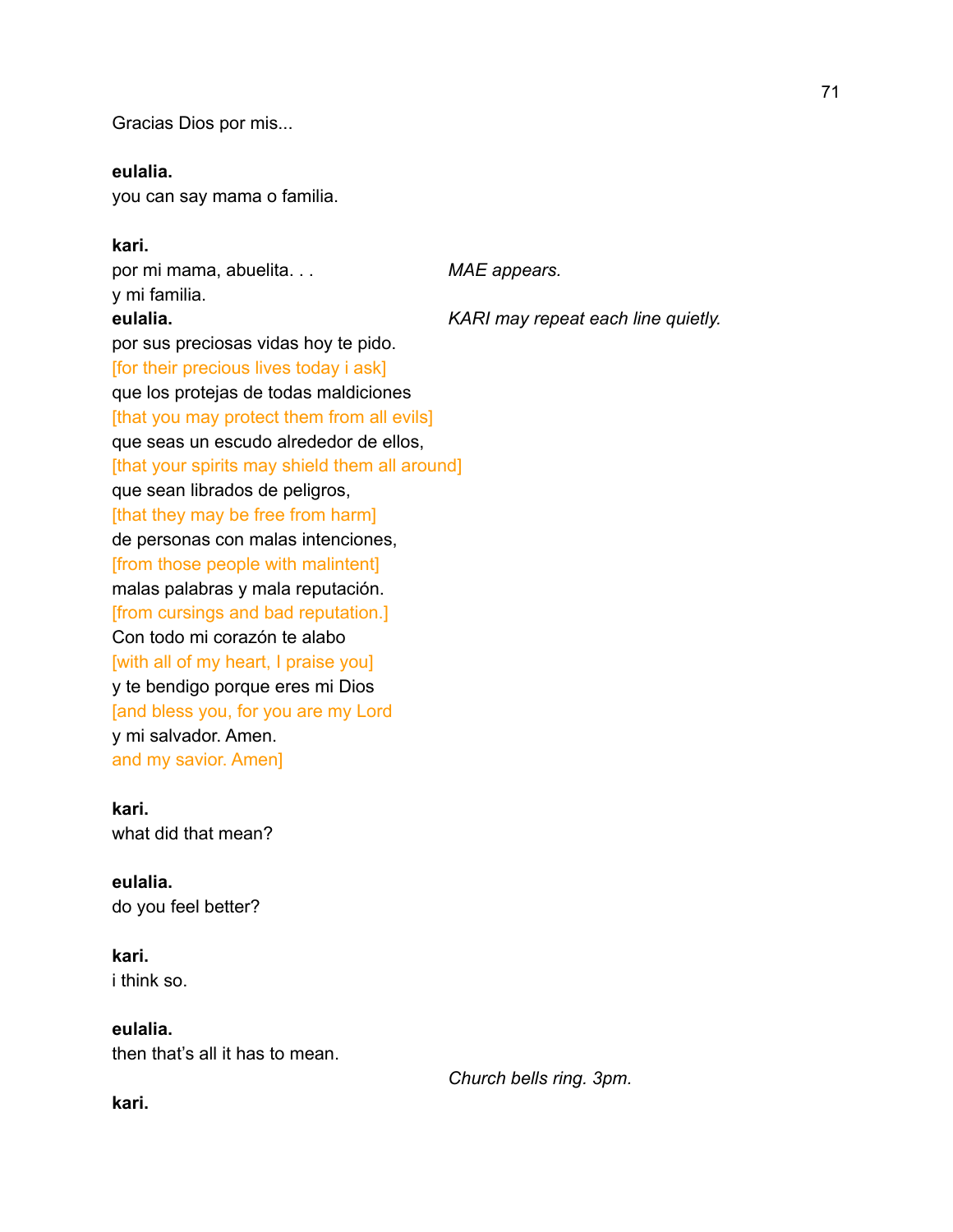Gracias Dios por mis...

### **eulalia.**

you can say mama o familia.

### **kari.**

por mi mama, abuelita. . . *MAE appears.* y mi familia. **eulalia.** *KARI may repeat each line quietly.* por sus preciosas vidas hoy te pido. [for their precious lives today i ask] que los protejas de todas maldiciones [that you may protect them from all evils] que seas un escudo alrededor de ellos, [that your spirits may shield them all around] que sean librados de peligros, [that they may be free from harm] de personas con malas intenciones, [from those people with malintent] malas palabras y mala reputación. [from cursings and bad reputation.] Con todo mi corazón te alabo [with all of my heart, I praise you] y te bendigo porque eres mi Dios [and bless you, for you are my Lord y mi salvador. Amen. and my savior. Amen]

# **kari.**

what did that mean?

### **eulalia.**

do you feel better?

### **kari.**

i think so.

### **eulalia.**

then that's all it has to mean.

*Church bells ring. 3pm.*

**kari.**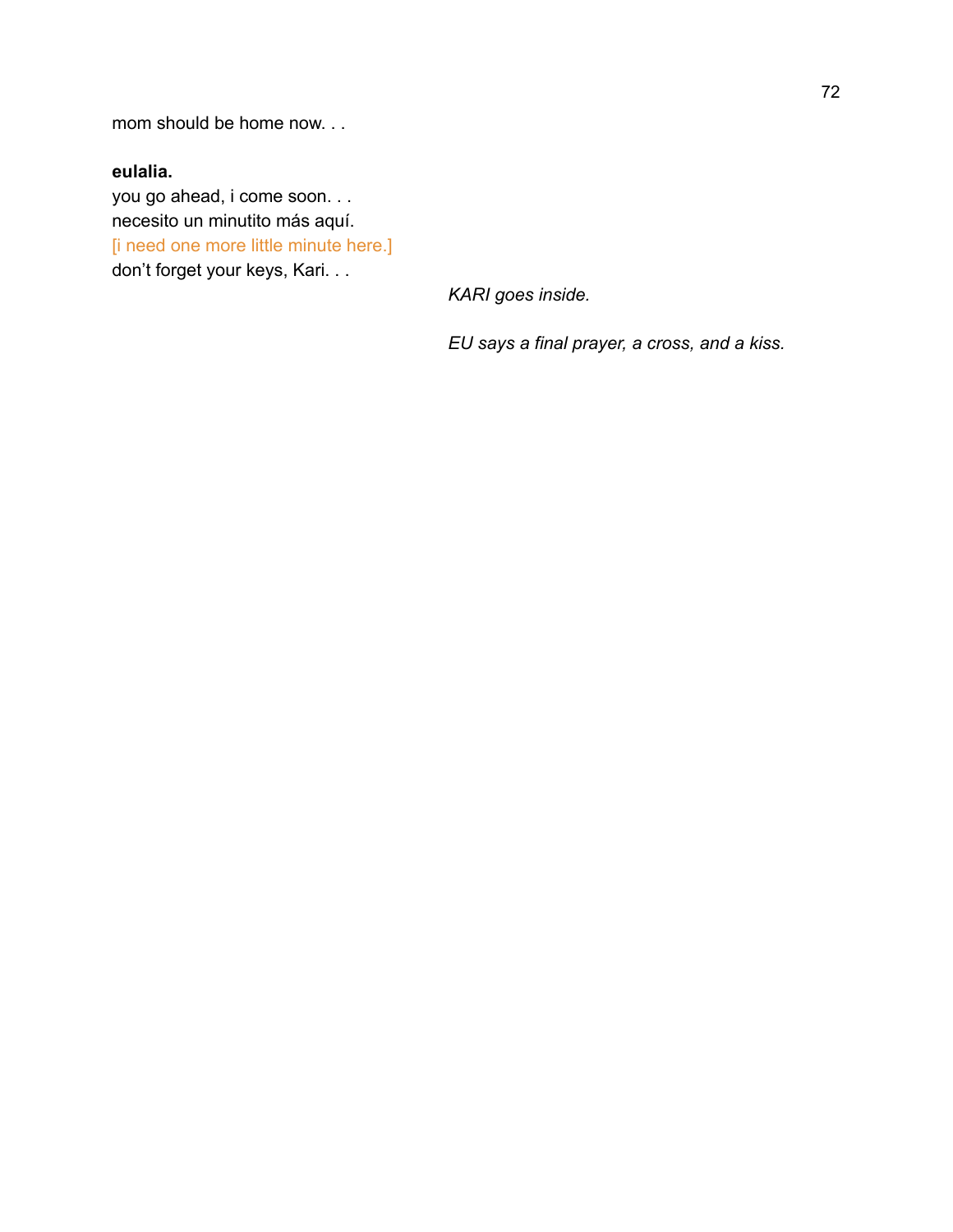mom should be home now. . .

## **eulalia.**

you go ahead, i come soon. . . necesito un minutito más aquí. [i need one more little minute here.] don't forget your keys, Kari. . .

*KARI goes inside.*

*EU says a final prayer, a cross, and a kiss.*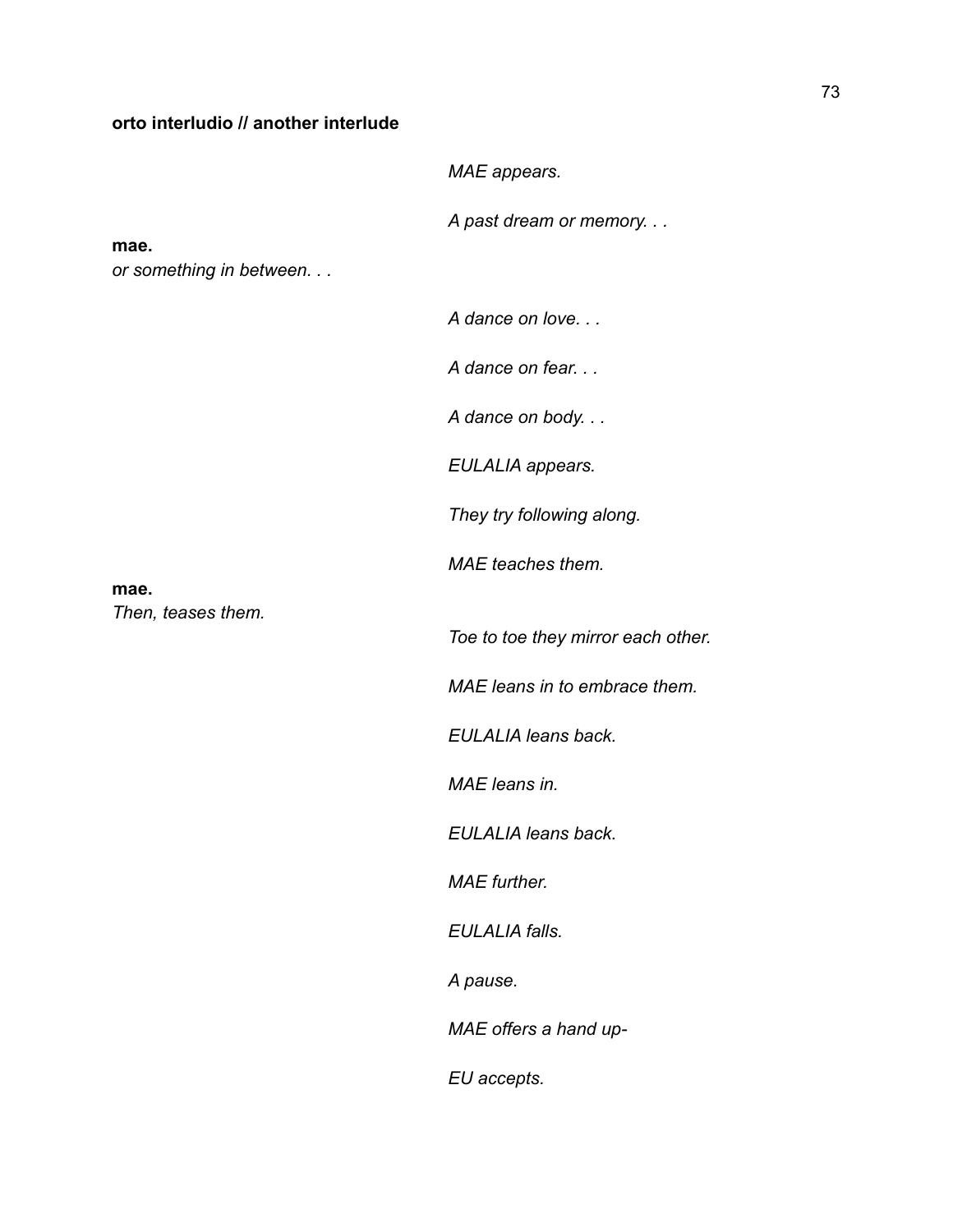#### **orto interludio // another interlude**

*MAE appears.*

*A past dream or memory. . .*

**mae.**

*or something in between. . .*

*A dance on love. . .*

*A dance on fear. . .*

*A dance on body. . .*

*EULALIA appears.*

*They try following along.*

*MAE teaches them.*

**mae.** *Then, teases them.*

*Toe to toe they mirror each other.*

*MAE leans in to embrace them.*

*EULALIA leans back.*

*MAE leans in.*

*EULALIA leans back.*

*MAE further.*

*EULALIA falls.*

*A pause.*

*MAE offers a hand up-*

*EU accepts.*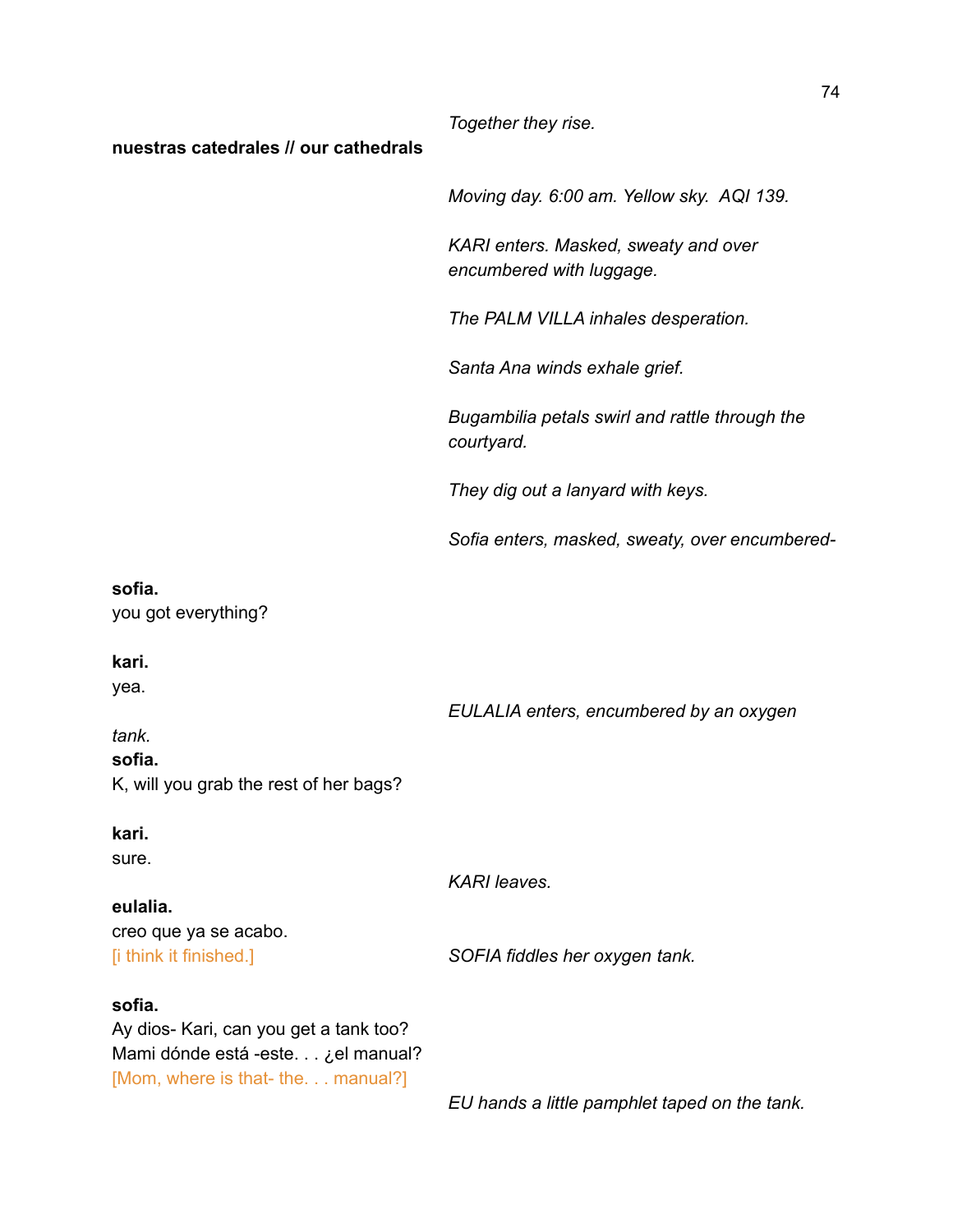*Together they rise.*

#### **nuestras catedrales // our cathedrals**

*Moving day. 6:00 am. Yellow sky. AQI 139.*

*KARI enters. Masked, sweaty and over encumbered with luggage.*

*The PALM VILLA inhales desperation.*

*Santa Ana winds exhale grief.*

*Bugambilia petals swirl and rattle through the courtyard.*

*They dig out a lanyard with keys.*

*Sofia enters, masked, sweaty, over encumbered-*

#### **sofia.**

you got everything?

#### **kari.**

yea.

*EULALIA enters, encumbered by an oxygen*

# *tank.* **sofia.** K, will you grab the rest of her bags?

**kari.**

sure.

*KARI leaves.*

#### **eulalia.**

creo que ya se acabo. [i think it finished.] *SOFIA fiddles her oxygen tank.*

#### **sofia.**

Ay dios- Kari, can you get a tank too? Mami dónde está -este. . . ¿el manual? [Mom, where is that- the. . . manual?]

*EU hands a little pamphlet taped on the tank.*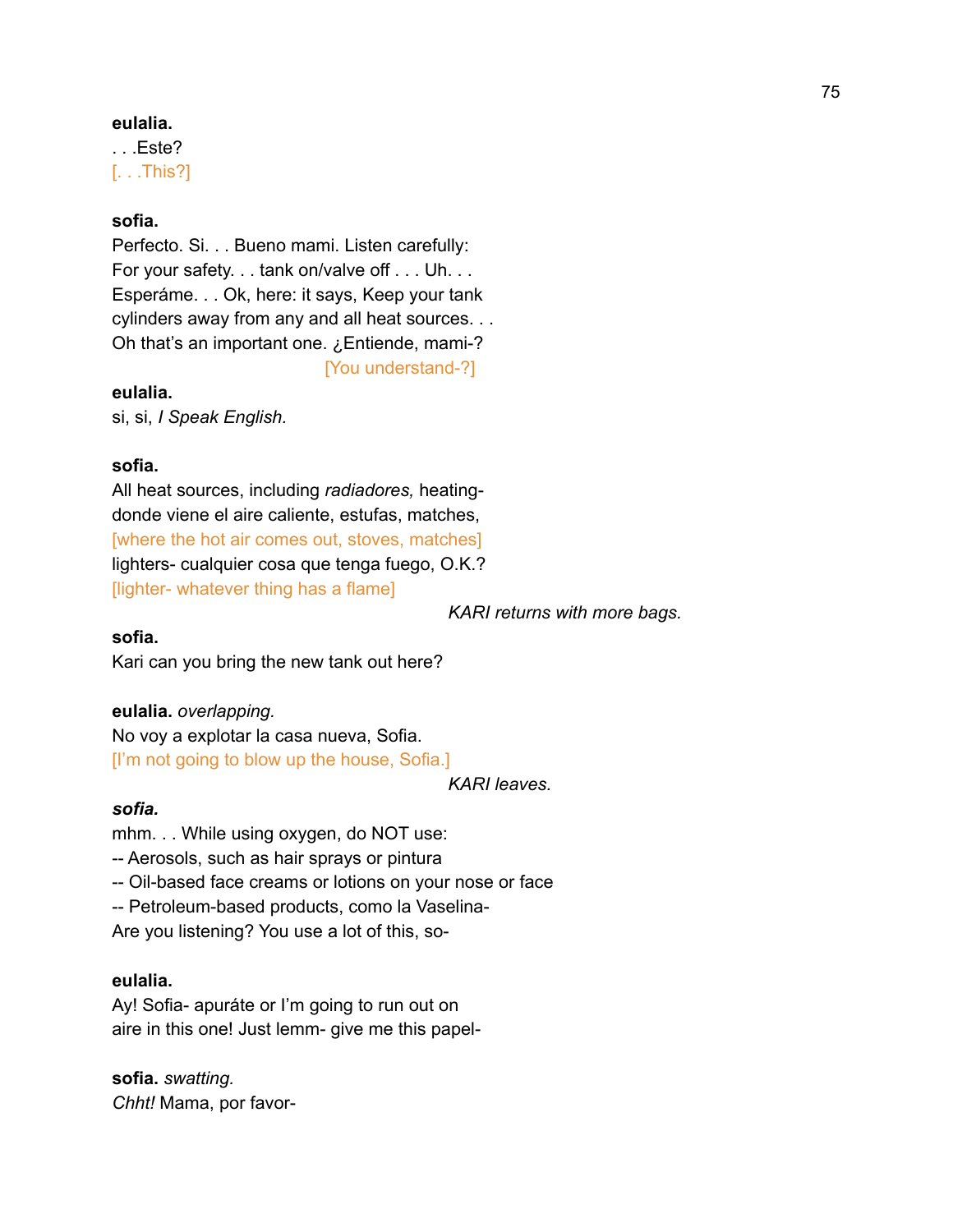#### **eulalia.**

. . .Este? [. . .This?]

#### **sofia.**

Perfecto. Si. . . Bueno mami. Listen carefully: For your safety. . . tank on/valve off . . . Uh. . . Esperáme. . . Ok, here: it says, Keep your tank cylinders away from any and all heat sources. . . Oh that's an important one. ¿Entiende, mami-?

[You understand-?]

#### **eulalia.**

si, si, *I Speak English.*

#### **sofia.**

All heat sources, including *radiadores,* heatingdonde viene el aire caliente, estufas, matches, [where the hot air comes out, stoves, matches] lighters- cualquier cosa que tenga fuego, O.K.? [lighter- whatever thing has a flame]

*KARI returns with more bags.*

#### **sofia.**

Kari can you bring the new tank out here?

**eulalia.** *overlapping.*

No voy a explotar la casa nueva, Sofia. [I'm not going to blow up the house, Sofia.]

*KARI leaves.*

#### *sofia.*

mhm. . . While using oxygen, do NOT use: -- Aerosols, such as hair sprays or pintura -- Oil-based face creams or lotions on your nose or face -- Petroleum-based products, como la Vaselina-Are you listening? You use a lot of this, so-

#### **eulalia.**

Ay! Sofia- apuráte or I'm going to run out on aire in this one! Just lemm- give me this papel-

**sofia.** *swatting. Chht!* Mama, por favor-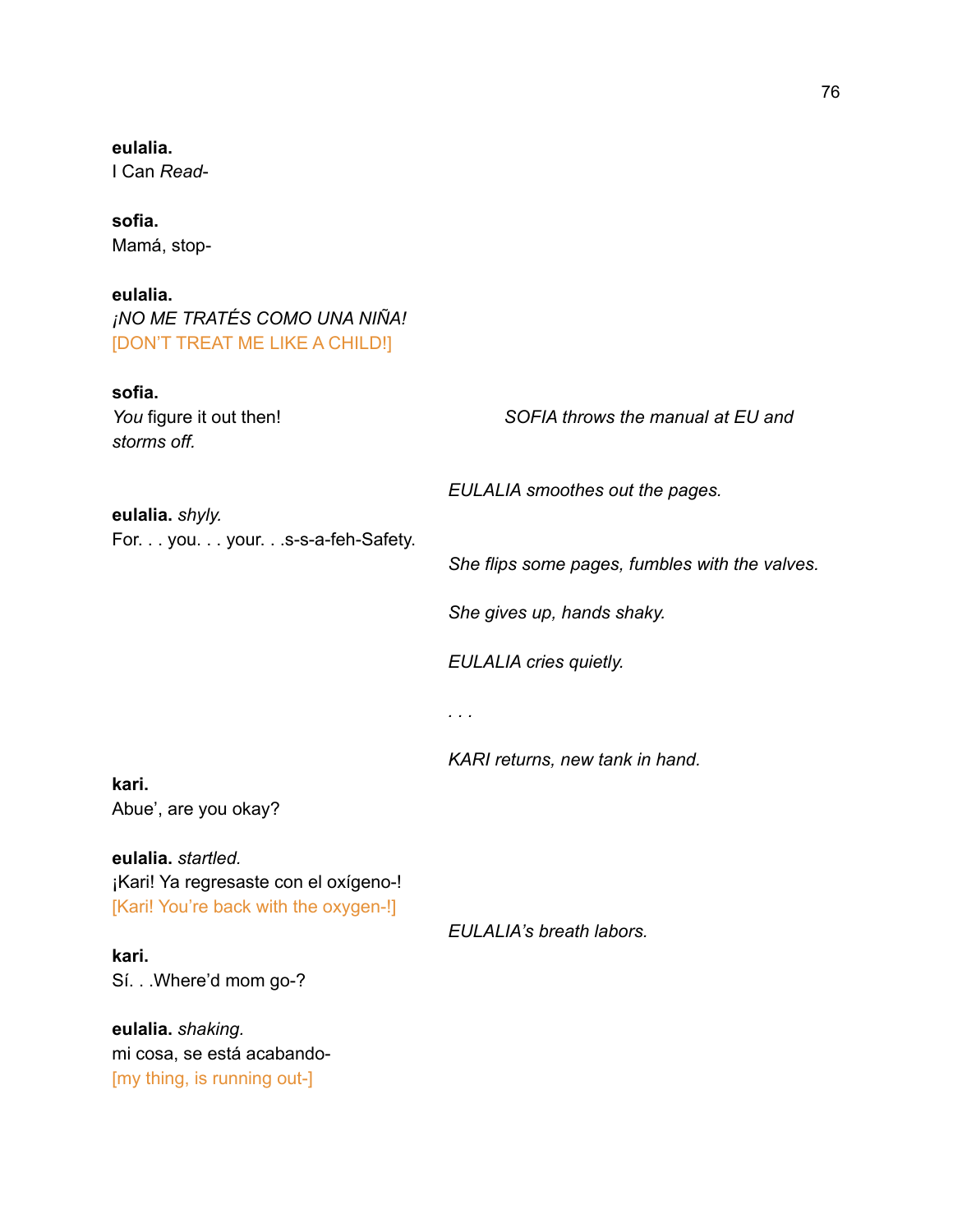| I Can Read-                                                                                                                                                                                                             |                                                |
|-------------------------------------------------------------------------------------------------------------------------------------------------------------------------------------------------------------------------|------------------------------------------------|
| sofia.<br>Mamá, stop-                                                                                                                                                                                                   |                                                |
| eulalia.<br>¡NO ME TRATÉS COMO UNA NIÑA!<br>[DON'T TREAT ME LIKE A CHILD!]                                                                                                                                              |                                                |
| sofia.<br>You figure it out then!<br>storms off.                                                                                                                                                                        | SOFIA throws the manual at EU and              |
| eulalia. shyly.<br>For. you. your.s-s-a-feh-Safety.                                                                                                                                                                     | EULALIA smoothes out the pages.                |
|                                                                                                                                                                                                                         | She flips some pages, fumbles with the valves. |
|                                                                                                                                                                                                                         | She gives up, hands shaky.                     |
|                                                                                                                                                                                                                         | <b>EULALIA cries quietly.</b>                  |
|                                                                                                                                                                                                                         | $\cdots$                                       |
|                                                                                                                                                                                                                         | KARI returns, new tank in hand.                |
| kari.<br>Abue', are you okay?                                                                                                                                                                                           |                                                |
| eulalia. startled.<br>¡Kari! Ya regresaste con el oxígeno-!<br>[Kari! You're back with the oxygen-!]<br>kari.<br>Sí. Where'd mom go-?<br>eulalia. shaking.<br>mi cosa, se está acabando-<br>[my thing, is running out-] | EULALIA's breath labors.                       |
|                                                                                                                                                                                                                         |                                                |

**eulalia.**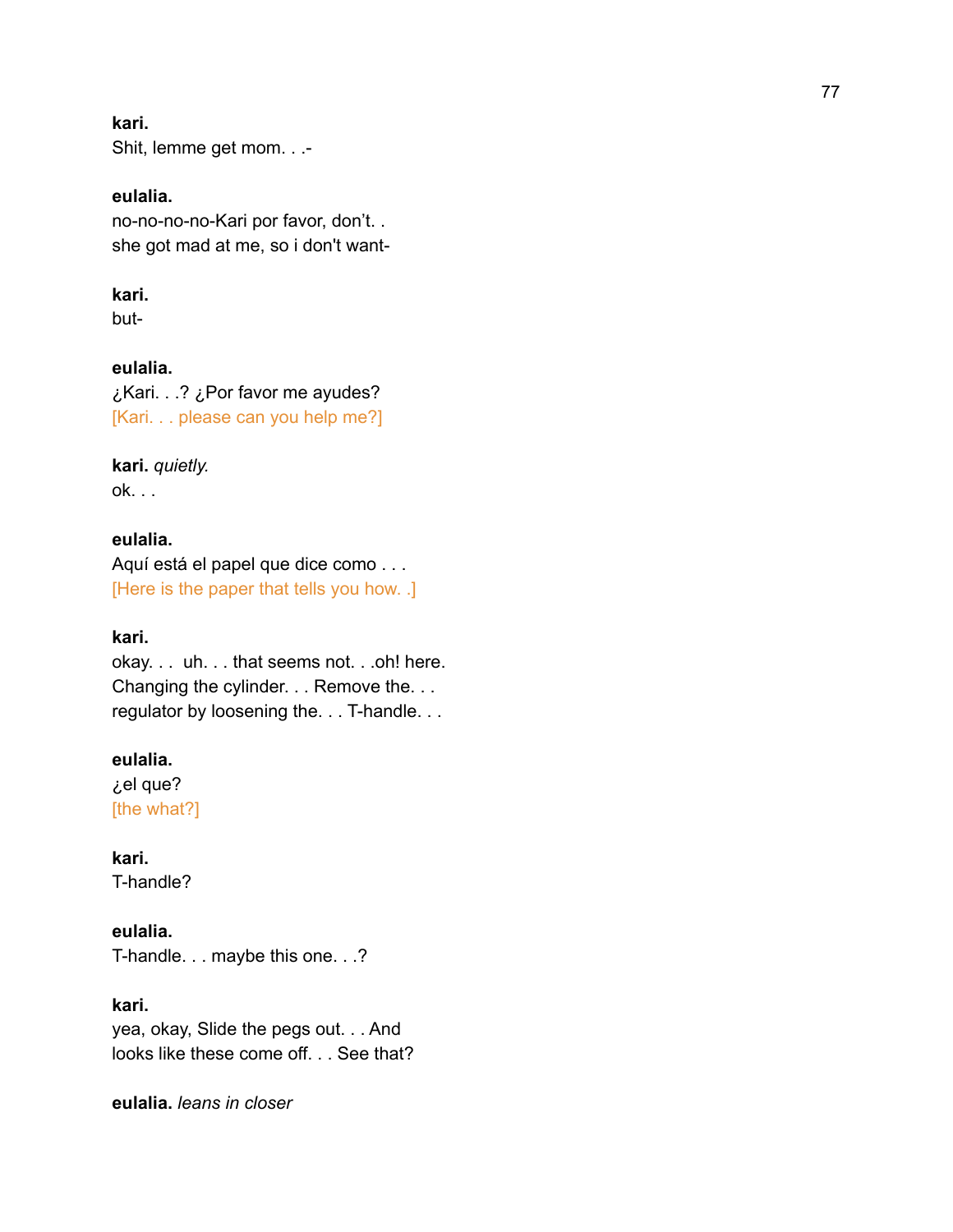#### **kari.**

Shit, lemme get mom. . .-

#### **eulalia.**

no-no-no-no-Kari por favor, don't. . she got mad at me, so i don't want-

#### **kari.**

but-

**eulalia.** ¿Kari. . .? ¿Por favor me ayudes? [Kari. . . please can you help me?]

**kari.** *quietly.* ok. . .

## **eulalia.**

Aquí está el papel que dice como . . . [Here is the paper that tells you how. .]

## **kari.**

okay. . . uh. . . that seems not. . .oh! here. Changing the cylinder. . . Remove the. . . regulator by loosening the. . . T-handle. . .

## **eulalia.**

¿el que? [the what?]

**kari.** T-handle?

## **eulalia.**

T-handle. . . maybe this one. . .?

**kari.**

yea, okay, Slide the pegs out. . . And looks like these come off. . . See that?

**eulalia.** *leans in closer*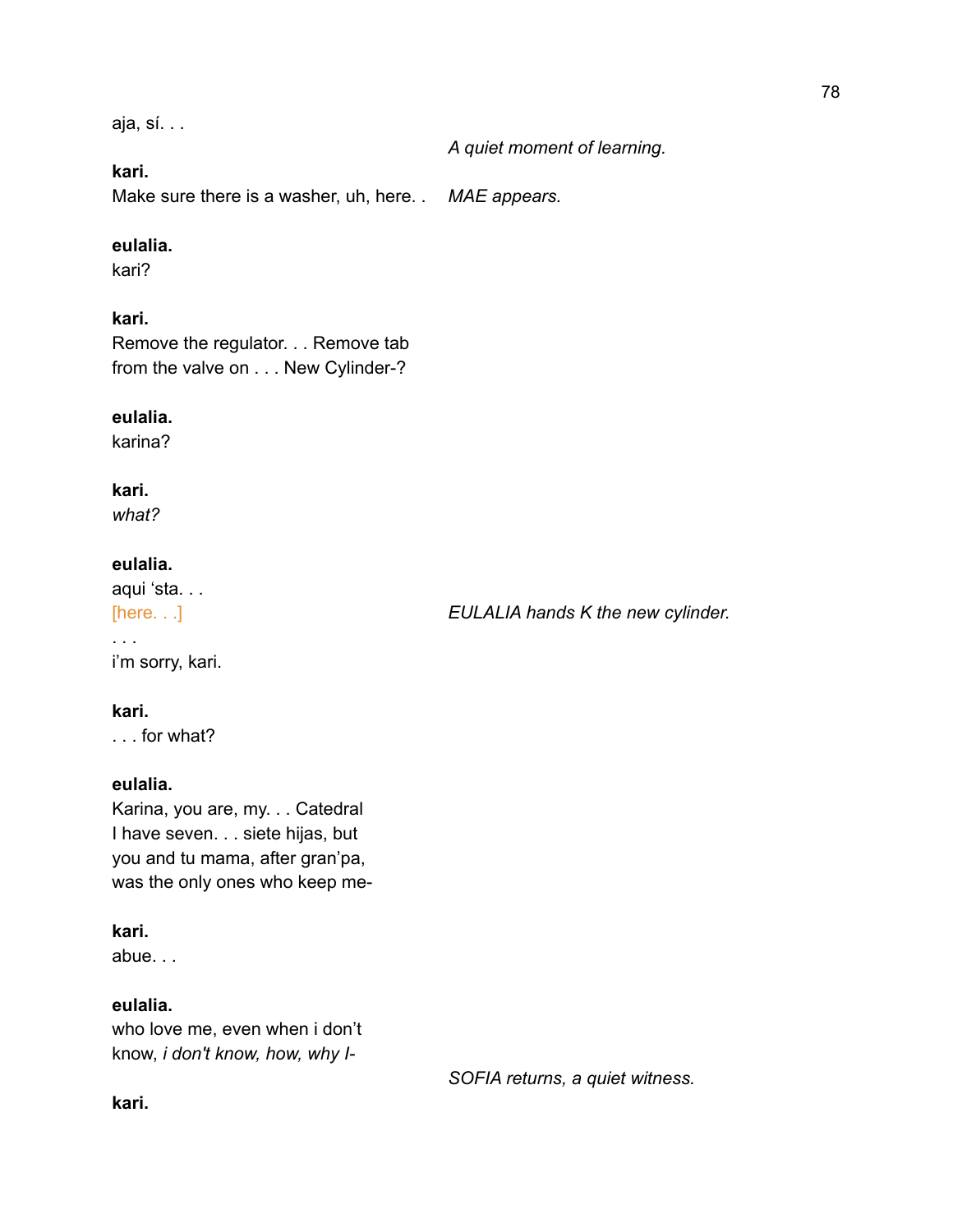aja, sí. . .

*A quiet moment of learning.*

## **kari.**

Make sure there is a washer, uh, here. . *MAE appears.*

## **eulalia.**

kari?

# **kari.**

Remove the regulator. . . Remove tab from the valve on . . . New Cylinder-?

## **eulalia.**

karina?

## **kari.**

*what?*

# **eulalia.**

aqui 'sta. . .

. . . i'm sorry, kari.

# **kari.**

. . . for what?

## **eulalia.**

Karina, you are, my. . . Catedral I have seven. . . siete hijas, but you and tu mama, after gran'pa, was the only ones who keep me-

## **kari.**

abue. . .

# **eulalia.**

who love me, even when i don't know, *i don't know, how, why I-*

*SOFIA returns, a quiet witness.*

## **kari.**

[here. . .] *EULALIA hands K the new cylinder.*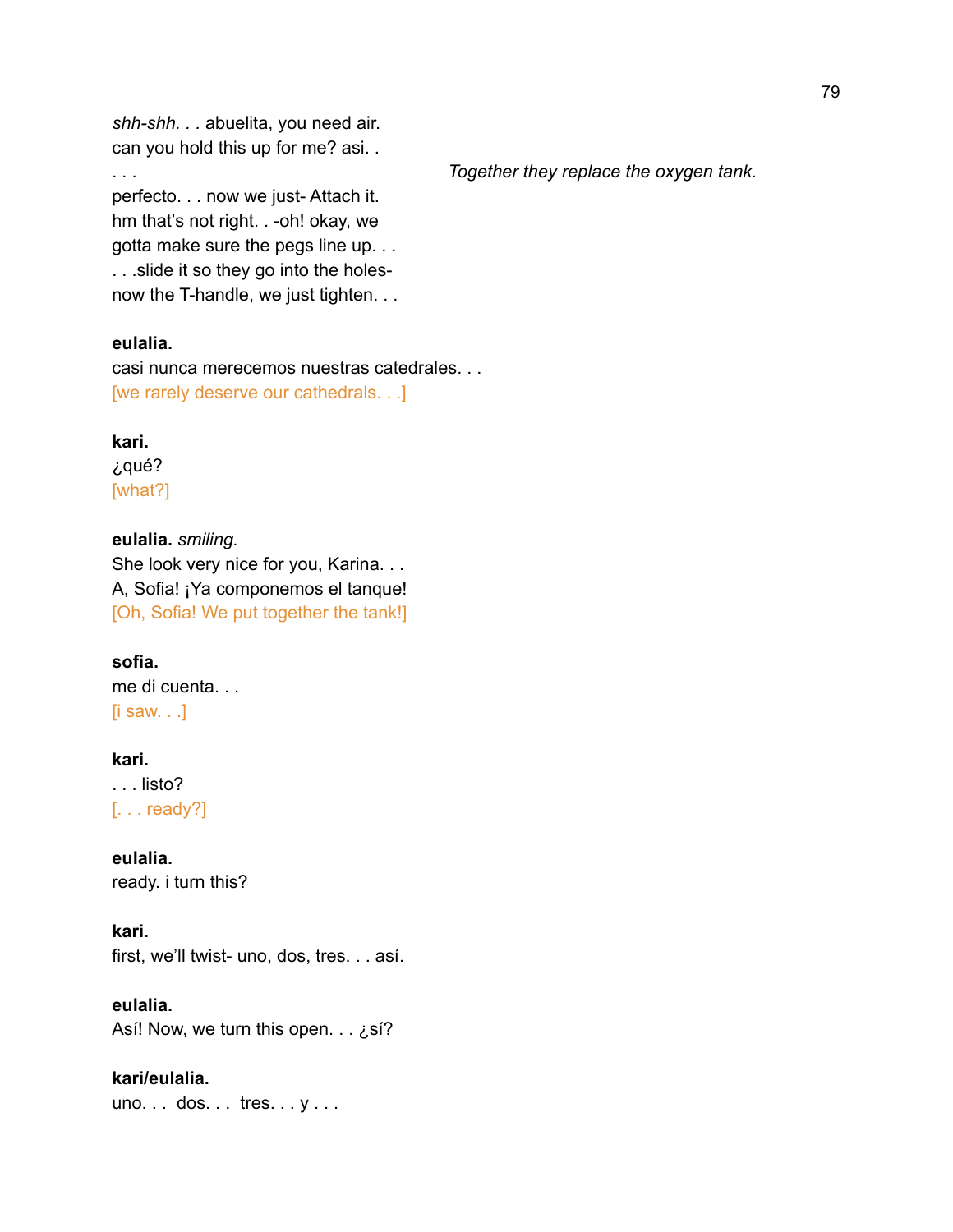*shh-shh. . .* abuelita, you need air. can you hold this up for me? asi. .

perfecto. . . now we just- Attach it. hm that's not right. . -oh! okay, we gotta make sure the pegs line up. . . . . .slide it so they go into the holesnow the T-handle, we just tighten. . .

#### **eulalia.**

casi nunca merecemos nuestras catedrales. . . [we rarely deserve our cathedrals. . .]

## **kari.** ¿qué? [what?]

**eulalia.** *smiling.* She look very nice for you, Karina. . . A, Sofia! ¡Ya componemos el tanque! [Oh, Sofia! We put together the tank!]

**sofia.** me di cuenta. . . [i saw. . .]

**kari.** . . . listo? [. . . ready?]

**eulalia.** ready. i turn this?

**kari.** first, we'll twist- uno, dos, tres. . . así.

**eulalia.** Así! Now, we turn this open. . . ¿sí?

**kari/eulalia.** uno. . . dos. . . tres. . . y . . . 79

#### . . . *Together they replace the oxygen tank.*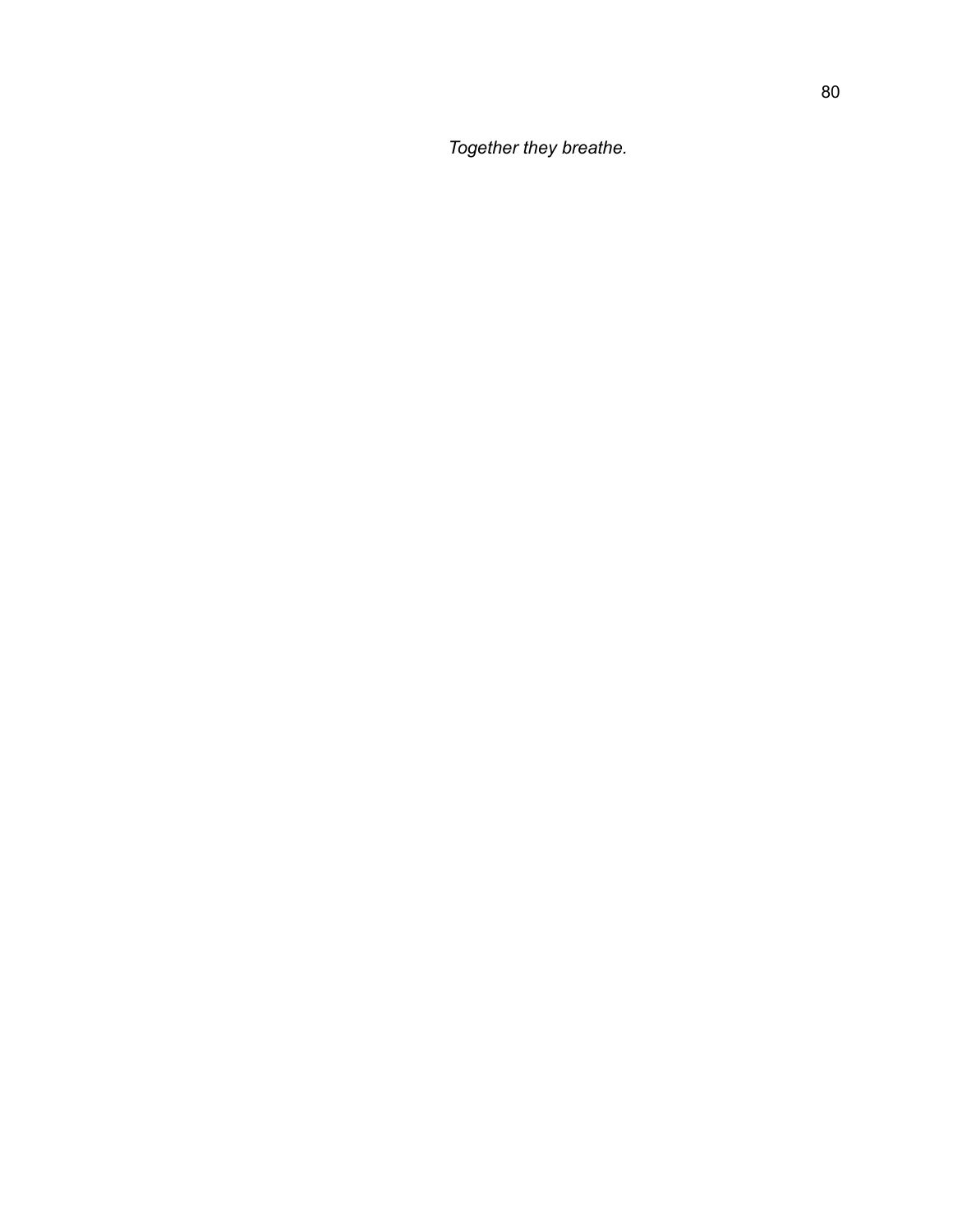*Together they breathe.*